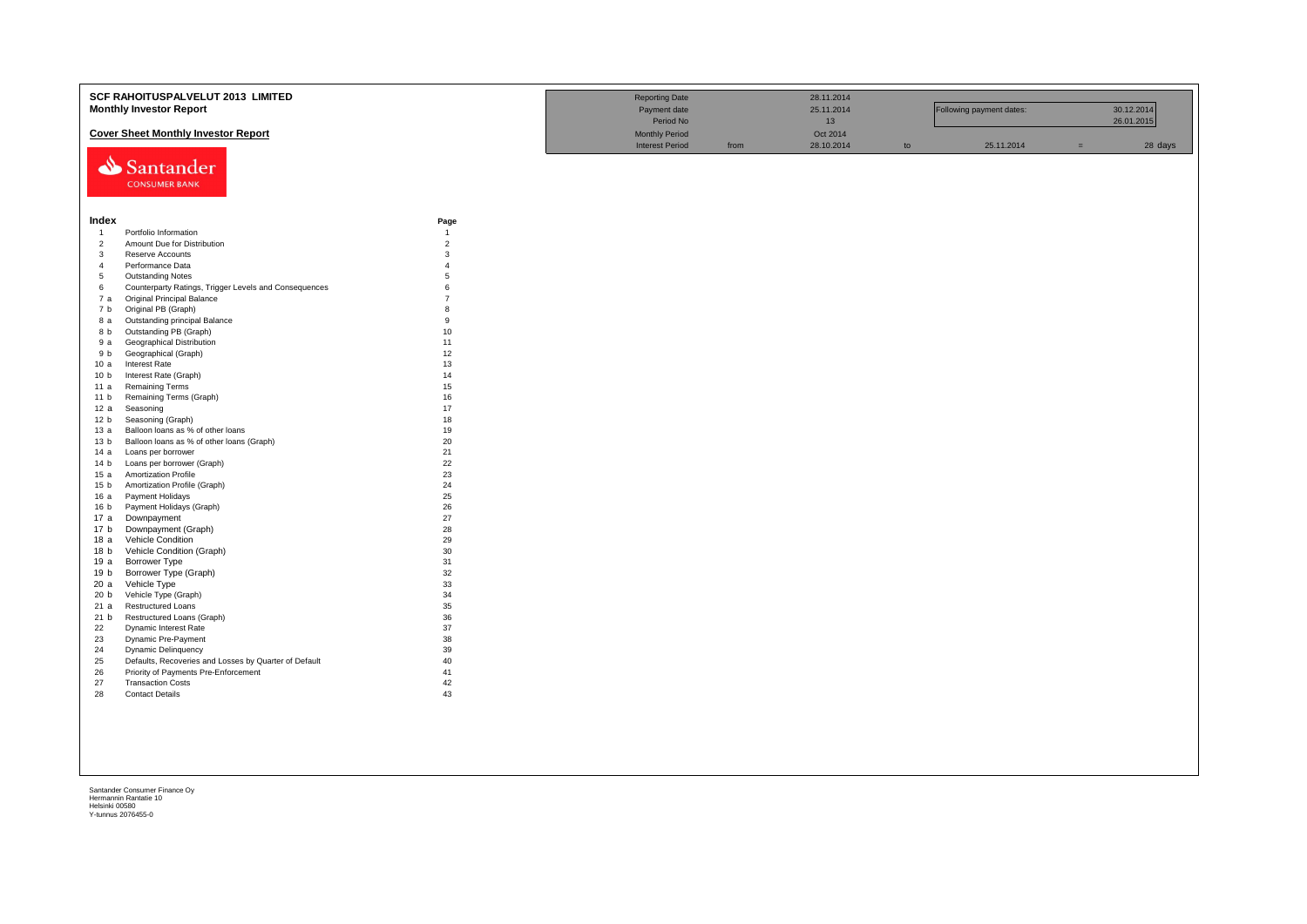|                         | SCF RAHOITUSPALVELUT 2013 LIMITED                                |                        | <b>Reporting Date</b>  |      | 28.11.2014 |    |                          |     |            |
|-------------------------|------------------------------------------------------------------|------------------------|------------------------|------|------------|----|--------------------------|-----|------------|
|                         | <b>Monthly Investor Report</b>                                   |                        | Payment date           |      | 25.11.2014 |    | Following payment dates: |     | 30.12.2014 |
|                         |                                                                  |                        | Period No              |      | 13         |    |                          |     | 26.01.2015 |
|                         | <b>Cover Sheet Monthly Investor Report</b>                       |                        | <b>Monthly Period</b>  |      | Oct 2014   |    |                          |     |            |
|                         |                                                                  |                        | <b>Interest Period</b> | from | 28.10.2014 | to | 25.11.2014               | $=$ | 28 days    |
|                         |                                                                  |                        |                        |      |            |    |                          |     |            |
|                         | Santander                                                        |                        |                        |      |            |    |                          |     |            |
|                         | <b>CONSUMER BANK</b>                                             |                        |                        |      |            |    |                          |     |            |
|                         |                                                                  |                        |                        |      |            |    |                          |     |            |
|                         |                                                                  |                        |                        |      |            |    |                          |     |            |
|                         |                                                                  |                        |                        |      |            |    |                          |     |            |
| Index<br>$\overline{1}$ | Portfolio Information                                            | Page<br>$\overline{1}$ |                        |      |            |    |                          |     |            |
| $\overline{2}$          | Amount Due for Distribution                                      | $\overline{2}$         |                        |      |            |    |                          |     |            |
| $\overline{3}$          | Reserve Accounts                                                 | $\mathbf{3}$           |                        |      |            |    |                          |     |            |
| $\overline{4}$          | Performance Data                                                 | $\overline{4}$         |                        |      |            |    |                          |     |            |
| 5                       | <b>Outstanding Notes</b>                                         | $\overline{5}$         |                        |      |            |    |                          |     |            |
| 6                       | Counterparty Ratings, Trigger Levels and Consequences            | 6                      |                        |      |            |    |                          |     |            |
| 7 a                     | <b>Original Principal Balance</b>                                | $\overline{7}$         |                        |      |            |    |                          |     |            |
| 7 b                     | Original PB (Graph)                                              | 8                      |                        |      |            |    |                          |     |            |
| 8 a                     | Outstanding principal Balance                                    | 9                      |                        |      |            |    |                          |     |            |
| 8 b                     | Outstanding PB (Graph)                                           | 10                     |                        |      |            |    |                          |     |            |
| 9 a                     | Geographical Distribution                                        | 11                     |                        |      |            |    |                          |     |            |
| 9 b                     | Geographical (Graph)                                             | 12                     |                        |      |            |    |                          |     |            |
| 10 a                    | <b>Interest Rate</b>                                             | 13                     |                        |      |            |    |                          |     |            |
| 10 <sub>b</sub>         | Interest Rate (Graph)                                            | 14                     |                        |      |            |    |                          |     |            |
| 11 a                    | <b>Remaining Terms</b>                                           | 15                     |                        |      |            |    |                          |     |            |
| 11 <sub>b</sub>         | Remaining Terms (Graph)                                          | 16                     |                        |      |            |    |                          |     |            |
| 12a                     | Seasoning                                                        | 17                     |                        |      |            |    |                          |     |            |
| 12 b                    | Seasoning (Graph)                                                | 18                     |                        |      |            |    |                          |     |            |
| 13a                     | Balloon loans as % of other loans                                | 19                     |                        |      |            |    |                          |     |            |
| 13 <sub>b</sub><br>14 a | Balloon loans as % of other loans (Graph)                        | 20<br>21               |                        |      |            |    |                          |     |            |
| 14 b                    | Loans per borrower                                               | 22                     |                        |      |            |    |                          |     |            |
| 15a                     | Loans per borrower (Graph)<br>Amortization Profile               | 23                     |                        |      |            |    |                          |     |            |
| 15 <sub>b</sub>         | Amortization Profile (Graph)                                     | 24                     |                        |      |            |    |                          |     |            |
| 16 a                    | Payment Holidays                                                 | 25                     |                        |      |            |    |                          |     |            |
| 16 <sub>b</sub>         | Payment Holidays (Graph)                                         | 26                     |                        |      |            |    |                          |     |            |
| 17a                     | Downpayment                                                      | 27                     |                        |      |            |    |                          |     |            |
| 17 <sub>b</sub>         | Downpayment (Graph)                                              | 28                     |                        |      |            |    |                          |     |            |
| 18 a                    | Vehicle Condition                                                | 29                     |                        |      |            |    |                          |     |            |
| 18 <sub>b</sub>         | Vehicle Condition (Graph)                                        | 30                     |                        |      |            |    |                          |     |            |
| 19a                     | Borrower Type                                                    | 31                     |                        |      |            |    |                          |     |            |
| 19 <sub>b</sub>         | Borrower Type (Graph)                                            | 32                     |                        |      |            |    |                          |     |            |
| 20a                     | Vehicle Type                                                     | 33                     |                        |      |            |    |                          |     |            |
| 20 b                    | Vehicle Type (Graph)                                             | 34                     |                        |      |            |    |                          |     |            |
| 21 a                    | <b>Restructured Loans</b>                                        | 35                     |                        |      |            |    |                          |     |            |
| 21 b                    | Restructured Loans (Graph)                                       | 36                     |                        |      |            |    |                          |     |            |
| 22                      | Dynamic Interest Rate                                            | 37                     |                        |      |            |    |                          |     |            |
| 23                      | Dynamic Pre-Payment                                              | 38                     |                        |      |            |    |                          |     |            |
| 24                      | <b>Dynamic Delinquency</b>                                       | 39                     |                        |      |            |    |                          |     |            |
| 25                      | Defaults, Recoveries and Losses by Quarter of Default            | 40                     |                        |      |            |    |                          |     |            |
| 26<br>27                | Priority of Payments Pre-Enforcement<br><b>Transaction Costs</b> | 41<br>42               |                        |      |            |    |                          |     |            |
| 28                      | <b>Contact Details</b>                                           | 43                     |                        |      |            |    |                          |     |            |
|                         |                                                                  |                        |                        |      |            |    |                          |     |            |
|                         |                                                                  |                        |                        |      |            |    |                          |     |            |
|                         |                                                                  |                        |                        |      |            |    |                          |     |            |
|                         |                                                                  |                        |                        |      |            |    |                          |     |            |
|                         |                                                                  |                        |                        |      |            |    |                          |     |            |
|                         |                                                                  |                        |                        |      |            |    |                          |     |            |
|                         |                                                                  |                        |                        |      |            |    |                          |     |            |
|                         |                                                                  |                        |                        |      |            |    |                          |     |            |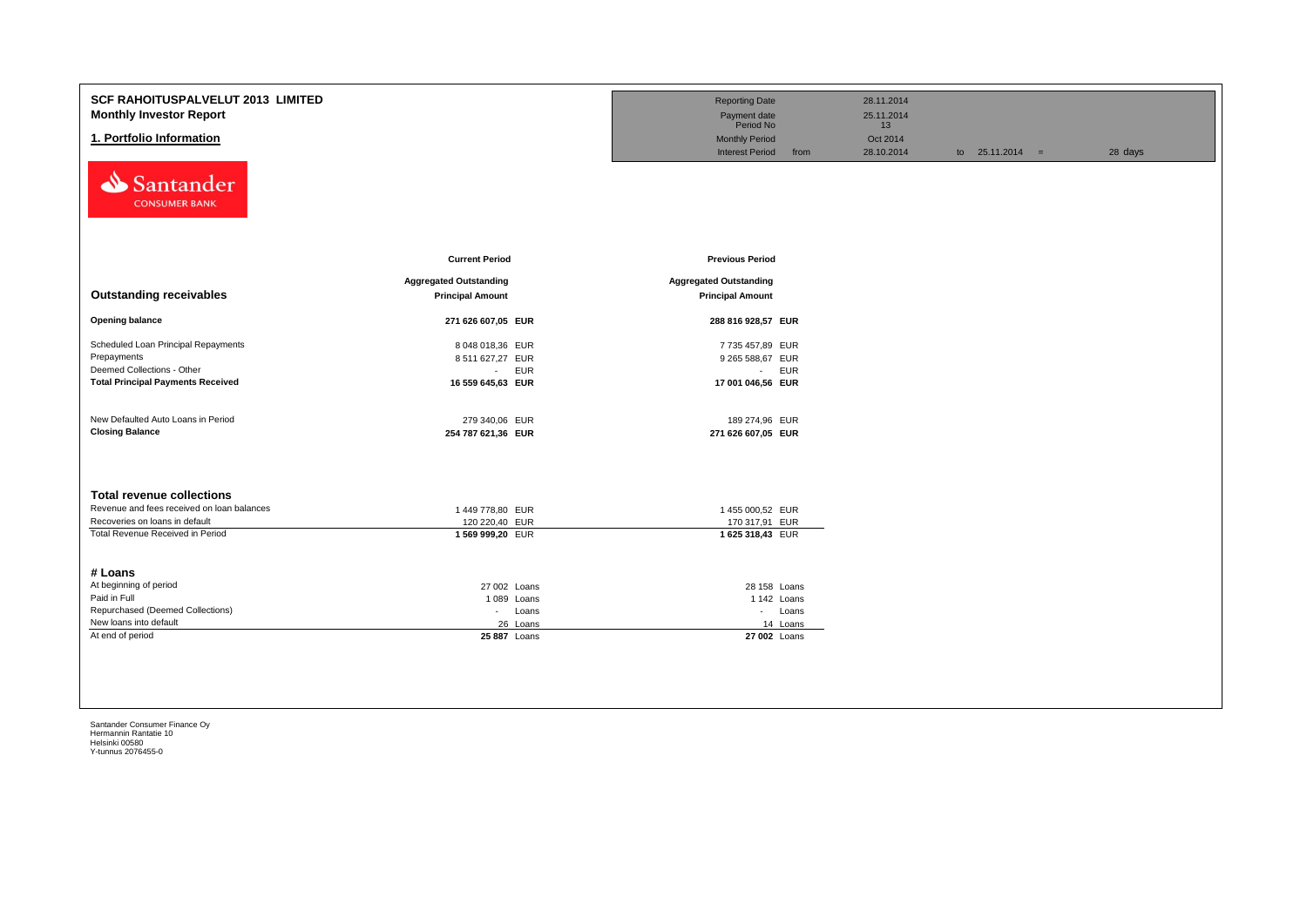| <b>SCF RAHOITUSPALVELUT 2013 LIMITED</b><br><b>Monthly Investor Report</b><br>1. Portfolio Information<br>Santander          |                                                                    | <b>Reporting Date</b><br>Payment date<br>Period No<br><b>Monthly Period</b><br><b>Interest Period</b><br>from | 28.11.2014<br>25.11.2014<br>13<br>Oct 2014<br>28.10.2014 | to $25.11.2014 =$ | 28 days |
|------------------------------------------------------------------------------------------------------------------------------|--------------------------------------------------------------------|---------------------------------------------------------------------------------------------------------------|----------------------------------------------------------|-------------------|---------|
| <b>CONSUMER BANK</b>                                                                                                         | <b>Current Period</b>                                              | <b>Previous Period</b>                                                                                        |                                                          |                   |         |
| <b>Outstanding receivables</b>                                                                                               | <b>Aggregated Outstanding</b><br><b>Principal Amount</b>           | <b>Aggregated Outstanding</b><br><b>Principal Amount</b>                                                      |                                                          |                   |         |
| <b>Opening balance</b>                                                                                                       | 271 626 607,05 EUR                                                 | 288 816 928,57 EUR                                                                                            |                                                          |                   |         |
| Scheduled Loan Principal Repayments<br>Prepayments<br>Deemed Collections - Other<br><b>Total Principal Payments Received</b> | 8 048 018,36 EUR<br>8 511 627,27 EUR<br>- EUR<br>16 559 645,63 EUR | 7735 457,89 EUR<br>9 265 588,67 EUR<br>- EUR<br>17 001 046,56 EUR                                             |                                                          |                   |         |
| New Defaulted Auto Loans in Period<br><b>Closing Balance</b>                                                                 | 279 340,06 EUR<br>254 787 621,36 EUR                               | 189 274,96 EUR<br>271 626 607,05 EUR                                                                          |                                                          |                   |         |
| <b>Total revenue collections</b>                                                                                             |                                                                    |                                                                                                               |                                                          |                   |         |
| Revenue and fees received on loan balances                                                                                   | 1449 778,80 EUR                                                    | 1455 000,52 EUR                                                                                               |                                                          |                   |         |
| Recoveries on loans in default<br>Total Revenue Received in Period                                                           | 120 220,40 EUR<br>1569 999,20 EUR                                  | 170 317,91 EUR<br>1625 318,43 EUR                                                                             |                                                          |                   |         |
| # Loans                                                                                                                      |                                                                    |                                                                                                               |                                                          |                   |         |
| At beginning of period                                                                                                       | 27 002 Loans                                                       | 28 158 Loans                                                                                                  |                                                          |                   |         |
| Paid in Full                                                                                                                 | 1089 Loans                                                         | 1 142 Loans                                                                                                   |                                                          |                   |         |
| Repurchased (Deemed Collections)                                                                                             | Loans<br>$\sim 100$                                                | - Loans                                                                                                       |                                                          |                   |         |
| New loans into default                                                                                                       | 26 Loans                                                           | 14 Loans                                                                                                      |                                                          |                   |         |
| At end of period                                                                                                             | 25 887 Loans                                                       | 27 002 Loans                                                                                                  |                                                          |                   |         |
|                                                                                                                              |                                                                    |                                                                                                               |                                                          |                   |         |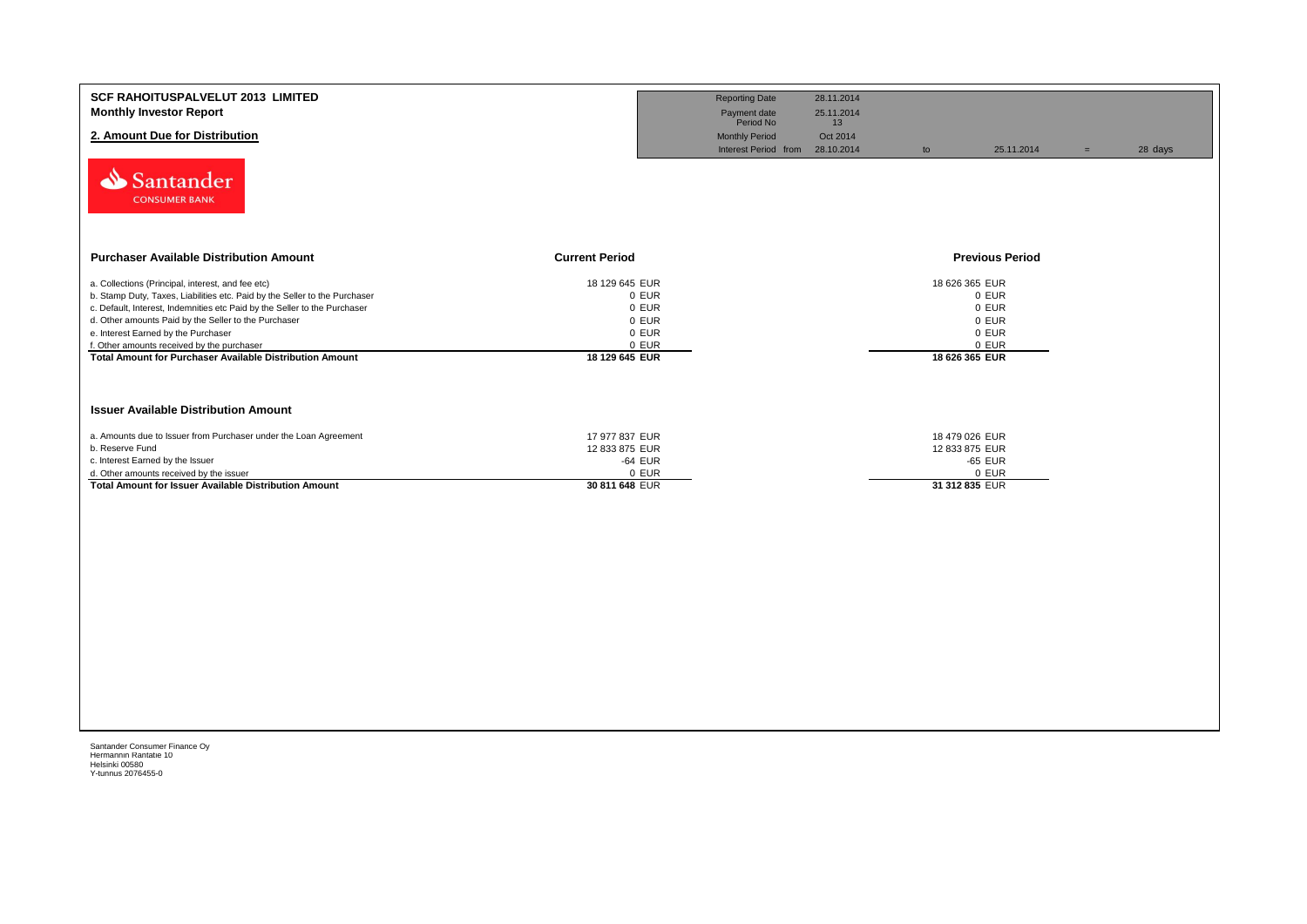| <b>SCF RAHOITUSPALVELUT 2013 LIMITED</b><br><b>Monthly Investor Report</b><br>2. Amount Due for Distribution<br>Santander<br><b>CONSUMER BANK</b>                                                                                                                                                                                                                                                                     |                                                                               | <b>Reporting Date</b><br>Payment date<br>Period No<br><b>Monthly Period</b><br>Interest Period from | 28.11.2014<br>25.11.2014<br>13<br>Oct 2014<br>28.10.2014<br>to | 25.11.2014                                                                    | $=$ | 28 days |
|-----------------------------------------------------------------------------------------------------------------------------------------------------------------------------------------------------------------------------------------------------------------------------------------------------------------------------------------------------------------------------------------------------------------------|-------------------------------------------------------------------------------|-----------------------------------------------------------------------------------------------------|----------------------------------------------------------------|-------------------------------------------------------------------------------|-----|---------|
| <b>Purchaser Available Distribution Amount</b>                                                                                                                                                                                                                                                                                                                                                                        | <b>Current Period</b>                                                         |                                                                                                     |                                                                | <b>Previous Period</b>                                                        |     |         |
| a. Collections (Principal, interest, and fee etc)<br>b. Stamp Duty, Taxes, Liabilities etc. Paid by the Seller to the Purchaser<br>c. Default, Interest, Indemnities etc Paid by the Seller to the Purchaser<br>d. Other amounts Paid by the Seller to the Purchaser<br>e. Interest Earned by the Purchaser<br>f. Other amounts received by the purchaser<br>Total Amount for Purchaser Available Distribution Amount | 18 129 645 EUR<br>0 EUR<br>0 EUR<br>0 EUR<br>0 EUR<br>0 EUR<br>18 129 645 EUR |                                                                                                     |                                                                | 18 626 365 EUR<br>0 EUR<br>0 EUR<br>0 EUR<br>0 EUR<br>0 EUR<br>18 626 365 EUR |     |         |
| <b>Issuer Available Distribution Amount</b><br>a. Amounts due to Issuer from Purchaser under the Loan Agreement<br>b. Reserve Fund<br>c. Interest Earned by the Issuer<br>d. Other amounts received by the issuer<br><b>Total Amount for Issuer Available Distribution Amount</b>                                                                                                                                     | 17 977 837 EUR<br>12 833 875 EUR<br>-64 EUR<br>0 EUR<br>30 811 648 EUR        |                                                                                                     |                                                                | 18 479 026 EUR<br>12 833 875 EUR<br>-65 EUR<br>0 EUR<br>31 312 835 EUR        |     |         |
|                                                                                                                                                                                                                                                                                                                                                                                                                       |                                                                               |                                                                                                     |                                                                |                                                                               |     |         |
|                                                                                                                                                                                                                                                                                                                                                                                                                       |                                                                               |                                                                                                     |                                                                |                                                                               |     |         |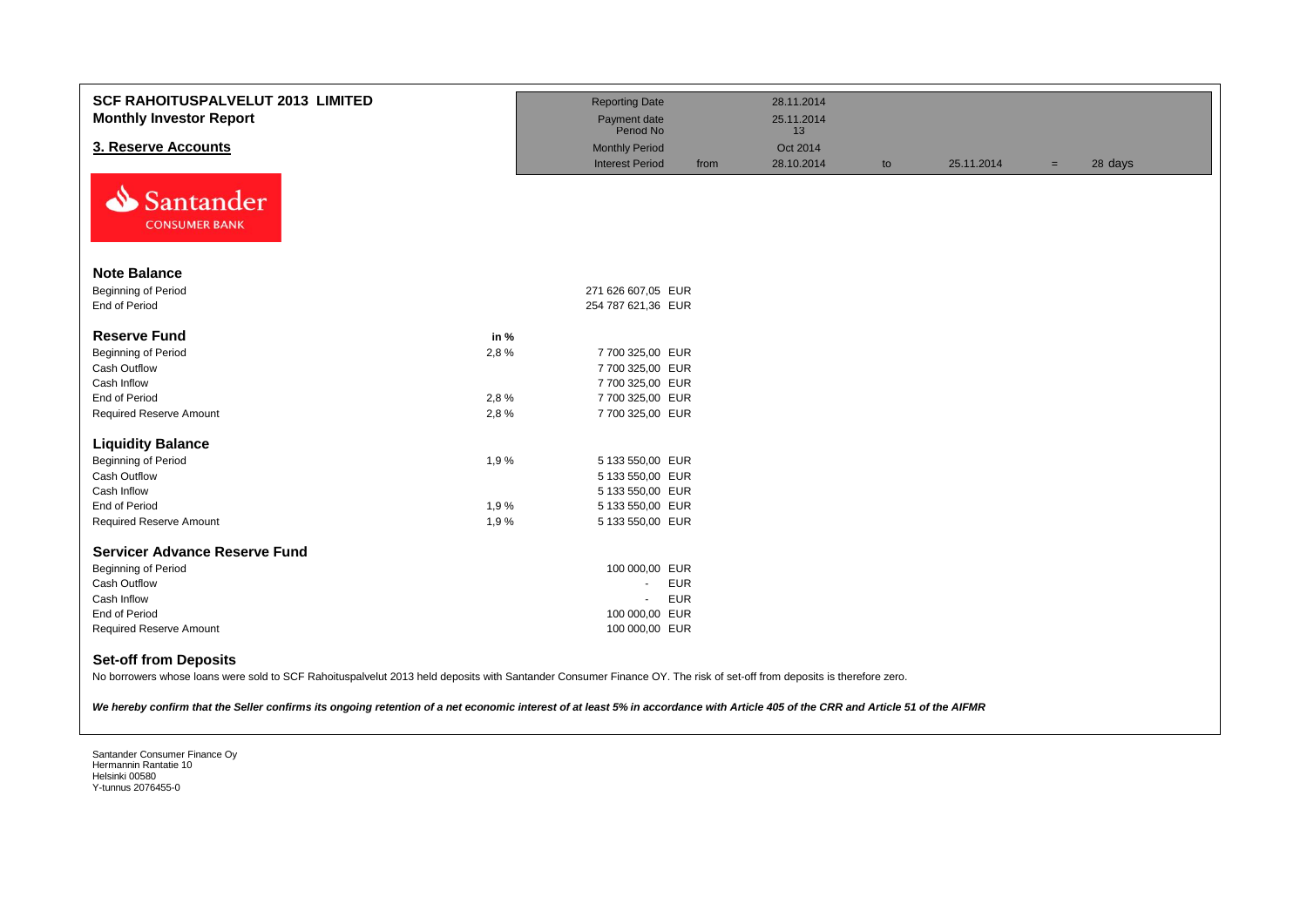| <b>SCF RAHOITUSPALVELUT 2013 LIMITED</b><br><b>Monthly Investor Report</b>                                                                                                                             |      | <b>Reporting Date</b><br>Payment date<br>Period No |      | 28.11.2014<br>25.11.2014 |    |            |     |         |
|--------------------------------------------------------------------------------------------------------------------------------------------------------------------------------------------------------|------|----------------------------------------------------|------|--------------------------|----|------------|-----|---------|
| 3. Reserve Accounts                                                                                                                                                                                    |      |                                                    |      | 13                       |    |            |     |         |
|                                                                                                                                                                                                        |      | <b>Monthly Period</b><br><b>Interest Period</b>    | from | Oct 2014<br>28.10.2014   |    | 25.11.2014 |     | 28 days |
| N<br>Santander<br><b>CONSUMER BANK</b>                                                                                                                                                                 |      |                                                    |      |                          | to |            | $=$ |         |
| <b>Note Balance</b>                                                                                                                                                                                    |      |                                                    |      |                          |    |            |     |         |
| <b>Beginning of Period</b>                                                                                                                                                                             |      | 271 626 607,05 EUR                                 |      |                          |    |            |     |         |
| End of Period                                                                                                                                                                                          |      | 254 787 621,36 EUR                                 |      |                          |    |            |     |         |
|                                                                                                                                                                                                        |      |                                                    |      |                          |    |            |     |         |
| <b>Reserve Fund</b>                                                                                                                                                                                    | in % |                                                    |      |                          |    |            |     |         |
| <b>Beginning of Period</b>                                                                                                                                                                             | 2,8% | 7 700 325,00 EUR                                   |      |                          |    |            |     |         |
| Cash Outflow                                                                                                                                                                                           |      | 7 700 325,00 EUR                                   |      |                          |    |            |     |         |
| Cash Inflow                                                                                                                                                                                            |      | 7 700 325,00 EUR                                   |      |                          |    |            |     |         |
| End of Period                                                                                                                                                                                          | 2,8% | 7 700 325,00 EUR                                   |      |                          |    |            |     |         |
| <b>Required Reserve Amount</b>                                                                                                                                                                         | 2,8% | 7 700 325,00 EUR                                   |      |                          |    |            |     |         |
| <b>Liquidity Balance</b>                                                                                                                                                                               |      |                                                    |      |                          |    |            |     |         |
| <b>Beginning of Period</b>                                                                                                                                                                             | 1,9% | 5 133 550,00 EUR                                   |      |                          |    |            |     |         |
| Cash Outflow                                                                                                                                                                                           |      | 5 133 550,00 EUR                                   |      |                          |    |            |     |         |
| Cash Inflow                                                                                                                                                                                            |      | 5 133 550,00 EUR                                   |      |                          |    |            |     |         |
| End of Period                                                                                                                                                                                          | 1,9% | 5 133 550,00 EUR                                   |      |                          |    |            |     |         |
| <b>Required Reserve Amount</b>                                                                                                                                                                         | 1,9% | 5 133 550,00 EUR                                   |      |                          |    |            |     |         |
|                                                                                                                                                                                                        |      |                                                    |      |                          |    |            |     |         |
| <b>Servicer Advance Reserve Fund</b>                                                                                                                                                                   |      |                                                    |      |                          |    |            |     |         |
| <b>Beginning of Period</b>                                                                                                                                                                             |      | 100 000,00 EUR                                     |      |                          |    |            |     |         |
| Cash Outflow                                                                                                                                                                                           |      | <b>EUR</b><br>$\sim$                               |      |                          |    |            |     |         |
| Cash Inflow                                                                                                                                                                                            |      | <b>EUR</b>                                         |      |                          |    |            |     |         |
| End of Period                                                                                                                                                                                          |      | 100 000,00 EUR                                     |      |                          |    |            |     |         |
| <b>Required Reserve Amount</b>                                                                                                                                                                         |      | 100 000,00 EUR                                     |      |                          |    |            |     |         |
| <b>Set-off from Deposits</b><br>No borrowers whose loans were sold to SCF Rahoituspalvelut 2013 held deposits with Santander Consumer Finance OY. The risk of set-off from deposits is therefore zero. |      |                                                    |      |                          |    |            |     |         |

*We hereby confirm that the Seller confirms its ongoing retention of a net economic interest of at least 5% in accordance with Article 405 of the CRR and Article 51 of the AIFMR*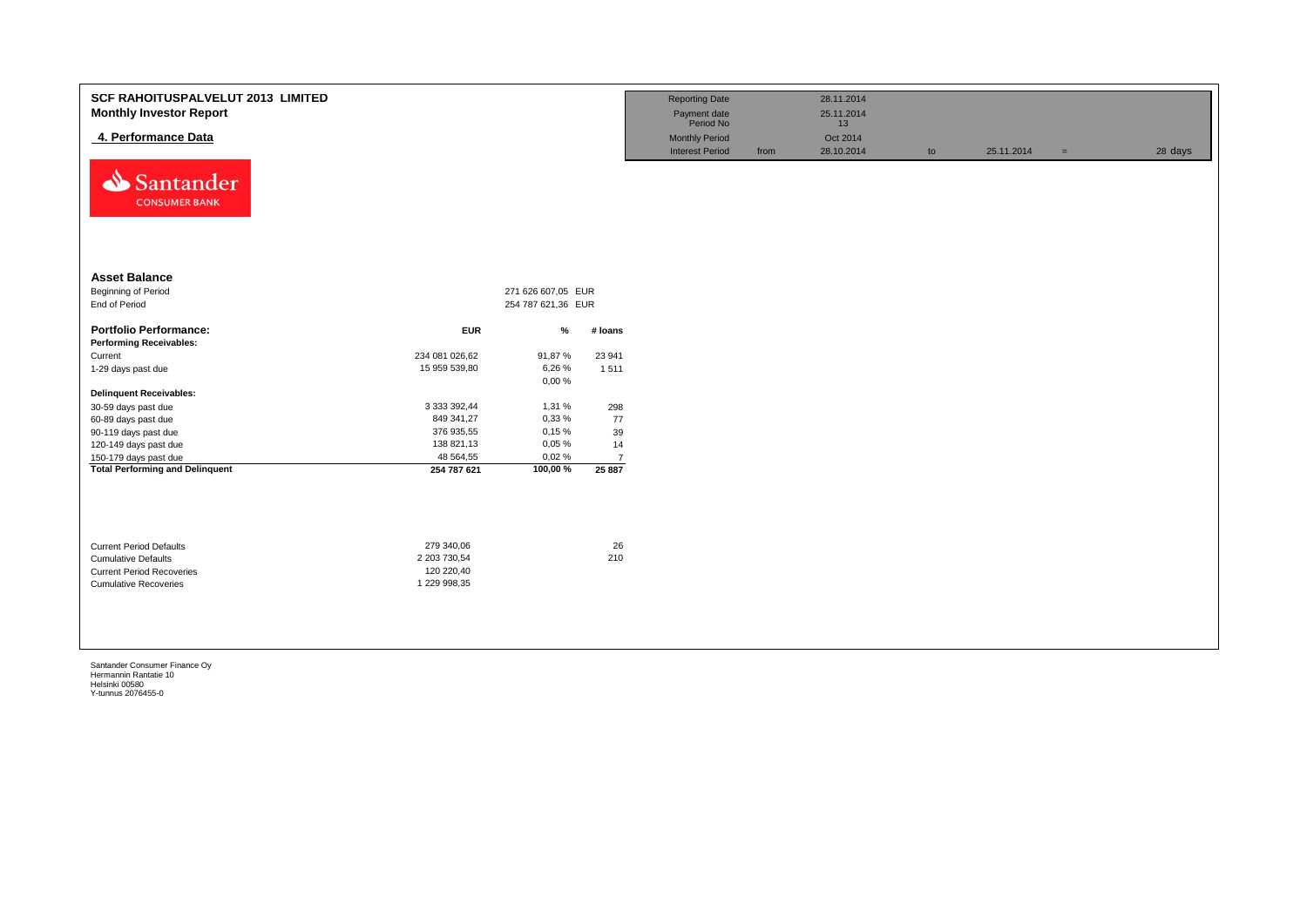| <b>SCF RAHOITUSPALVELUT 2013 LIMITED</b><br><b>Monthly Investor Report</b><br>4. Performance Data<br>⇘<br>Santander<br><b>CONSUMER BANK</b> |                                                          |                                          |                | <b>Reporting Date</b><br>Payment date<br>Period No<br><b>Monthly Period</b><br><b>Interest Period</b> | from | 28.11.2014<br>25.11.2014<br>13<br>Oct 2014<br>28.10.2014 | to | 25.11.2014 | $\equiv$ | 28 days |
|---------------------------------------------------------------------------------------------------------------------------------------------|----------------------------------------------------------|------------------------------------------|----------------|-------------------------------------------------------------------------------------------------------|------|----------------------------------------------------------|----|------------|----------|---------|
| <b>Asset Balance</b><br><b>Beginning of Period</b><br>End of Period                                                                         |                                                          | 271 626 607,05 EUR<br>254 787 621,36 EUR |                |                                                                                                       |      |                                                          |    |            |          |         |
| <b>Portfolio Performance:</b><br><b>Performing Receivables:</b>                                                                             | <b>EUR</b>                                               | $\%$                                     | # Ioans        |                                                                                                       |      |                                                          |    |            |          |         |
| Current                                                                                                                                     | 234 081 026,62                                           | 91,87%                                   | 23 941         |                                                                                                       |      |                                                          |    |            |          |         |
| 1-29 days past due                                                                                                                          | 15 959 539,80                                            | 6,26%<br>0,00%                           | 1 5 1 1        |                                                                                                       |      |                                                          |    |            |          |         |
| <b>Delinquent Receivables:</b>                                                                                                              |                                                          |                                          |                |                                                                                                       |      |                                                          |    |            |          |         |
| 30-59 days past due                                                                                                                         | 3 333 392,44                                             | 1,31 %                                   | 298            |                                                                                                       |      |                                                          |    |            |          |         |
| 60-89 days past due                                                                                                                         | 849 341,27                                               | 0,33%                                    | 77             |                                                                                                       |      |                                                          |    |            |          |         |
| 90-119 days past due                                                                                                                        | 376 935,55                                               | 0,15%                                    | 39             |                                                                                                       |      |                                                          |    |            |          |         |
| 120-149 days past due                                                                                                                       | 138 821,13                                               | 0,05%                                    | 14             |                                                                                                       |      |                                                          |    |            |          |         |
| 150-179 days past due                                                                                                                       | 48 564,55                                                | 0,02%                                    | $\overline{7}$ |                                                                                                       |      |                                                          |    |            |          |         |
| <b>Total Performing and Delinquent</b>                                                                                                      | 254 787 621                                              | 100,00%                                  | 25 887         |                                                                                                       |      |                                                          |    |            |          |         |
| <b>Current Period Defaults</b><br><b>Cumulative Defaults</b><br><b>Current Period Recoveries</b><br><b>Cumulative Recoveries</b>            | 279 340,06<br>2 203 730,54<br>120 220,40<br>1 229 998,35 |                                          | 26<br>210      |                                                                                                       |      |                                                          |    |            |          |         |
|                                                                                                                                             |                                                          |                                          |                |                                                                                                       |      |                                                          |    |            |          |         |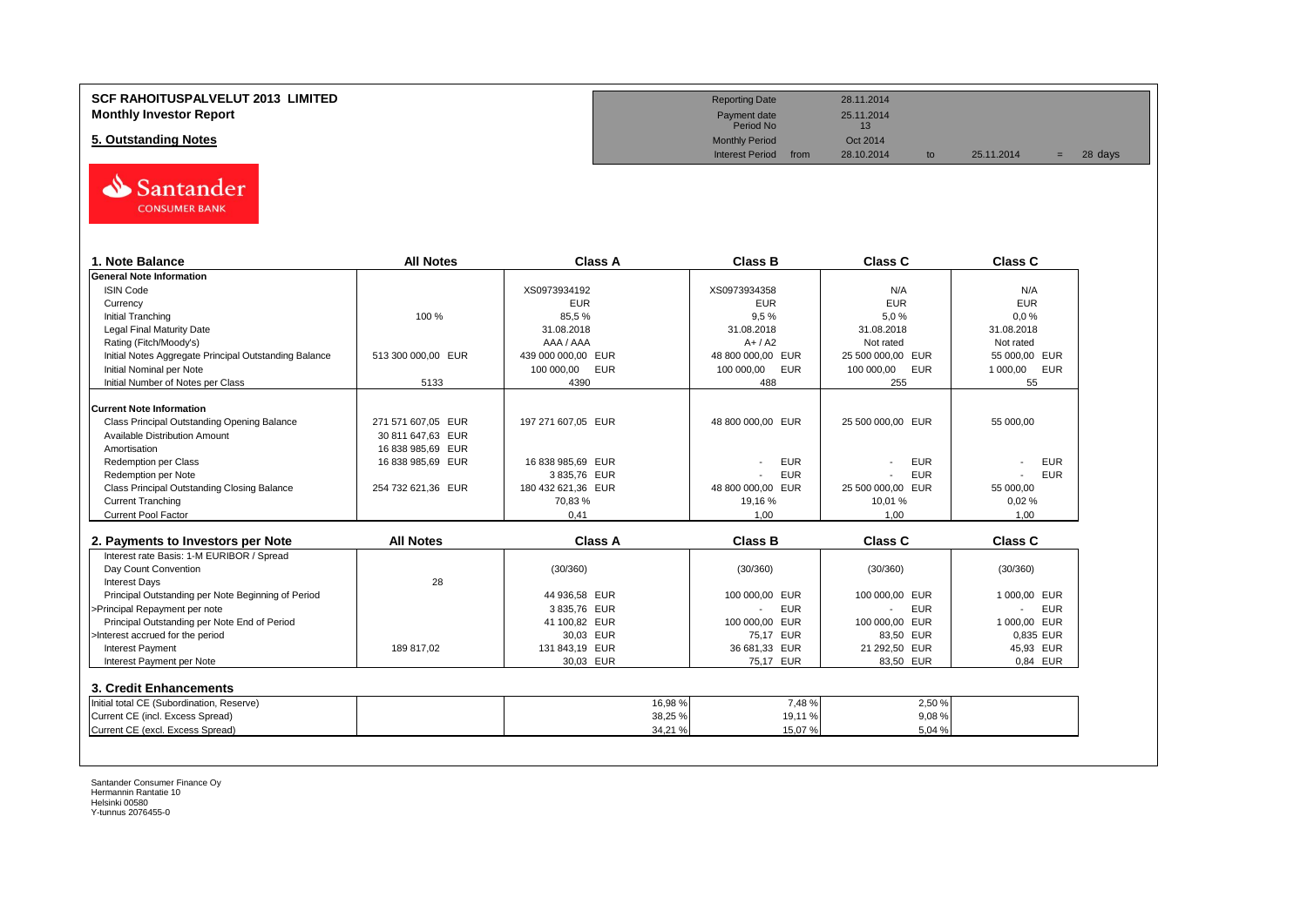# **Monthly Investor Report**



| 1. Note Balance                                       | <b>All Notes</b>   | <b>Class A</b>           | <b>Class B</b>     | Class C           | <b>Class C</b>  |
|-------------------------------------------------------|--------------------|--------------------------|--------------------|-------------------|-----------------|
| General Note Information                              |                    |                          |                    |                   |                 |
| <b>ISIN Code</b>                                      |                    | XS0973934192             | XS0973934358       | N/A               | N/A             |
| Currency                                              |                    | <b>EUR</b>               | <b>EUR</b>         | <b>EUR</b>        | <b>EUR</b>      |
| <b>Initial Tranching</b>                              | 100 %              | 85,5%                    | 9.5%               | 5,0%              | 0.0%            |
| <b>Legal Final Maturity Date</b>                      |                    | 31.08.2018               | 31.08.2018         | 31.08.2018        | 31.08.2018      |
| Rating (Fitch/Moody's)                                |                    | AAA / AAA                | $A+/A2$            | Not rated         | Not rated       |
| Initial Notes Aggregate Principal Outstanding Balance | 513 300 000,00 EUR | 439 000 000,00 EUR       | 48 800 000,00 EUR  | 25 500 000,00 EUR | 55 000,00 EUR   |
| Initial Nominal per Note                              |                    | 100 000,00<br><b>EUR</b> | 100 000,00<br>EUR  | 100 000,00<br>EUR | 1 000,00<br>EUR |
| Initial Number of Notes per Class                     | 5133               | 4390                     | 488                | 255               | 55              |
|                                                       |                    |                          |                    |                   |                 |
| <b>Current Note Information</b>                       |                    |                          |                    |                   |                 |
| Class Principal Outstanding Opening Balance           | 271 571 607.05 EUR | 197 271 607.05 EUR       | 48 800 000,00 EUR  | 25 500 000,00 EUR | 55 000,00       |
| <b>Available Distribution Amount</b>                  | 30 811 647,63 EUR  |                          |                    |                   |                 |
| Amortisation                                          | 16 838 985,69 EUR  |                          |                    |                   |                 |
| <b>Redemption per Class</b>                           | 16 838 985,69 EUR  | 16 838 985.69 EUR        | <b>EUR</b>         | <b>EUR</b>        | <b>EUR</b>      |
| Redemption per Note                                   |                    | 3835.76 EUR              | <b>EUR</b>         | <b>EUR</b>        | <b>EUR</b>      |
| Class Principal Outstanding Closing Balance           | 254 732 621.36 EUR | 180 432 621.36 EUR       | 48 800 000.00 EUR  | 25 500 000,00 EUR | 55 000.00       |
| <b>Current Tranching</b>                              |                    | 70,83%                   | 19,16 %            | 10,01 %           | 0,02%           |
| <b>Current Pool Factor</b>                            |                    | 0.41                     | 1.00               | 1.00              | 1.00            |
|                                                       |                    |                          |                    |                   |                 |
| 2. Payments to Investors per Note                     | <b>All Notes</b>   | <b>Class A</b>           | <b>Class B</b>     | <b>Class C</b>    | <b>Class C</b>  |
| Interest rate Basis: 1-M EURIBOR / Spread             |                    |                          |                    |                   |                 |
| Day Count Convention                                  |                    | (30/360)                 | (30/360)           | (30/360)          | (30/360)        |
| <b>Interest Days</b>                                  | 28                 |                          |                    |                   |                 |
| Principal Outstanding per Note Beginning of Period    |                    | 44 936,58 EUR            | 100 000.00 EUR     | 100 000.00 EUR    | 1 000,00 EUR    |
| >Principal Repayment per note                         |                    | 3 835,76 EUR             | <b>EUR</b>         | <b>EUR</b>        | <b>EUR</b>      |
| Principal Outstanding per Note End of Period          |                    | 41 100,82 EUR            | 100 000,00 EUR     | 100 000.00 EUR    | 1 000,00 EUR    |
| >Interest accrued for the period                      |                    | 30.03 EUR                | 75,17 EUR          | 83,50 EUR         | 0.835 EUR       |
| <b>Interest Payment</b>                               | 189 817,02         | 131 843,19 EUR           | 36 681,33 EUR      | 21 292,50 EUR     | 45,93 EUR       |
| Interest Payment per Note                             |                    | 30,03 EUR                | 75.17 EUR          | 83.50 EUR         | 0.84 EUR        |
|                                                       |                    |                          |                    |                   |                 |
| 3. Credit Enhancements                                |                    |                          |                    |                   |                 |
| Initial total CE (Subordination, Reserve)             |                    |                          | 16,98%<br>7,48%    | 2,50 %            |                 |
| Current CE (incl. Excess Spread)                      |                    |                          | 38,25 %<br>19,11 % | 9,08%             |                 |
| Current CE (excl. Excess Spread)                      |                    |                          | 34,21 %<br>15,07%  | 5,04 %            |                 |

Santander Consumer Finance Oy Hermannin Rantatie 10 Helsinki 00580 Y-tunnus 2076455-0

**SCF RAHOITUSPALVELUT 2013 LIMITED**<br> **Monthly Investor Report** 28.11.2014<br>
Period No 25.11.2014<br>
Period No 13 Payment date<br>Period No **5. Outstanding Notes** Monthly Period Det 2014<br> **5. Outstanding Notes** Oct 2014<br>
Interest Period from 28.10.2014 Interest Period from 28.10.2014 to 25.11.2014 = 28 days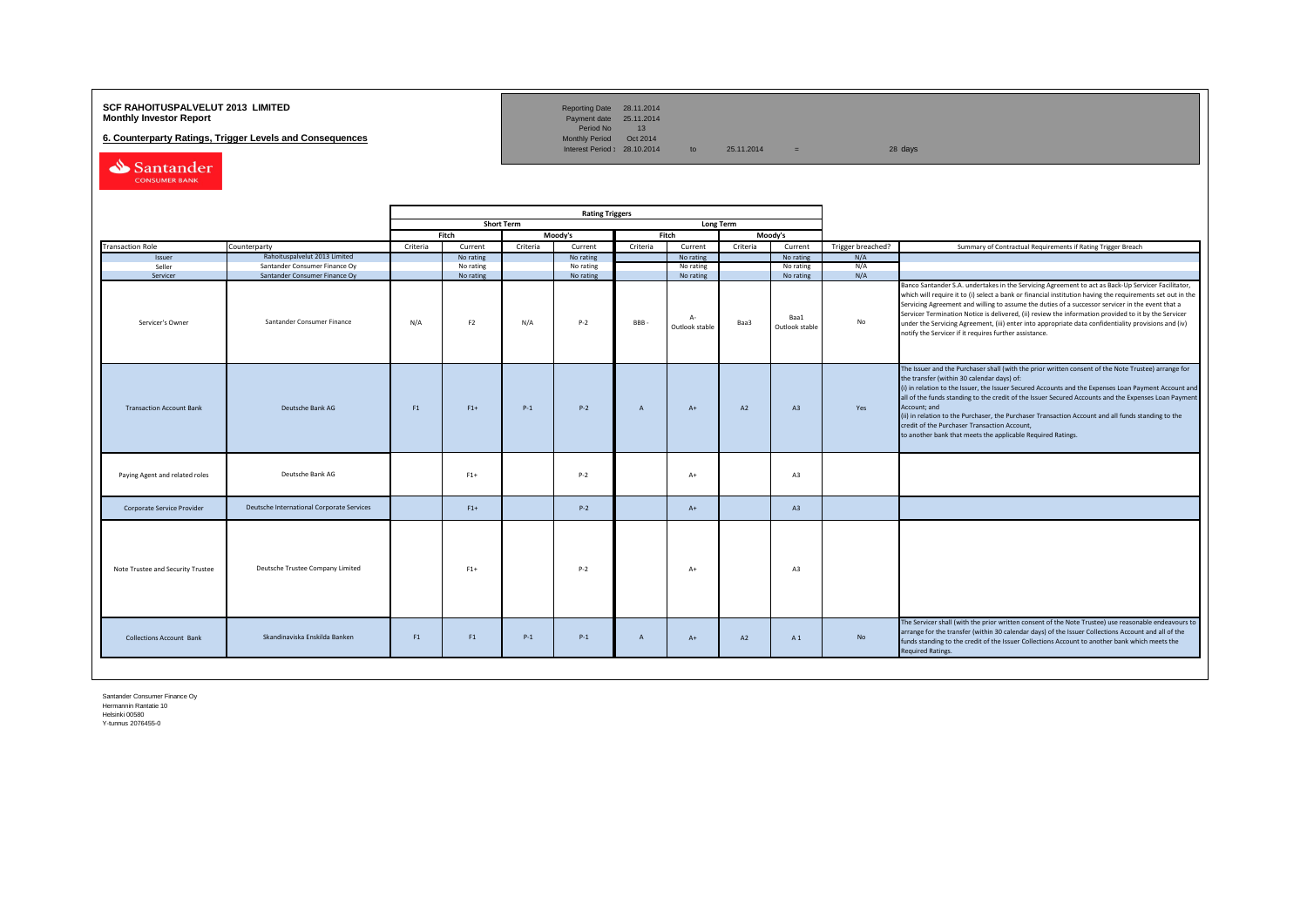### **SCF RAHOITUSPALVELUT 2013 LIMITED**<br>**Monthly Investor Report** Payment date 25.11.2014

**6. Counterparty Ratings, Trigger Levels and Consequences** 

Reporting Date 28.11.2014<br>Payment date 25.11.2014<br>Period No 13<br>Monthly Period Oct 2014

Interest Period:  $28.10.2014$  to  $25.11.2014$  = 28 days

Santander

|                                   |                                           | <b>Rating Triggers</b> |                |                   |           |              |                         |                  |                        |                   |                                                                                                                                                                                                                                                                                                                                                                                                                                                                                                                                                                                                        |
|-----------------------------------|-------------------------------------------|------------------------|----------------|-------------------|-----------|--------------|-------------------------|------------------|------------------------|-------------------|--------------------------------------------------------------------------------------------------------------------------------------------------------------------------------------------------------------------------------------------------------------------------------------------------------------------------------------------------------------------------------------------------------------------------------------------------------------------------------------------------------------------------------------------------------------------------------------------------------|
|                                   |                                           |                        |                | <b>Short Term</b> |           |              |                         | <b>Long Term</b> |                        |                   |                                                                                                                                                                                                                                                                                                                                                                                                                                                                                                                                                                                                        |
|                                   |                                           |                        | Fitch          |                   | Moody's   |              | Fitch                   |                  | Moody's                |                   |                                                                                                                                                                                                                                                                                                                                                                                                                                                                                                                                                                                                        |
| <b>Transaction Role</b>           | Counterparty                              | Criteria               | Current        | Criteria          | Current   | Criteria     | Current                 | Criteria         | Current                | Trigger breached? | Summary of Contractual Requirements if Rating Trigger Breach                                                                                                                                                                                                                                                                                                                                                                                                                                                                                                                                           |
| Issuer                            | Rahoituspalvelut 2013 Limited             |                        | No rating      |                   | No rating |              | No rating               |                  | No rating              | N/A               |                                                                                                                                                                                                                                                                                                                                                                                                                                                                                                                                                                                                        |
| Seller                            | Santander Consumer Finance Oy             |                        | No rating      |                   | No rating |              | No rating               |                  | No rating              | N/A               |                                                                                                                                                                                                                                                                                                                                                                                                                                                                                                                                                                                                        |
| Servicer                          | Santander Consumer Finance Oy             |                        | No rating      |                   | No rating |              | No rating               |                  | No rating              | N/A               |                                                                                                                                                                                                                                                                                                                                                                                                                                                                                                                                                                                                        |
| Servicer's Owner                  | Santander Consumer Finance                | N/A                    | F <sub>2</sub> | N/A               | $P-2$     | <b>BBB</b>   | $A -$<br>Outlook stable | Baa3             | Baa1<br>Outlook stable | No                | Banco Santander S.A. undertakes in the Servicing Agreement to act as Back-Up Servicer Facilitator,<br>which will require it to (i) select a bank or financial institution having the requirements set out in the<br>Servicing Agreement and willing to assume the duties of a successor servicer in the event that a<br>Servicer Termination Notice is delivered, (ii) review the information provided to it by the Servicer<br>under the Servicing Agreement, (iii) enter into appropriate data confidentiality provisions and (iv)<br>notify the Servicer if it requires further assistance.         |
| <b>Transaction Account Bank</b>   | Deutsche Bank AG                          | F1                     | $F1+$          | $P-1$             | $P-2$     | A            | $A+$                    | A2               | A3                     | Yes               | The Issuer and the Purchaser shall (with the prior written consent of the Note Trustee) arrange for<br>the transfer (within 30 calendar days) of:<br>(i) in relation to the Issuer, the Issuer Secured Accounts and the Expenses Loan Payment Account and<br>all of the funds standing to the credit of the Issuer Secured Accounts and the Expenses Loan Payment<br>Account; and<br>(ii) in relation to the Purchaser, the Purchaser Transaction Account and all funds standing to the<br>credit of the Purchaser Transaction Account,<br>to another bank that meets the applicable Required Ratings. |
| Paying Agent and related roles    | Deutsche Bank AG                          |                        | $F1+$          |                   | $P-2$     |              | $A+$                    |                  | A3                     |                   |                                                                                                                                                                                                                                                                                                                                                                                                                                                                                                                                                                                                        |
| Corporate Service Provider        | Deutsche International Corporate Services |                        | $F1+$          |                   | $P-2$     |              | $A+$                    |                  | A3                     |                   |                                                                                                                                                                                                                                                                                                                                                                                                                                                                                                                                                                                                        |
| Note Trustee and Security Trustee | Deutsche Trustee Company Limited          |                        | $F1+$          |                   | $P-2$     |              | $A+$                    |                  | A3                     |                   |                                                                                                                                                                                                                                                                                                                                                                                                                                                                                                                                                                                                        |
| <b>Collections Account Bank</b>   | Skandinaviska Enskilda Banken             | F1                     | F1             | $P-1$             | $P-1$     | $\mathsf{A}$ | $A+$                    | A2               | A 1                    | No                | The Servicer shall (with the prior written consent of the Note Trustee) use reasonable endeavours to<br>arrange for the transfer (within 30 calendar days) of the Issuer Collections Account and all of the<br>funds standing to the credit of the Issuer Collections Account to another bank which meets the<br><b>Required Ratings.</b>                                                                                                                                                                                                                                                              |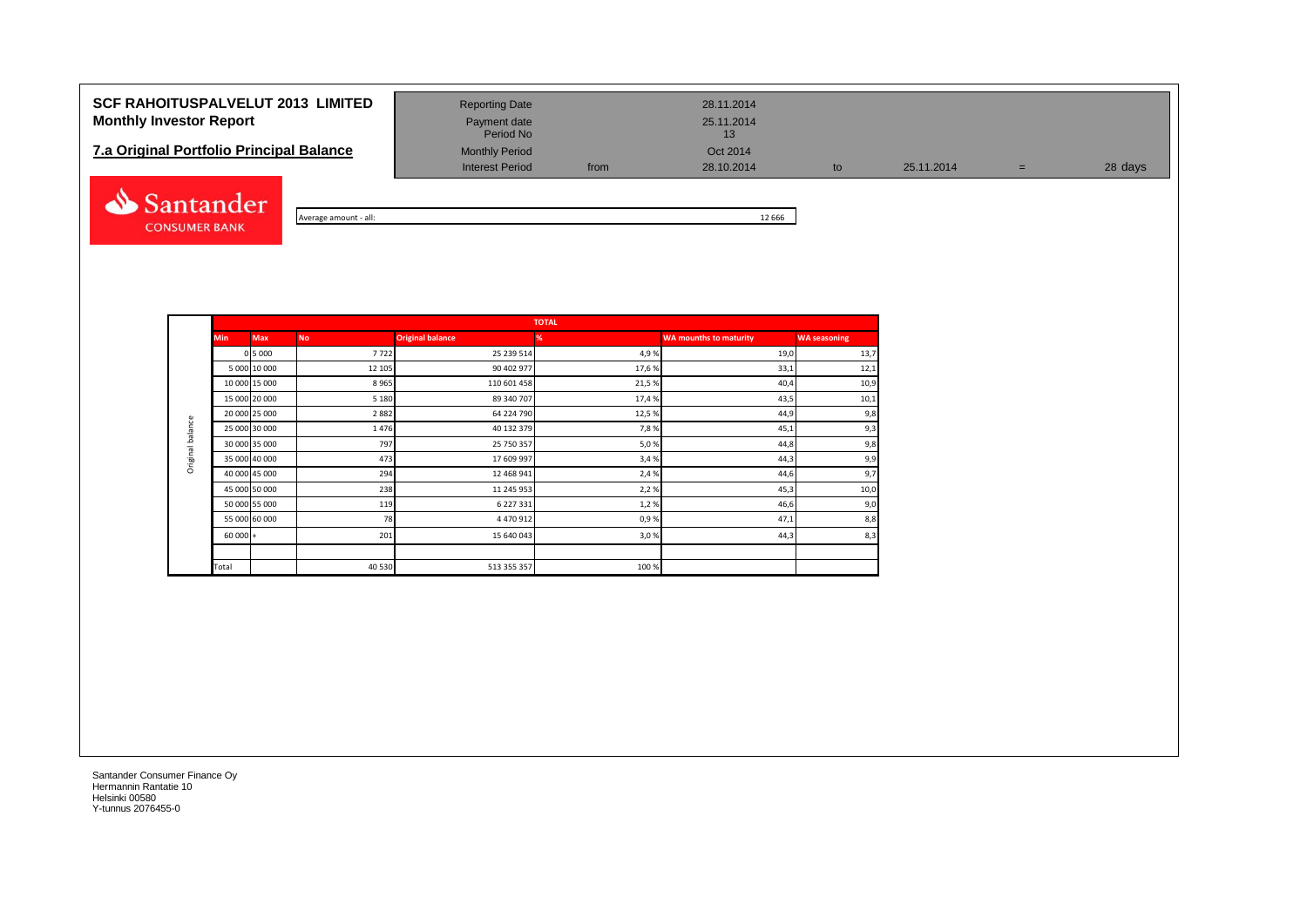## **SCF RAHOITUSPALVELUT 2013 LIMITED** Reporting Date 28.11.2014 **Monthly Investor Report Payment date** Payment date 25.11.2014

| <b>7.a Original Portfolio Principal Balance</b> | <b>Monthly Period</b> | Oct 2014 |            |
|-------------------------------------------------|-----------------------|----------|------------|
|                                                 | Interest Period       | from     | 28.10.2014 |



| Average amount<br>: - all: |  | 12 6 6 6 |
|----------------------------|--|----------|

Interest Period from 28.10.2014 to 25.11.2014 = 28 days

Period No

|                  |            |               |           |                         | <b>TOTAL</b> |                               |                     |
|------------------|------------|---------------|-----------|-------------------------|--------------|-------------------------------|---------------------|
|                  | <b>Min</b> | Max           | <b>No</b> | <b>Original balance</b> | %            | <b>WA mounths to maturity</b> | <b>WA seasoning</b> |
|                  |            | 0 5 0 0 0     | 7722      | 25 239 514              | 4,9%         | 19,0                          | 13,7                |
|                  |            | 5 000 10 000  | 12 105    | 90 402 977              | 17,6%        | 33,1                          | 12,1                |
|                  |            | 10 000 15 000 | 8965      | 110 601 458             | 21,5%        | 40,4                          | 10,9                |
|                  |            | 15 000 20 000 | 5 1 8 0   | 89 340 707              | 17,4 %       | 43,5                          | 10,1                |
|                  |            | 20 000 25 000 | 2882      | 64 224 790              | 12,5%        | 44,9                          | 9,8                 |
| Original balance |            | 25 000 30 000 | 1476      | 40 132 379              | 7,8%         | 45,1                          | 9,3                 |
|                  |            | 30 000 35 000 | 797       | 25 750 357              | 5,0%         | 44,8                          | 9,8                 |
|                  |            | 35 000 40 000 | 473       | 17 609 997              | 3,4%         | 44,3                          | 9,9                 |
|                  |            | 40 000 45 000 | 294       | 12 468 941              | 2,4 %        | 44,6                          | 9,7                 |
|                  |            | 45 000 50 000 | 238       | 11 245 953              | 2,2%         | 45,3                          | 10,0                |
|                  |            | 50 000 55 000 | 119       | 6 227 331               | 1,2%         | 46,6                          | 9,0                 |
|                  |            | 55 000 60 000 | 78        | 4 470 912               | 0,9%         | 47,1                          | 8,8                 |
|                  | $60000 +$  |               | 201       | 15 640 043              | 3,0%         | 44,3                          | 8,3                 |
|                  |            |               |           |                         |              |                               |                     |
|                  | Total      |               | 40 530    | 513 355 357             | 100%         |                               |                     |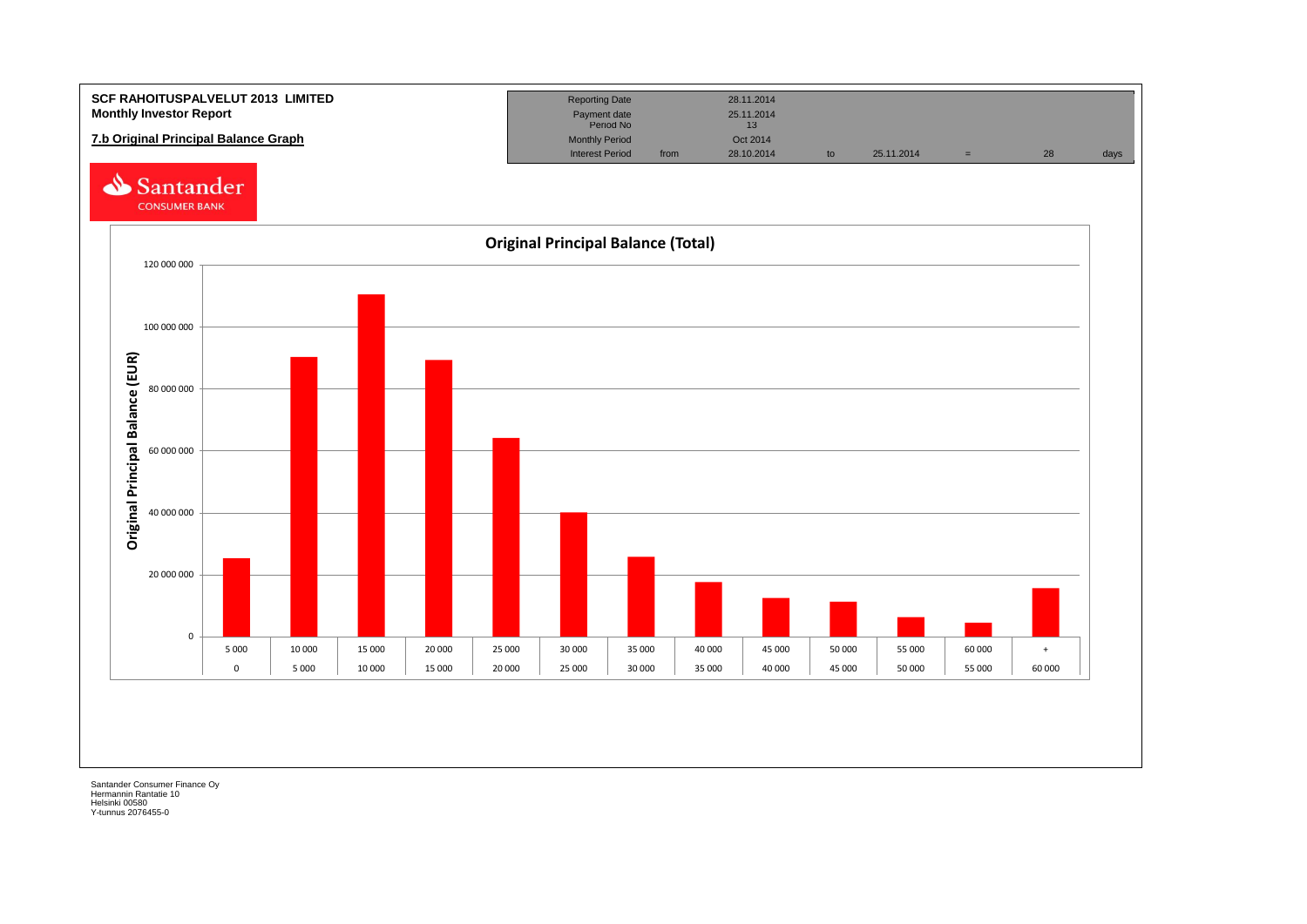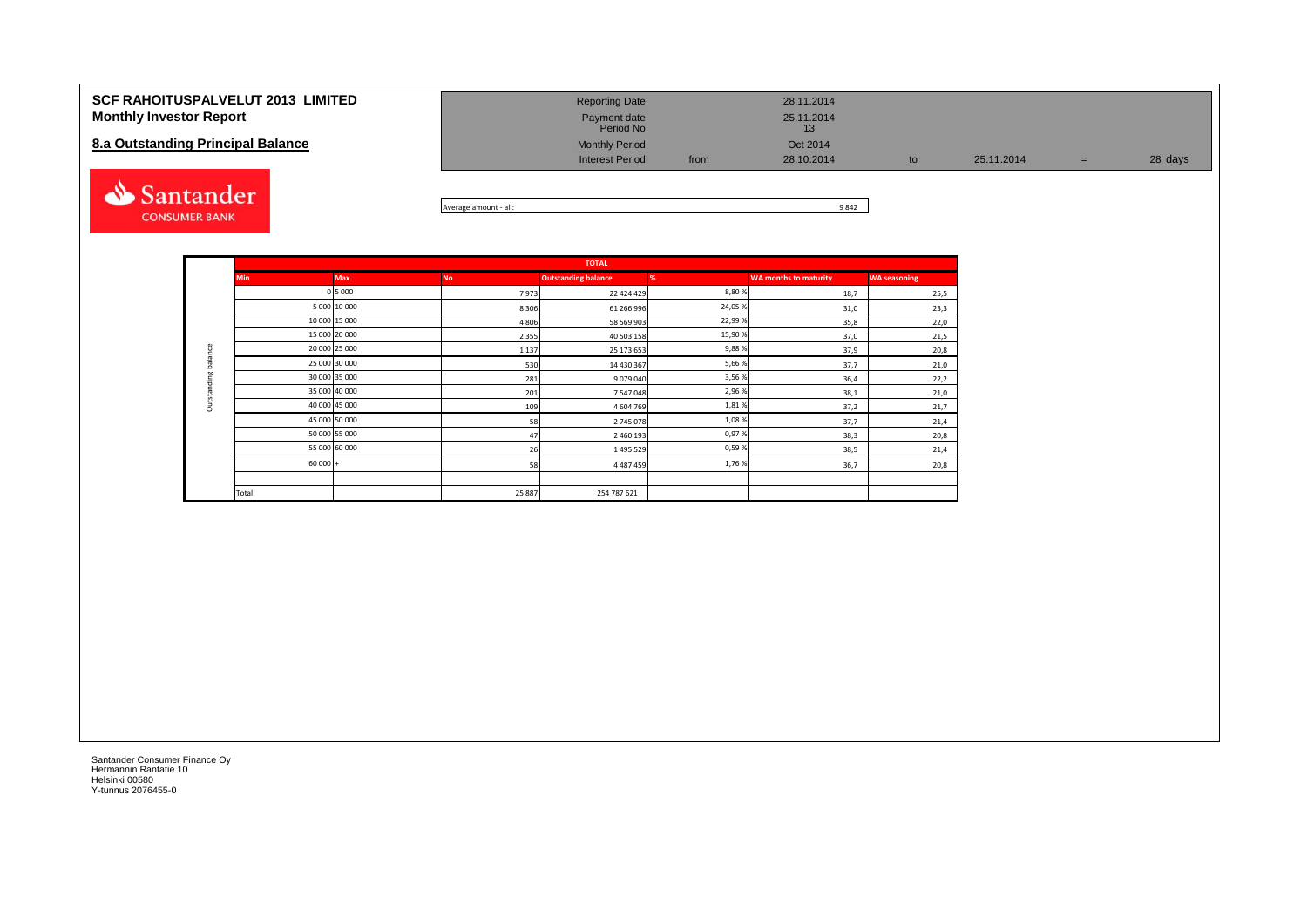| <b>SCF RAHOITUSPALVELUT 2013 LIMITED</b><br><b>Monthly Investor Report</b> | <b>Reporting Date</b><br>Payment date<br>Period No |      | 28.11.2014<br>25.11.2014<br>13 |            |     |         |
|----------------------------------------------------------------------------|----------------------------------------------------|------|--------------------------------|------------|-----|---------|
| 8.a Outstanding Principal Balance                                          | <b>Monthly Period</b><br><b>Interest Period</b>    | from | Oct 2014<br>28.10.2014         | 25.11.2014 | $=$ | 28 days |
| santander i                                                                |                                                    |      | 0.012                          |            |     |         |



|                     |            |               |           | <b>TOTAL</b>               |         |                              |                     |
|---------------------|------------|---------------|-----------|----------------------------|---------|------------------------------|---------------------|
|                     | <b>Min</b> | <b>Max</b>    | <b>No</b> | <b>Outstanding balance</b> | %       | <b>WA months to maturity</b> | <b>WA seasoning</b> |
|                     |            | 0 5 0 0 0     | 7973      | 22 424 429                 | 8,80%   | 18,7                         | 25,5                |
|                     |            | 5 000 10 000  | 8 3 0 6   | 61 266 996                 | 24,05%  | 31,0                         | 23,3                |
|                     |            | 10 000 15 000 | 4 8 0 6   | 58 569 903                 | 22,99%  | 35,8                         | 22,0                |
|                     |            | 15 000 20 000 | 2 3 5 5   | 40 503 158                 | 15,90 % | 37,0                         | 21,5                |
| Outstanding balance |            | 20 000 25 000 | 1 1 3 7   | 25 173 653                 | 9,88%   | 37,9                         | 20,8                |
|                     |            | 25 000 30 000 | 530       | 14 430 367                 | 5,66%   | 37,7                         | 21,0                |
|                     |            | 30 000 35 000 | 281       | 9079040                    | 3,56%   | 36,4                         | 22,2                |
|                     |            | 35 000 40 000 | 201       | 7547048                    | 2,96%   | 38,1                         | 21,0                |
|                     |            | 40 000 45 000 | 109       | 4604769                    | 1,81%   | 37,2                         | 21,7                |
|                     |            | 45 000 50 000 | 58        | 2745078                    | 1,08%   | 37,7                         | 21,4                |
|                     |            | 50 000 55 000 | 47        | 2 460 193                  | 0,97%   | 38,3                         | 20,8                |
|                     |            | 55 000 60 000 | 26        | 1495529                    | 0,59%   | 38,5                         | 21,4                |
|                     | $60000 +$  |               | 58        | 4 4 8 7 4 5 9              | 1,76%   | 36,7                         | 20,8                |
|                     |            |               |           |                            |         |                              |                     |
|                     | Total      |               | 25 887    | 254 787 621                |         |                              |                     |

**CONSUMER BANK**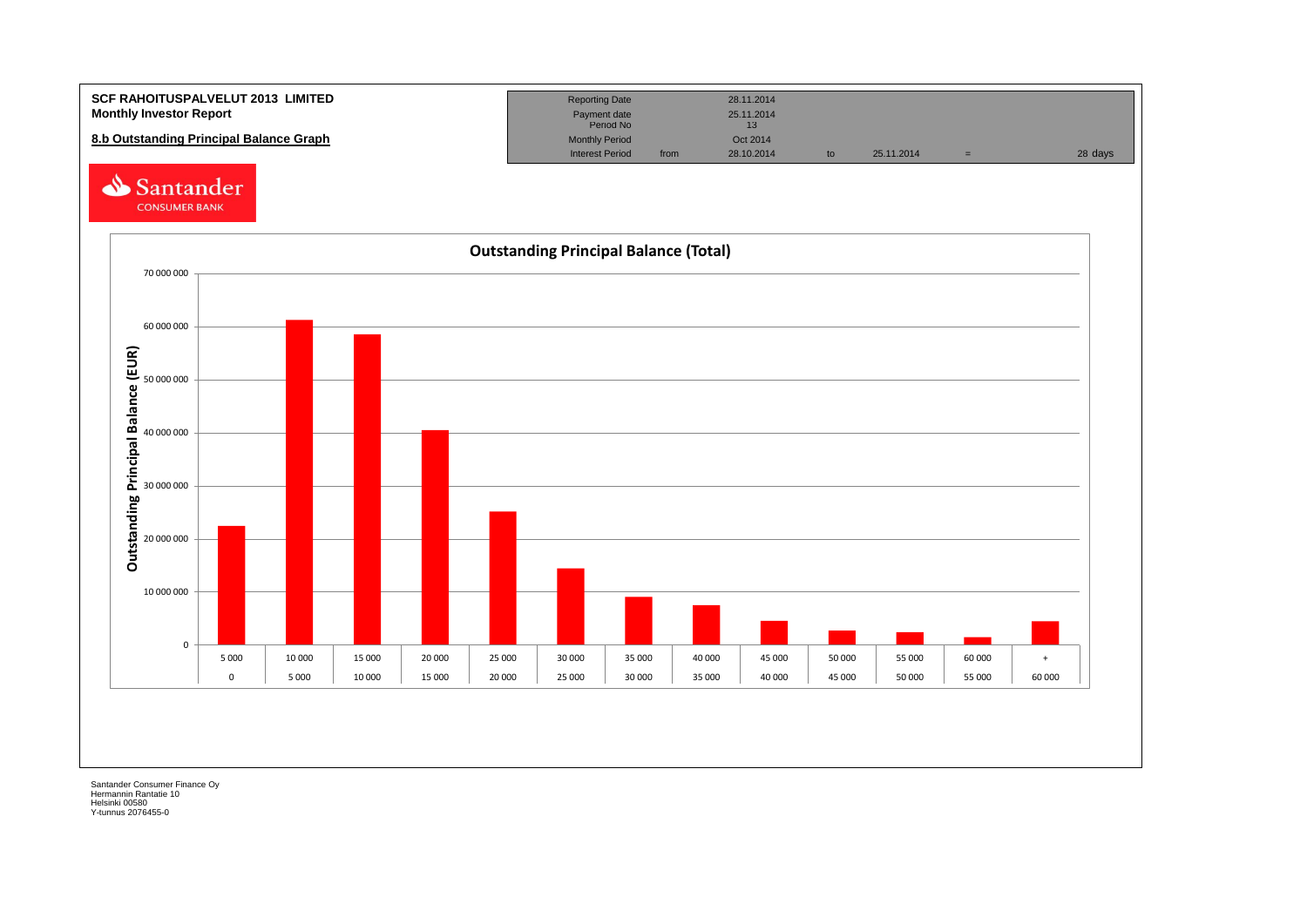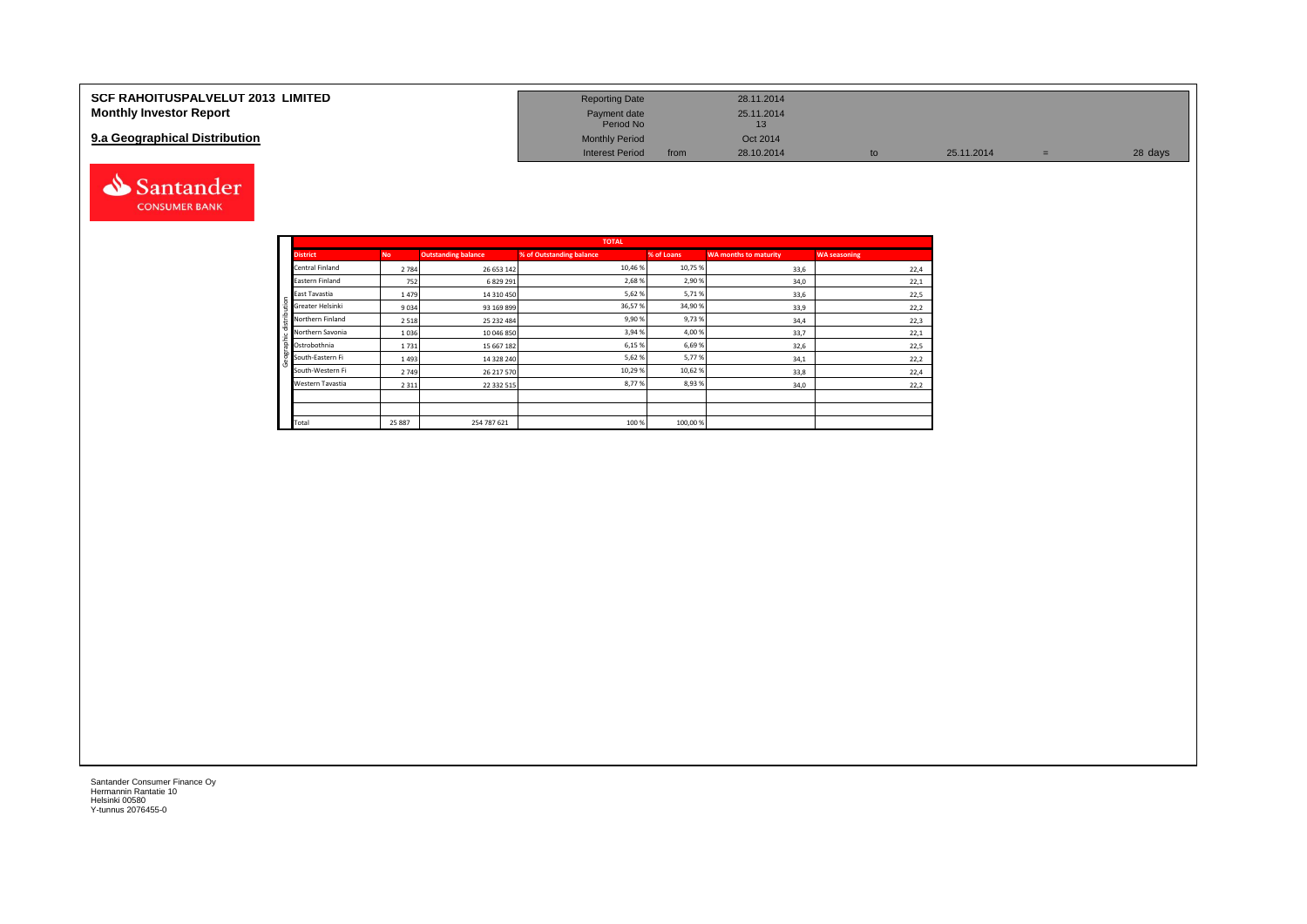| <b>SCF RAHOITUSPALVELUT 2013 LIMITED</b> | <b>Reporting Date</b>     |      | 28.11.2014 |    |            |         |
|------------------------------------------|---------------------------|------|------------|----|------------|---------|
| <b>Monthly Investor Report</b>           | Payment date<br>Period No |      | 25.11.2014 |    |            |         |
| 9.a Geographical Distribution            | <b>Monthly Period</b>     |      | Oct 2014   |    |            |         |
|                                          | <b>Interest Period</b>    | from | 28.10.2014 | to | 25.11.2014 | 28 days |



Geographic distribution

phic distribution

andei

|                        |           |                            | <b>TOTAL</b>             |            |                              |                     |
|------------------------|-----------|----------------------------|--------------------------|------------|------------------------------|---------------------|
| <b>District</b>        | <b>No</b> | <b>Outstanding balance</b> | % of Outstanding balance | % of Loans | <b>WA months to maturity</b> | <b>WA seasoning</b> |
| <b>Central Finland</b> | 2784      | 26 653 142                 | 10,46 %                  | 10,75 %    | 33,6                         | 22,4                |
| Eastern Finland        | 752       | 6 829 291                  | 2,68%                    | 2,90%      | 34,0                         | 22,1                |
| East Tavastia          | 1479      | 14 310 450                 | 5,62%                    | 5,71%      | 33,6                         | 22,5                |
| Greater Helsinki       | 9034      | 93 169 899                 | 36,57%                   | 34,90%     | 33,9                         | 22,2                |
| Northern Finland       | 2518      | 25 232 484                 | 9,90%                    | 9,73%      | 34,4                         | 22,3                |
| Northern Savonia       | 1036      | 10 046 850                 | 3,94 %                   | 4,00%      | 33,7                         | 22,1                |
| Ostrobothnia           | 1731      | 15 667 182                 | 6,15%                    | 6,69%      | 32,6                         | 22,5                |
| South-Eastern Fi       | 1493      | 14 328 240                 | 5,62%                    | 5,77%      | 34,1                         | 22,2                |
| South-Western Fi       | 2749      | 26 217 570                 | 10,29 %                  | 10,62%     | 33,8                         | 22,4                |
| Western Tavastia       | 2 3 1 1   | 22 332 515                 | 8,77%                    | 8,93%      | 34,0                         | 22,2                |
|                        |           |                            |                          |            |                              |                     |
|                        |           |                            |                          |            |                              |                     |
| Total                  | 25 887    | 254 787 621                | 100 %                    | 100,00%    |                              |                     |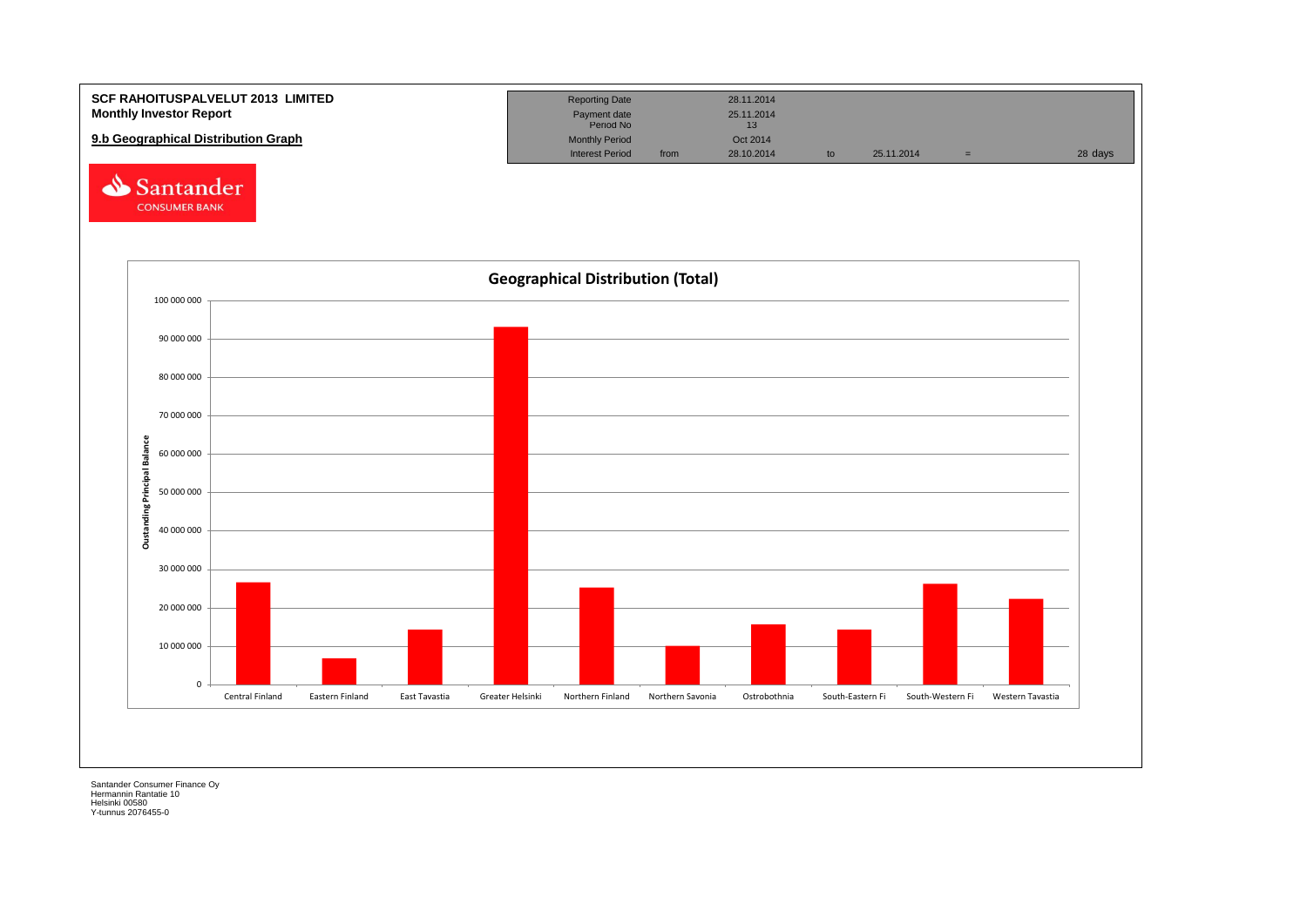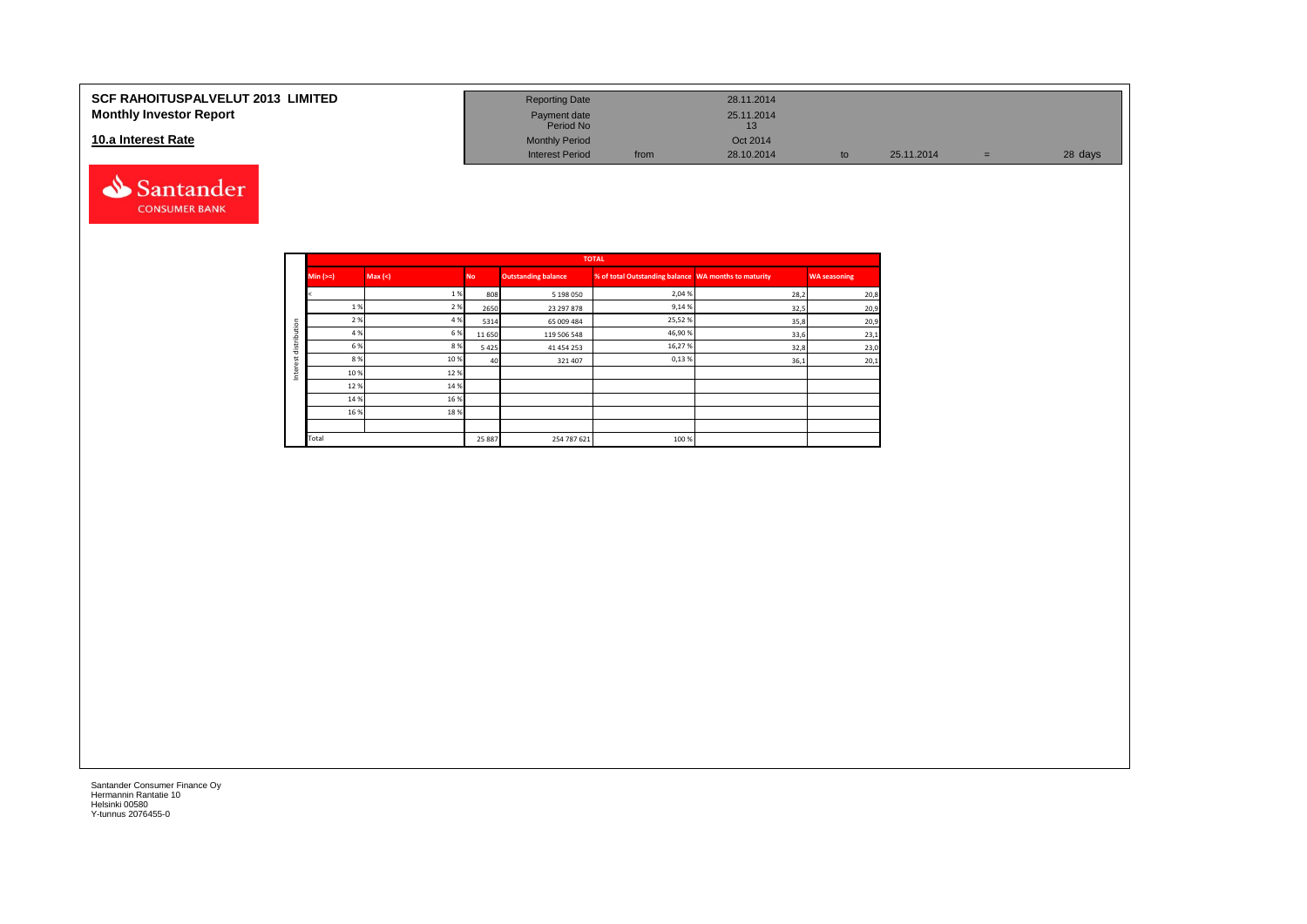#### **SCF RAHOITUSPALVELUT 2013 LIMITED Monthly Investor Report**

#### **10.a Interest Rate**



| <b>Reporting Date</b>     |      | 28.11.2014       |    |            |     |         |
|---------------------------|------|------------------|----|------------|-----|---------|
| Payment date<br>Period No |      | 25.11.2014<br>13 |    |            |     |         |
| <b>Monthly Period</b>     |      | Oct 2014         |    |            |     |         |
| <b>Interest Period</b>    | from | 28.10.2014       | to | 25.11.2014 | $=$ | 28 days |

|         |             |         |           |                            | <b>TOTAL</b>                                         |      |                     |
|---------|-------------|---------|-----------|----------------------------|------------------------------------------------------|------|---------------------|
|         | $Min (=)=)$ | Max (<) | <b>No</b> | <b>Outstanding balance</b> | % of total Outstanding balance WA months to maturity |      | <b>WA seasoning</b> |
|         |             | 1%      | 808       | 5 198 050                  | 2,04 %                                               | 28,2 | 20,8                |
|         | 1 %         | 2 %     | 2650      | 23 297 878                 | 9,14%                                                | 32,5 | 20,9                |
| ution   | 2 %         | 4 %     | 5314      | 65 009 484                 | 25,52%                                               | 35,8 | 20,9                |
|         | 4 %         | 6 %     | 11650     | 119 506 548                | 46,90%                                               | 33,6 | 23,1                |
| distrib | 6 %         | 8%      | 5425      | 41 454 253                 | 16,27%                                               | 32,8 | 23,0                |
|         | 8 %         | 10 %    | 40        | 321407                     | 0,13%                                                | 36,1 | 20,1                |
| ğ<br>Ξ  | 10%         | 12%     |           |                            |                                                      |      |                     |
|         | 12%         | 14 %    |           |                            |                                                      |      |                     |
|         | 14 %        | 16 %    |           |                            |                                                      |      |                     |
|         | 16 %        | 18%     |           |                            |                                                      |      |                     |
|         |             |         |           |                            |                                                      |      |                     |
|         | Total       |         | 25 887    | 254 787 621                | 100 %                                                |      |                     |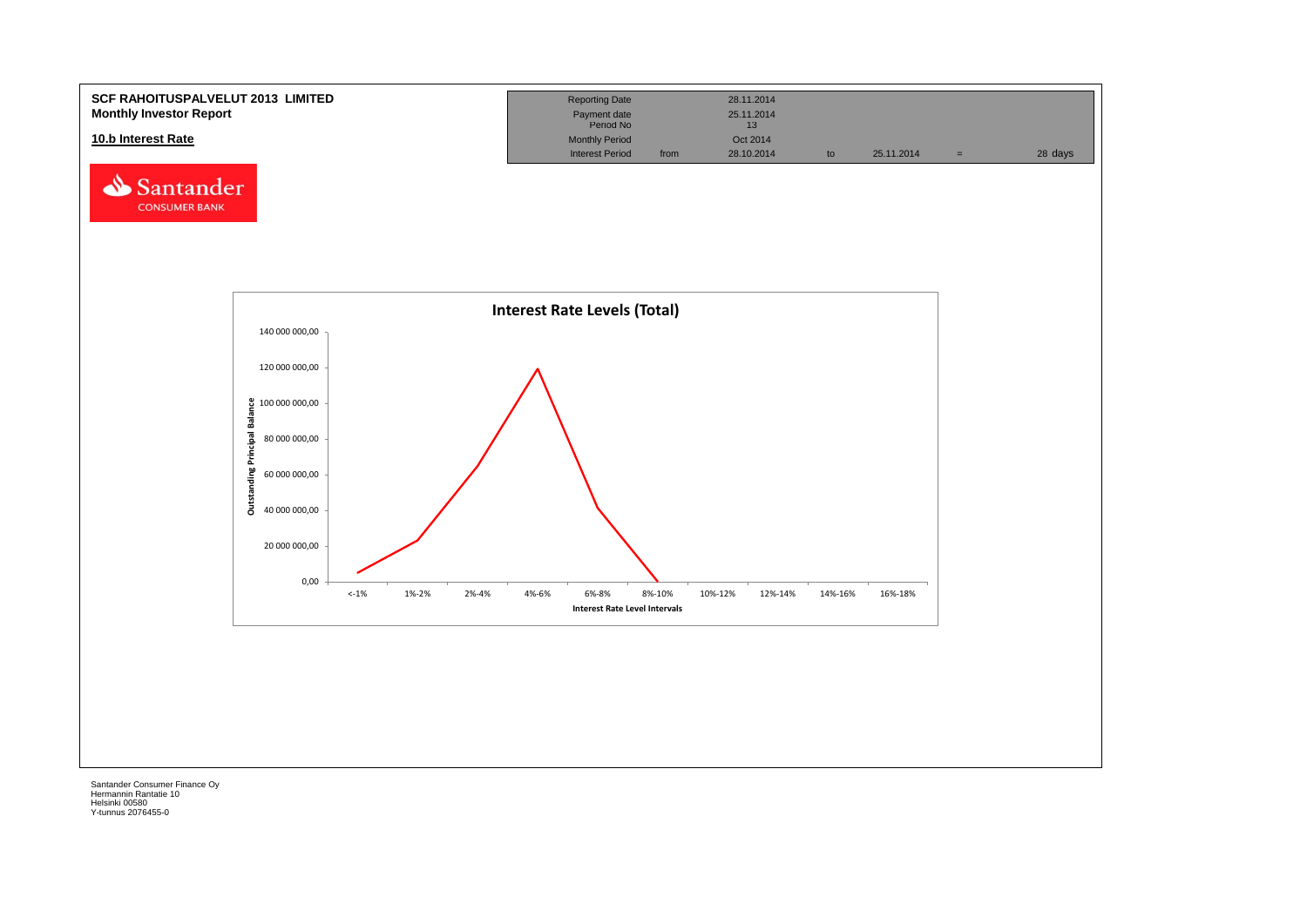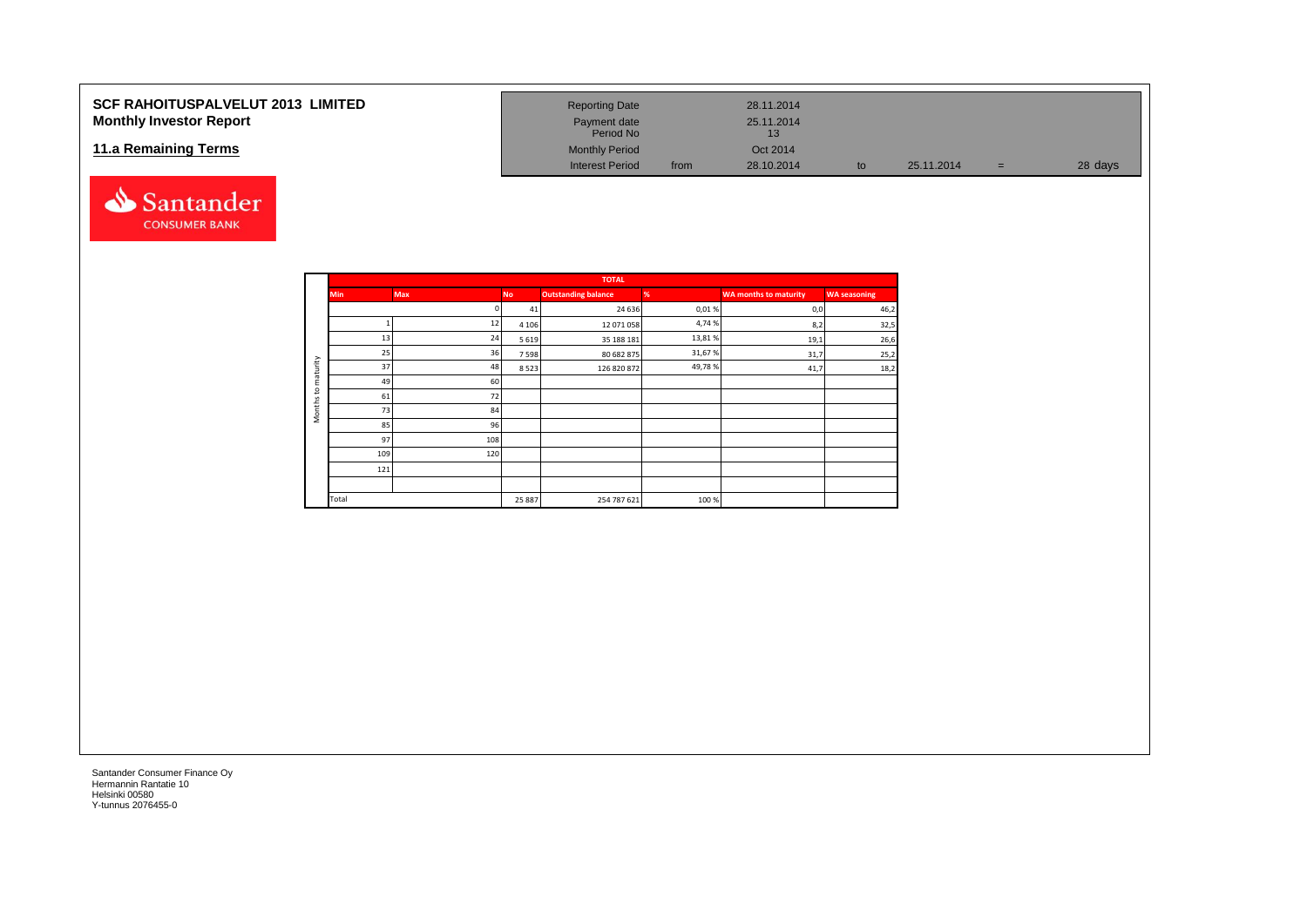#### **SCF RAHOITUSPALVELUT 2013 LIMITED Monthly Investor Report**

#### **11.a Remaining Terms**



| <b>Reporting Date</b>     |      | 28.11.2014       |    |            |     |         |
|---------------------------|------|------------------|----|------------|-----|---------|
| Payment date<br>Period No |      | 25.11.2014<br>13 |    |            |     |         |
| <b>Monthly Period</b>     |      | Oct 2014         |    |            |     |         |
| <b>Interest Period</b>    | from | 28.10.2014       | to | 25.11.2014 | $=$ | 28 days |

|                     |            |     |           | <b>TOTAL</b>               |        |                              |                     |
|---------------------|------------|-----|-----------|----------------------------|--------|------------------------------|---------------------|
|                     | <b>Min</b> | Max | <b>No</b> | <b>Outstanding balance</b> | %      | <b>WA months to maturity</b> | <b>WA seasoning</b> |
|                     |            |     | 41        | 24 63 6                    | 0,01%  | 0,0                          | 46,2                |
|                     |            | 12  | 4 1 0 6   | 12 071 058                 | 4,74%  | 8,2                          | 32,5                |
|                     | 13         | 24  | 5 6 1 9   | 35 188 181                 | 13,81% | 19,1                         | 26,6                |
|                     | 25         | 36  | 7598      | 80 682 875                 | 31,67% | 31,7                         | 25,2                |
| maturity            | 37         | 48  | 8523      | 126 820 872                | 49,78% | 41,7                         | 18,2                |
|                     | 49         | 60  |           |                            |        |                              |                     |
| $\mathbf{S}$        | 61         | 72  |           |                            |        |                              |                     |
| Months <sub>1</sub> | 73         | 84  |           |                            |        |                              |                     |
|                     | 85         | 96  |           |                            |        |                              |                     |
|                     | 97         | 108 |           |                            |        |                              |                     |
|                     | 109        | 120 |           |                            |        |                              |                     |
|                     | 121        |     |           |                            |        |                              |                     |
|                     |            |     |           |                            |        |                              |                     |
|                     | Total      |     | 25 887    | 254 787 621                | 100%   |                              |                     |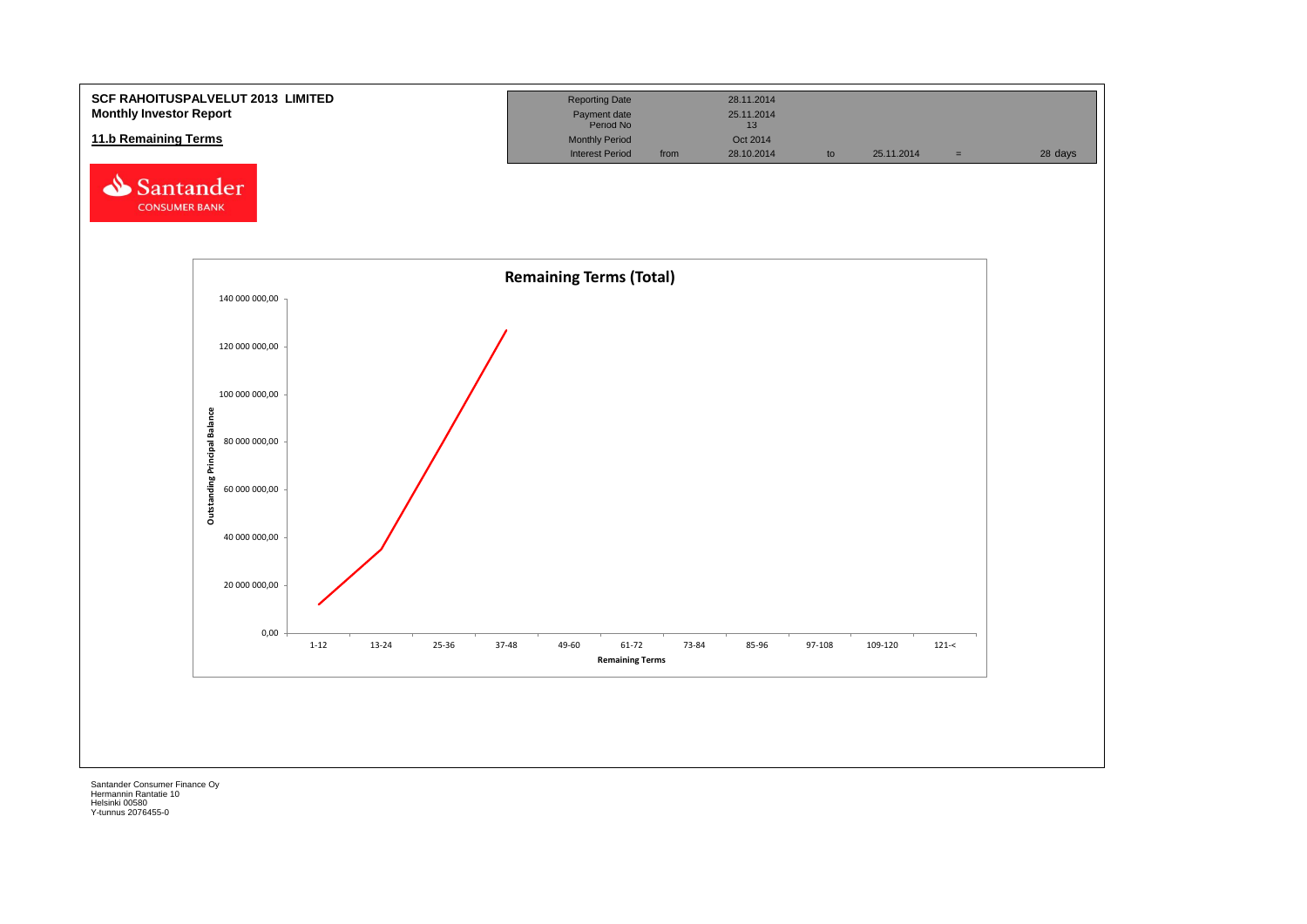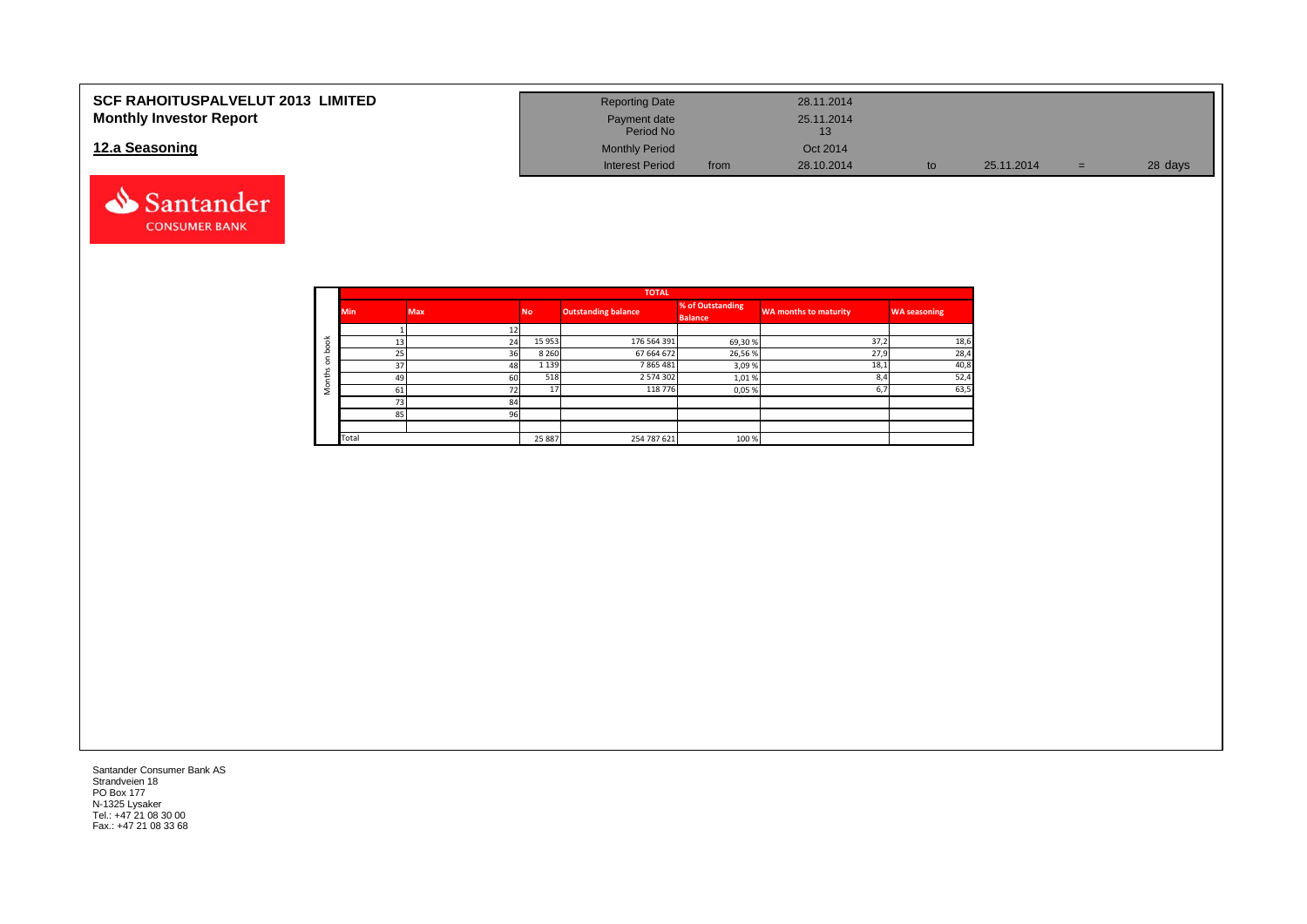| <b>SCF RAHOITUSPALVELUT 2013 LIMITED</b> | <b>Reporting Date</b>     |      | 28.11.2014 |    |            |   |         |
|------------------------------------------|---------------------------|------|------------|----|------------|---|---------|
| <b>Monthly Investor Report</b>           | Payment date<br>Period No |      | 25.11.2014 |    |            |   |         |
| 12.a Seasoning                           | <b>Monthly Period</b>     |      | Oct 2014   |    |            |   |         |
|                                          | <b>Interest Period</b>    | from | 28.10.2014 | to | 25.11.2014 | = | 28 days |



|                       |            |            |           | <b>TOTAL</b>               |                  |                              |                     |
|-----------------------|------------|------------|-----------|----------------------------|------------------|------------------------------|---------------------|
|                       | <b>Min</b> | <b>Max</b> | <b>No</b> | <b>Outstanding balance</b> | % of Outstanding | <b>WA months to maturity</b> | <b>WA seasoning</b> |
|                       |            |            |           |                            | <b>Balance</b>   |                              |                     |
|                       |            |            |           |                            |                  |                              |                     |
| $\breve{\phantom{a}}$ | 13         | 24         | 15 9 53   | 176 564 391                | 69,30%           | 37,2                         | 18,6                |
| c                     | 25         | 36         | 8 2 6 0   | 67 664 672                 | 26,56%           | 27,9                         | 28,4                |
| $\Omega$              | 37         | 48         | 1 1 3 9   | 7865481                    | 3,09%            | 18,1                         | 40,8                |
| £                     | 49         | 60         | 518       | 2 5 7 4 3 0 2              | 1,01%            | 8,4                          | 52,4                |
| c<br>∠                | 61         | 72         | 17        | 118 776                    | 0,05%            | 6,7                          | 63,5                |
|                       | 73         | 84         |           |                            |                  |                              |                     |
|                       | 85         | 96         |           |                            |                  |                              |                     |
|                       |            |            |           |                            |                  |                              |                     |
|                       | Total      |            | 25 887    | 254 787 621                | 100%             |                              |                     |

Santander Consumer Bank AS Strandveien 18 PO Box 177 N-1325 Lysaker Tel.: +47 21 08 30 00 Fax.: +47 21 08 33 68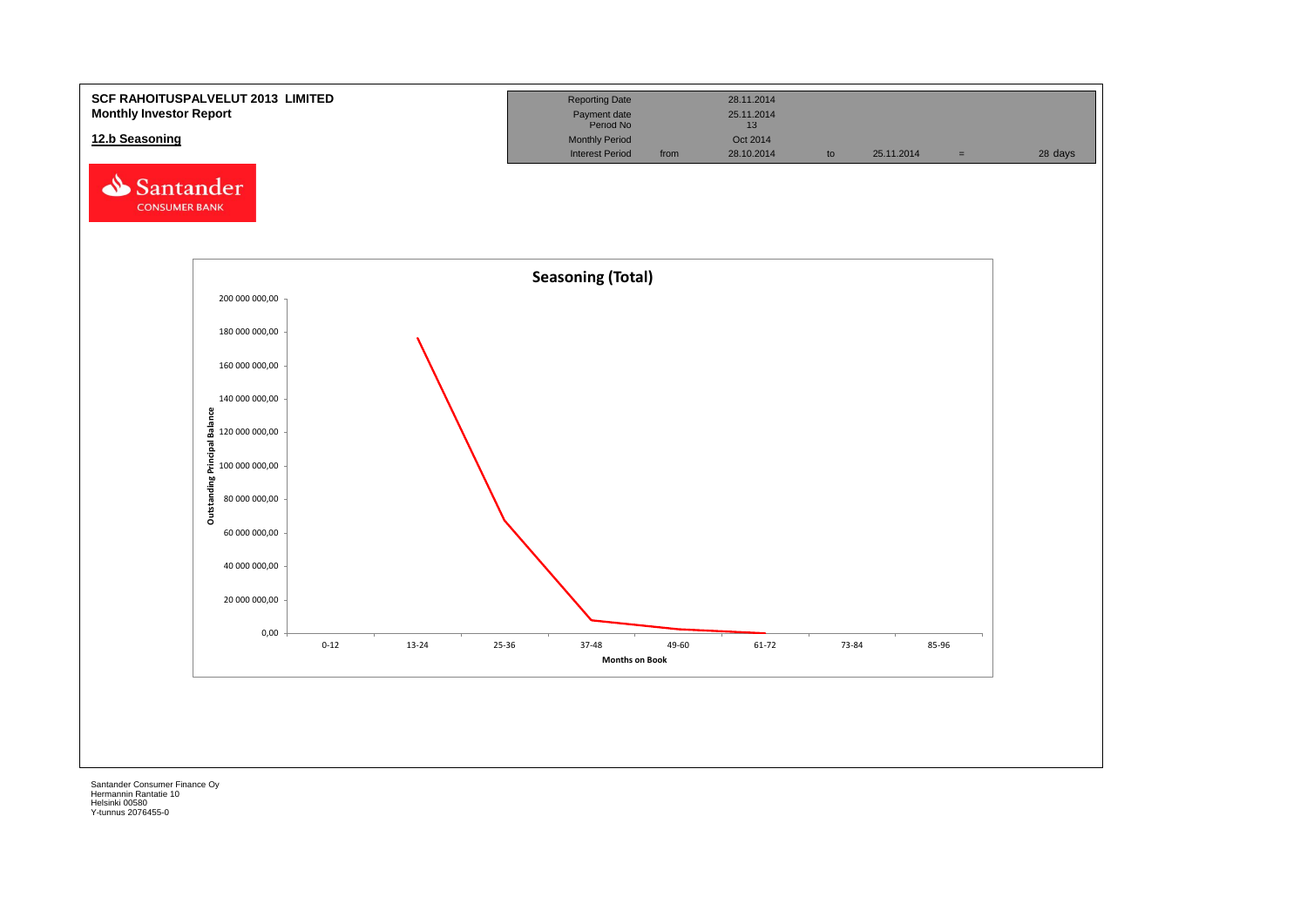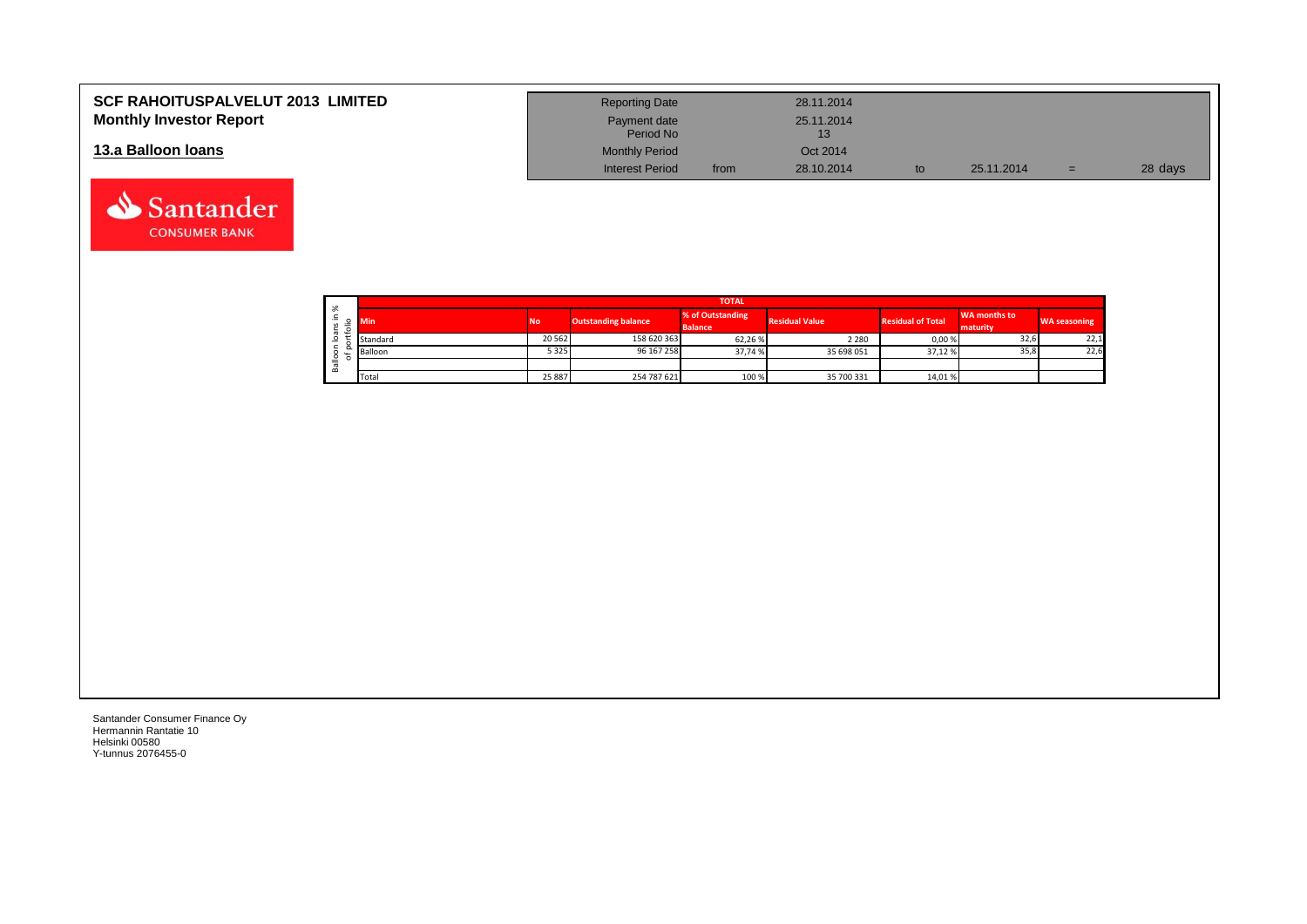| <b>SCF RAHOITUSPALVELUT 2013 LIMITED</b> | <b>Reporting Date</b>     |      | 28.11.2014 |            |     |         |
|------------------------------------------|---------------------------|------|------------|------------|-----|---------|
| <b>Monthly Investor Report</b>           | Payment date<br>Period No |      | 25.11.2014 |            |     |         |
| 13.a Balloon Ioans                       | <b>Monthly Period</b>     |      | Oct 2014   |            |     |         |
|                                          | <b>Interest Period</b>    | from | 28.10.2014 | 25.11.2014 | $=$ | 28 days |

|                     |            |                                         |             | <b>TOTAL</b>                       |                       |                          |                          |                     |
|---------------------|------------|-----------------------------------------|-------------|------------------------------------|-----------------------|--------------------------|--------------------------|---------------------|
| వి<br>∸.<br>≔       | <b>Min</b> | <b>Outstanding balance</b><br><b>No</b> |             | % of Outstanding<br><b>Balance</b> | <b>Residual Value</b> | <b>Residual of Total</b> | WA months to<br>maturity | <b>WA seasoning</b> |
| $\overline{ }$<br>ത | Standard   | 20 5 62                                 | 158 620 363 | 62,26%                             | 2 2 8 0               | 0,00%                    | 32,6                     | 22,1                |
| ∽                   | Balloon    | 5 3 2 5                                 | 96 167 258  | 37,74 %                            | 35 698 051            | 37,12 %                  | 35,8                     | 22,6                |
| 을<br>≃              |            |                                         |             |                                    |                       |                          |                          |                     |
|                     | Total      | 25 887                                  | 254 787 621 | 100 %                              | 35 700 331            | 14,01%                   |                          |                     |

┑

Santander Consumer Finance Oy Hermannin Rantatie 10 Helsinki 00580 Y-tunnus 2076455-0

Santander **CONSUMER BANK**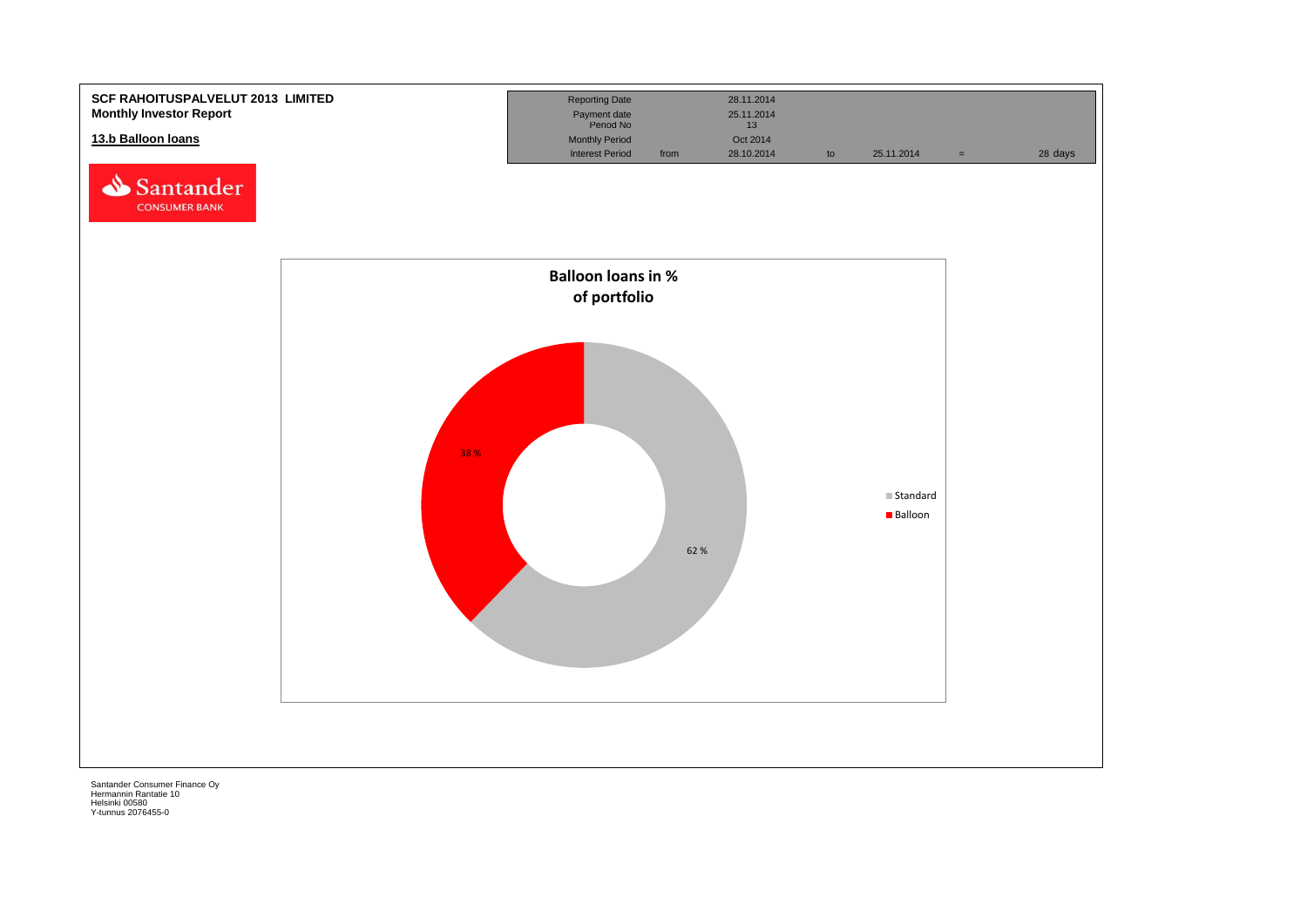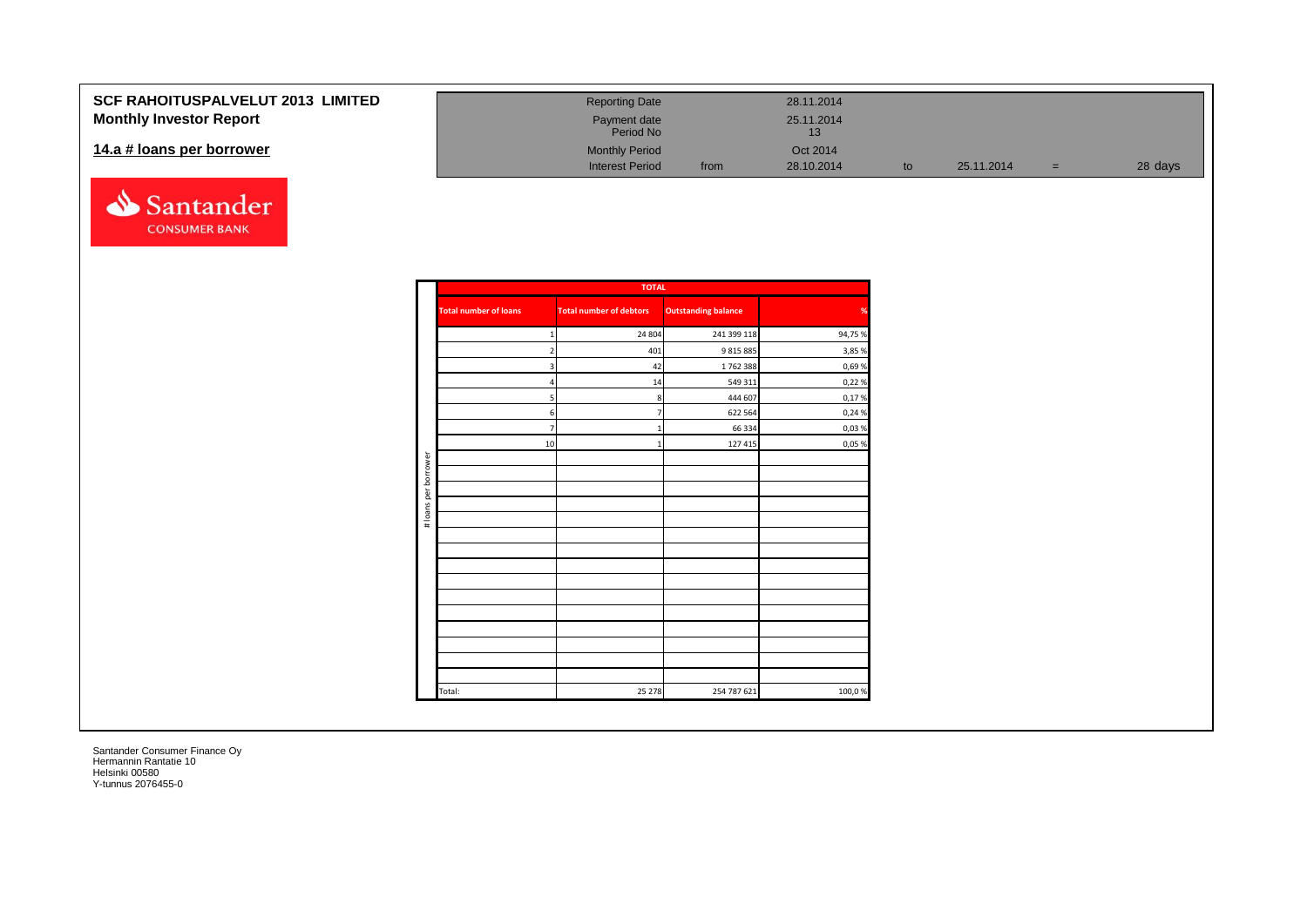| <b>SCF RAHOITUSPALVELUT 2013 LIMITED</b> | <b>Reporting Date</b>     |      | 28.11.2014 |            |     |         |
|------------------------------------------|---------------------------|------|------------|------------|-----|---------|
| <b>Monthly Investor Report</b>           | Payment date<br>Period No |      | 25.11.2014 |            |     |         |
| 14.a # loans per borrower                | <b>Monthly Period</b>     |      | Oct 2014   |            |     |         |
|                                          | <b>Interest Period</b>    | from | 28.10.2014 | 25.11.2014 | $=$ | 28 days |



|                      |                              | <b>TOTAL</b>                   |                            |               |
|----------------------|------------------------------|--------------------------------|----------------------------|---------------|
|                      | <b>Total number of loans</b> | <b>Total number of debtors</b> | <b>Outstanding balance</b> | $\frac{9}{6}$ |
|                      | $\mathbf{1}$                 | 24 804                         | 241 399 118                | 94,75 %       |
|                      | $2 \overline{ }$             | 401                            | 9 8 1 5 8 8 5              | 3,85 %        |
|                      | $\overline{3}$               | 42                             | 1762388                    | 0,69%         |
|                      | $\overline{a}$               | $14\,$                         | 549 311                    | 0,22 %        |
|                      | 5                            | 8                              | 444 607                    | 0,17%         |
|                      | 6                            | $\overline{7}$                 | 622 564                    | 0,24 %        |
|                      | $\overline{7}$               | $\mathbf{1}$                   | 66 334                     | 0,03%         |
|                      | 10                           | $\mathbf{1}$                   | 127 415                    | 0,05%         |
| # loans per borrower |                              |                                |                            |               |
|                      |                              |                                |                            |               |
|                      |                              |                                |                            |               |
|                      |                              |                                |                            |               |
|                      |                              |                                |                            |               |
|                      |                              |                                |                            |               |
|                      |                              |                                |                            |               |
|                      |                              |                                |                            |               |
|                      |                              |                                |                            |               |
|                      |                              |                                |                            |               |
|                      |                              |                                |                            |               |
|                      |                              |                                |                            |               |
|                      |                              |                                |                            |               |
|                      |                              |                                |                            |               |
|                      |                              |                                |                            |               |
|                      | Total:                       | 25 278                         | 254 787 621                | 100,0%        |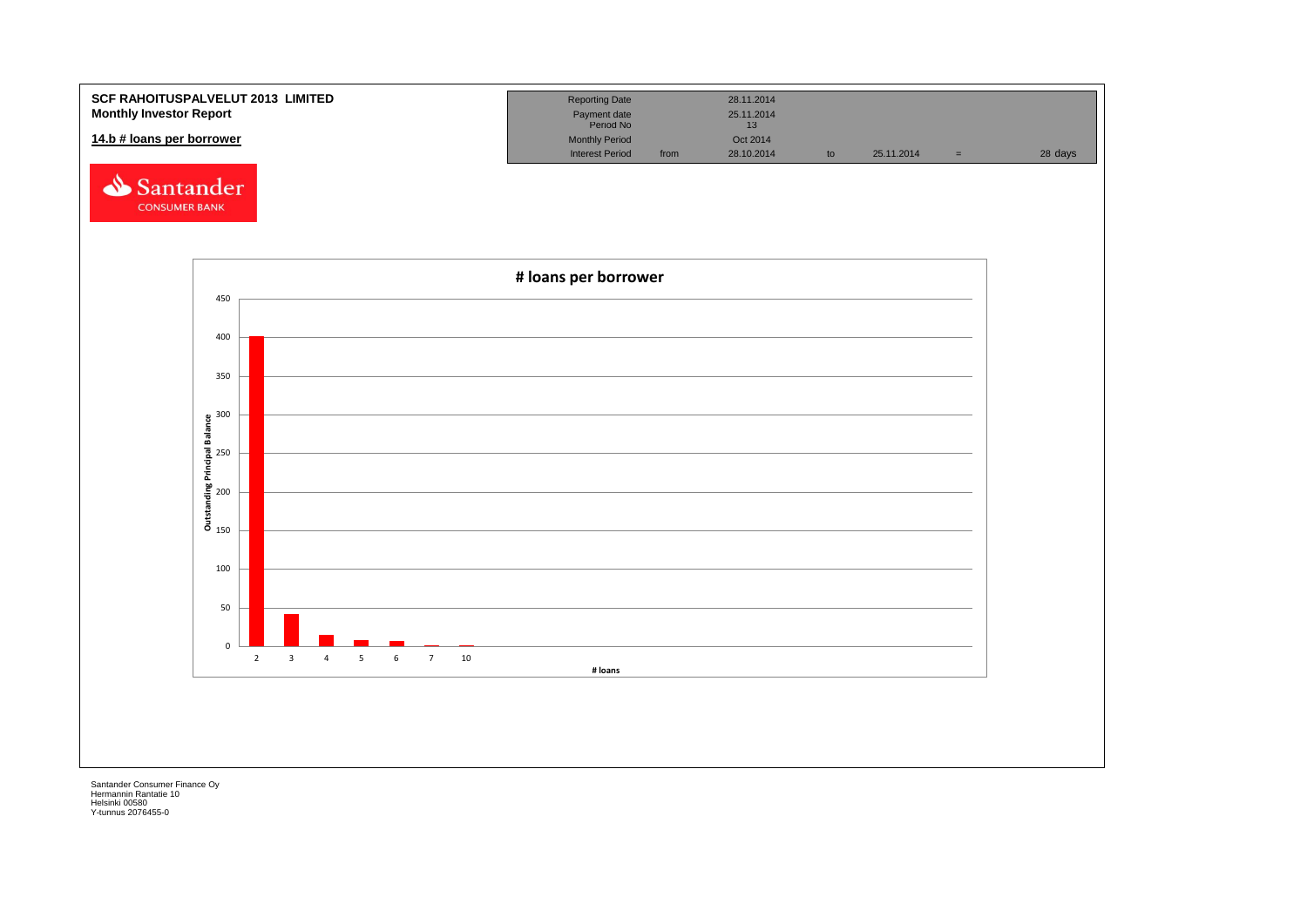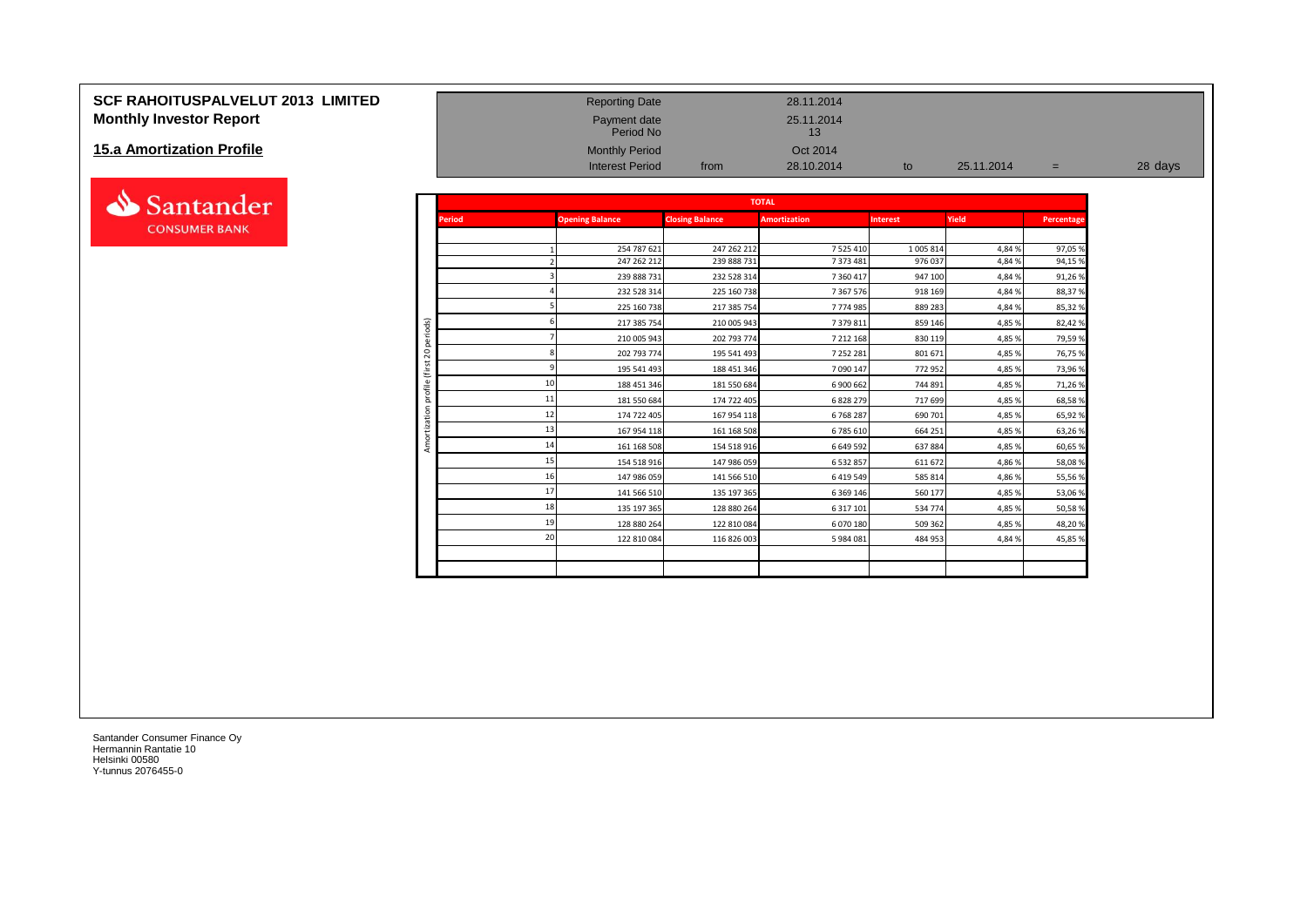## **SCF RAHOITUSPALVELUT 2013 LIMITED**<br> **Monthly Investor Report**<br>
25.11.2014<br>
Period No Payment date Period No Payment date 25.11.2014 **Monthly Investor Report**

#### **15.a Amortization Profile**



| <b>Monthly Investor Report</b> |                |               | Payment date<br>Period No |                        | 25.11.2014<br>13    |                 |            |            |         |
|--------------------------------|----------------|---------------|---------------------------|------------------------|---------------------|-----------------|------------|------------|---------|
| 15.a Amortization Profile      |                |               | <b>Monthly Period</b>     |                        | Oct 2014            |                 |            |            |         |
|                                |                |               | <b>Interest Period</b>    | from                   | 28.10.2014          | to              | 25.11.2014 | $=$        | 28 days |
| Santander                      |                |               |                           |                        | <b>TOTAL</b>        |                 |            |            |         |
| <b>CONSUMER BANK</b>           |                | <b>Period</b> | <b>Opening Balance</b>    | <b>Closing Balance</b> | <b>Amortization</b> | <b>Interest</b> | Yield      | Percentage |         |
|                                |                |               | 254 787 621               | 247 262 212            | 7 525 410           | 1 005 814       | 4,84%      | 97,05 %    |         |
|                                |                |               | 247 262 212               | 239 888 731            | 7 373 481           | 976 037         | 4,84 %     | 94,15 %    |         |
|                                |                |               | 239 888 731               | 232 528 314            | 7 360 417           | 947 100         | 4,84%      | 91,26%     |         |
|                                |                |               | 232 528 314               | 225 160 738            | 7 3 6 7 5 7 6       | 918 169         | 4,84%      | 88,37%     |         |
|                                |                |               | 225 160 738               | 217 385 754            | 7774985             | 889 283         | 4,84%      | 85,32 %    |         |
|                                |                |               | 217 385 754               | 210 005 943            | 7 379 811           | 859 146         | 4,85 %     | 82,42%     |         |
|                                | periods)       |               | 210 005 943               | 202 793 774            | 7 212 168           | 830 119         | 4,85 %     | 79,59 %    |         |
|                                | $\overline{c}$ |               | 202 793 774               | 195 541 493            | 7 252 281           | 801 671         | 4,85 %     | 76,75 %    |         |
|                                | €              |               | 195 541 493               | 188 451 346            | 7 090 147           | 772 952         | 4,85 %     | 73,96%     |         |
|                                | ofile          | 10            | 188 451 346               | 181 550 684            | 6 900 662           | 744 891         | 4,85 %     | 71,26%     |         |
|                                | ā              | 11            | 181 550 684               | 174 722 405            | 6 828 279           | 717 699         | 4,85 %     | 68,58%     |         |
|                                | ă              | 12            | 174 722 405               | 167 954 118            | 6768287             | 690 701         | 4,85 %     | 65,92%     |         |
|                                |                | 13            | 167 954 118               | 161 168 508            | 6785610             | 664 251         | 4,85%      | 63,26%     |         |
|                                | Amor           | 14            | 161 168 508               | 154 518 916            | 6 649 592           | 637884          | 4,85%      | 60,65 %    |         |
|                                |                |               | 154 518 916               | 147 986 059            | 6 532 857           | 611 672         | 4,86%      | 58,08%     |         |
|                                |                | 16            | 147 986 059               | 141 566 510            | 6 4 19 5 49         | 585 814         | 4,86%      | 55,56 %    |         |
|                                |                | 17            | 141 566 510               | 135 197 365            | 6 3 6 9 1 4 6       | 560 177         | 4,85 %     | 53,06 %    |         |
|                                |                | 18            | 135 197 365               | 128 880 264            | 6 317 101           | 534 774         | 4,85%      | 50,58%     |         |
|                                |                | 19            | 128 880 264               | 122 810 084            | 6 070 180           | 509 362         | 4,85%      | 48,20 %    |         |
|                                |                | 20            | 122 810 084               | 116 826 003            | 5 984 081           | 484 953         | 4,84%      | 45,85 %    |         |
|                                |                |               |                           |                        |                     |                 |            |            |         |
|                                |                |               |                           |                        |                     |                 |            |            |         |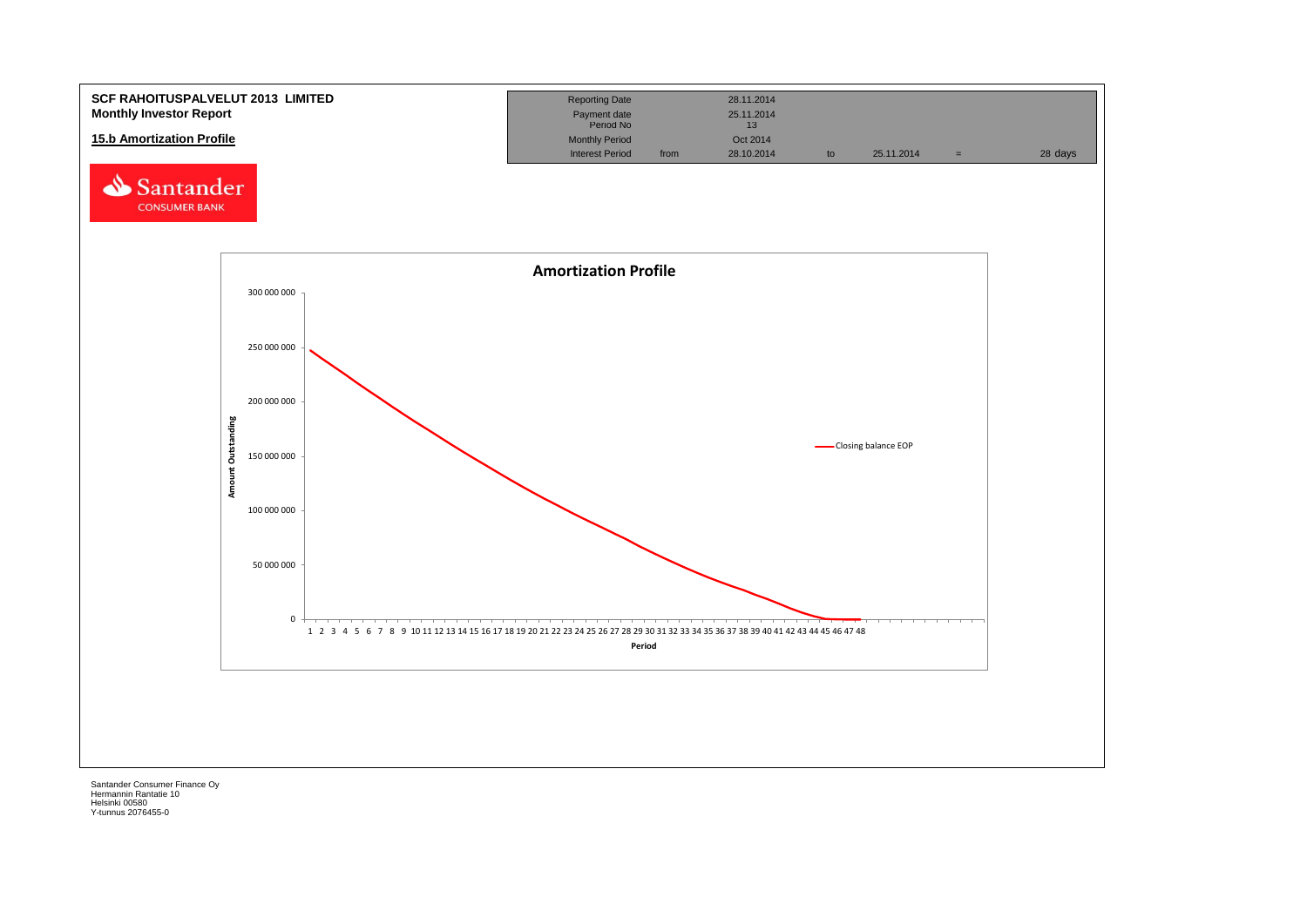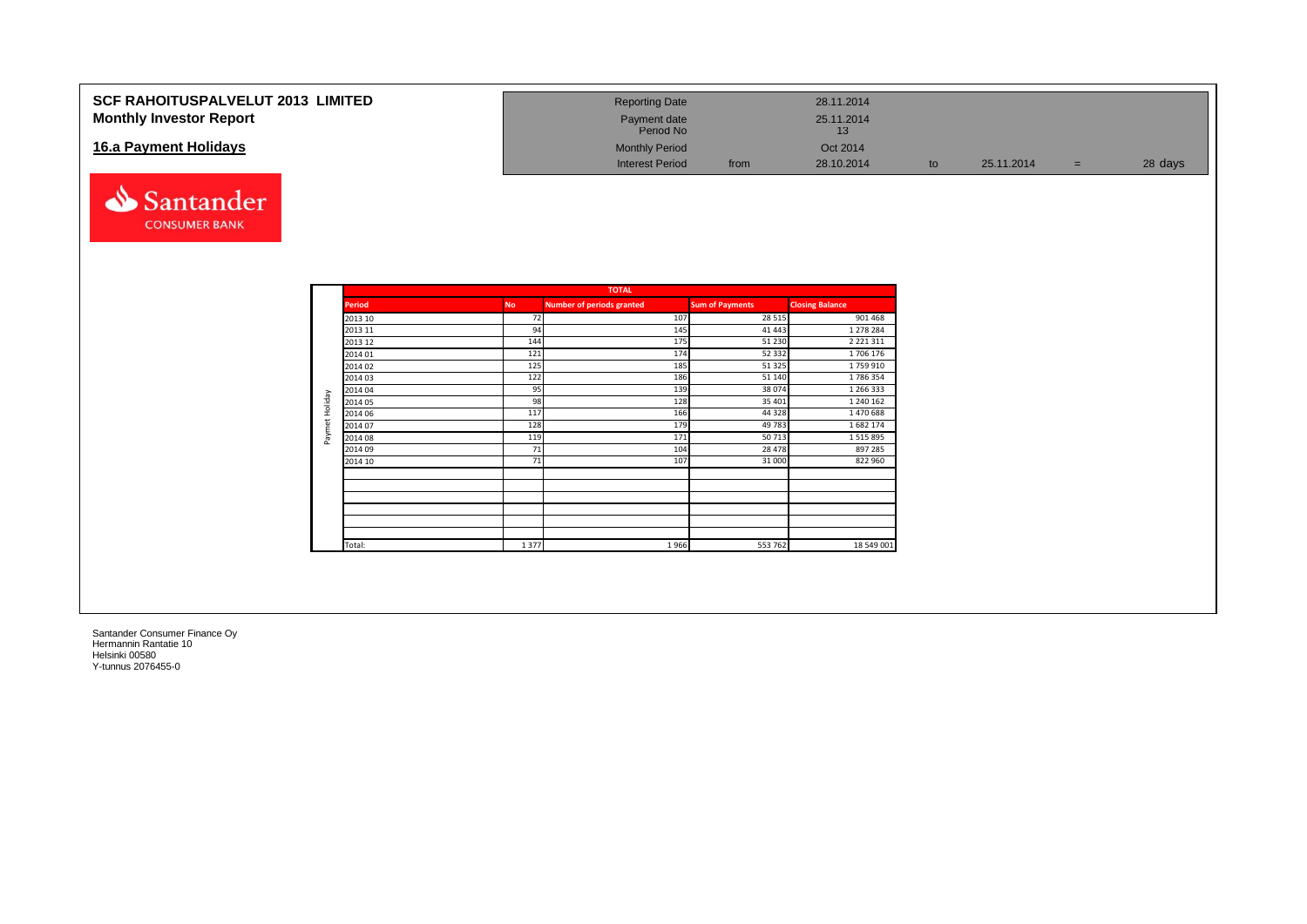| <b>SCF RAHOITUSPALVELUT 2013 LIMITED</b><br><b>Monthly Investor Report</b> | <b>Reporting Date</b><br>Payment date |      | 28.11.2014<br>25.11.2014 |    |            |         |
|----------------------------------------------------------------------------|---------------------------------------|------|--------------------------|----|------------|---------|
|                                                                            | Period No                             |      | 13                       |    |            |         |
| 16.a Payment Holidays                                                      | <b>Monthly Period</b>                 |      | Oct 2014                 |    |            |         |
|                                                                            | <b>Interest Period</b>                | from | 28.10.2014               | to | 25.11.2014 | 28 days |



|                |               |           | <b>TOTAL</b>                     |                        |                        |
|----------------|---------------|-----------|----------------------------------|------------------------|------------------------|
|                | <b>Period</b> | <b>No</b> | <b>Number of periods granted</b> | <b>Sum of Payments</b> | <b>Closing Balance</b> |
|                | 2013 10       | 72        | 107                              | 28 5 15                | 901 468                |
|                | 2013 11       | 94        | 145                              | 41 443                 | 1 278 284              |
|                | 2013 12       | 144       | 175                              | 51 230                 | 2 2 2 1 3 1 1          |
|                | 2014 01       | 121       | 174                              | 52 332                 | 1706 176               |
|                | 2014 02       | 125       | 185                              | 51 325                 | 1759910                |
|                | 2014 03       | 122       | 186                              | 51 140                 | 1786354                |
|                | 2014 04       | 95        | 139                              | 38 074                 | 1 266 333              |
|                | 2014 05       | 98        | 128                              | 35 401                 | 1 240 162              |
| Paymet Holiday | 2014 06       | 117       | 166                              | 44 3 28                | 1470688                |
|                | 2014 07       | 128       | 179                              | 49 783                 | 1682 174               |
|                | 2014 08       | 119       | 171                              | 50713                  | 1515895                |
|                | 2014 09       | 71        | 104                              | 28 478                 | 897 285                |
|                | 2014 10       | 71        | 107                              | 31 000                 | 822 960                |
|                |               |           |                                  |                        |                        |
|                |               |           |                                  |                        |                        |
|                |               |           |                                  |                        |                        |
|                |               |           |                                  |                        |                        |
|                |               |           |                                  |                        |                        |
|                | Total:        | 1377      | 1966                             | 553 762                | 18 549 001             |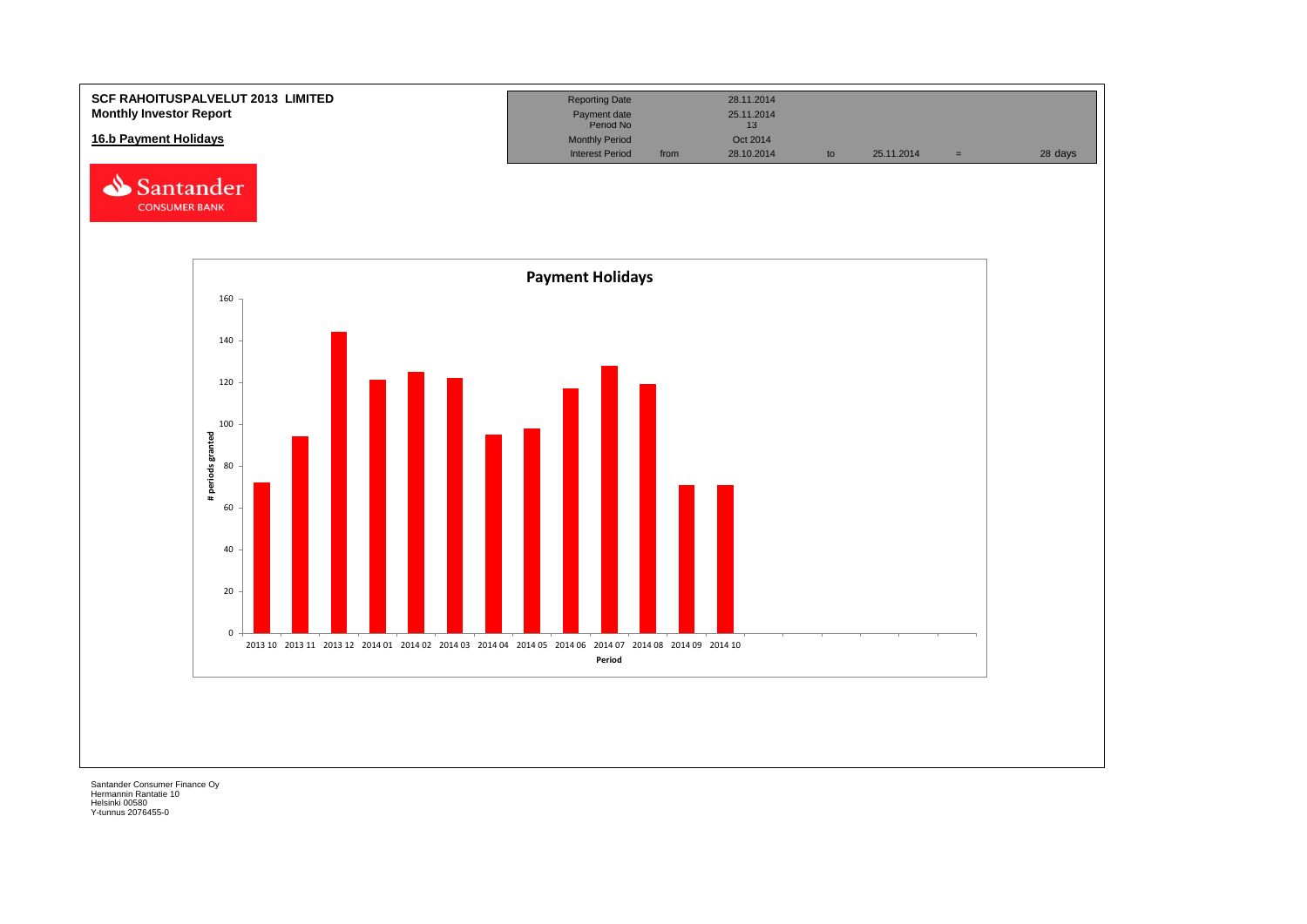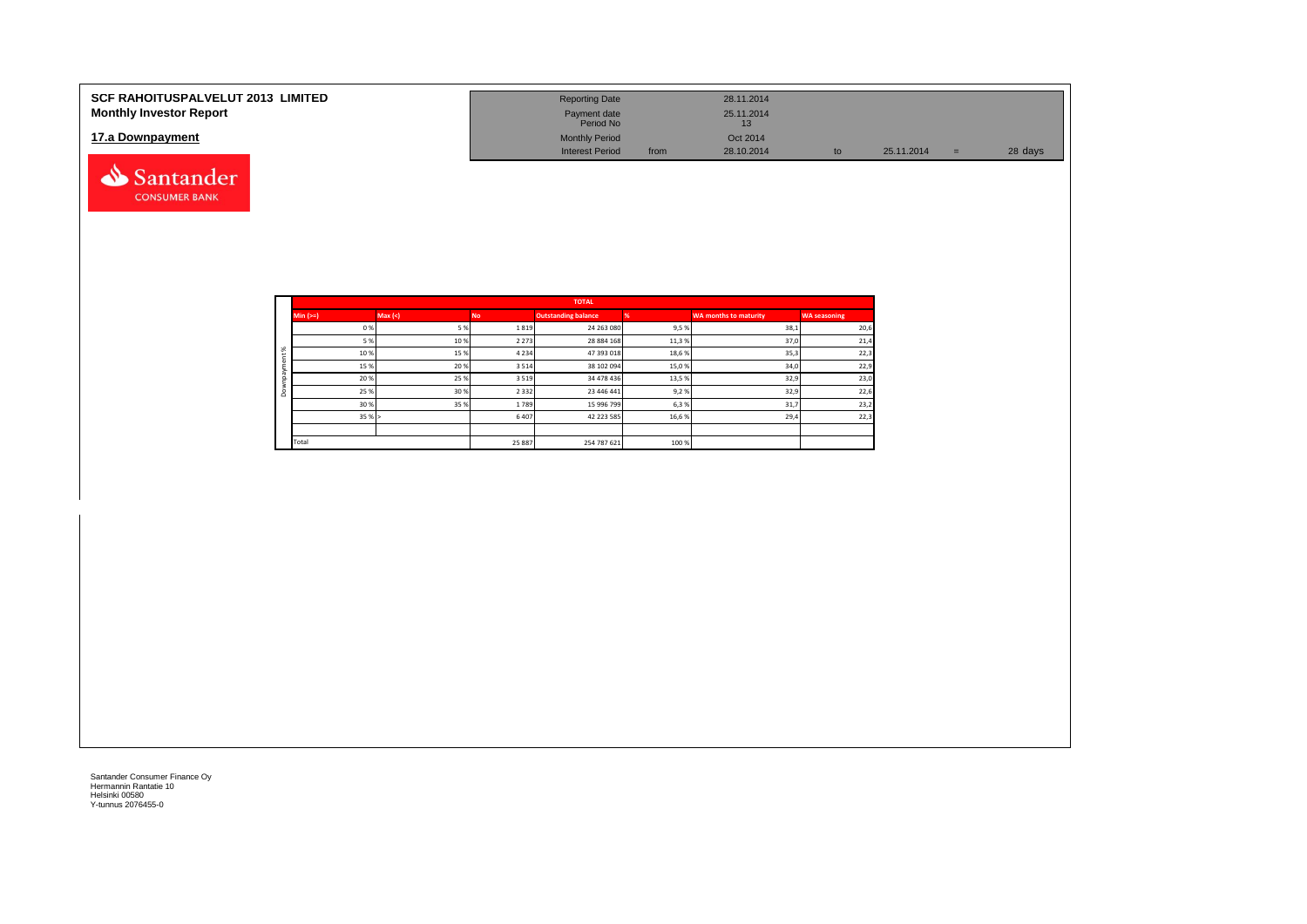| <b>SCF RAHOITUSPALVELUT 2013 LIMITED</b><br><b>Monthly Investor Report</b> | <b>Reporting Date</b><br>Payment date<br>Period No |      | 28.11.2014<br>25.11.2014<br>13 |    |            |     |         |
|----------------------------------------------------------------------------|----------------------------------------------------|------|--------------------------------|----|------------|-----|---------|
| 17.a Downpayment                                                           | <b>Monthly Period</b><br><b>Interest Period</b>    | from | Oct 2014<br>28.10.2014         | to | 25.11.2014 | $=$ | 28 days |
| Santander                                                                  |                                                    |      |                                |    |            |     |         |

|    |             |        |         | <b>TOTAL</b>               |       |                       |                     |
|----|-------------|--------|---------|----------------------------|-------|-----------------------|---------------------|
|    | $Min (=)=)$ | Max(<) | No.     | <b>Outstanding balance</b> |       | WA months to maturity | <b>WA seasoning</b> |
|    | 0%          | 5%     | 1819    | 24 263 080                 | 9,5%  | 38,1                  | 20,6                |
|    | 5 %         | 10%    | 2 2 7 3 | 28 884 168                 | 11,3% | 37,0                  | 21,4                |
| ৯ৎ | 10%         | 15%    | 4 2 3 4 | 47 393 018                 | 18,6% | 35,3                  | 22,3                |
|    | 15%         | 20%    | 3514    | 38 102 094                 | 15,0% | 34,0                  | 22,9                |
|    | 20%         | 25%    | 3519    | 34 478 436                 | 13,5% | 32,9                  | 23,0                |
| ۵  | 25 %        | 30%    | 2 3 3 2 | 23 446 441                 | 9,2%  | 32,9                  | 22,6                |
|    | 30%         | 35%    | 1789    | 15 996 799                 | 6,3%  | 31,7                  | 23,2                |
|    | 35%         |        | 6407    | 42 223 585                 | 16,6% | 29,4                  | 22,3                |
|    |             |        |         |                            |       |                       |                     |
|    | Total       |        | 25 887  | 254 787 621                | 100 % |                       |                     |

**CONSUMER BANK**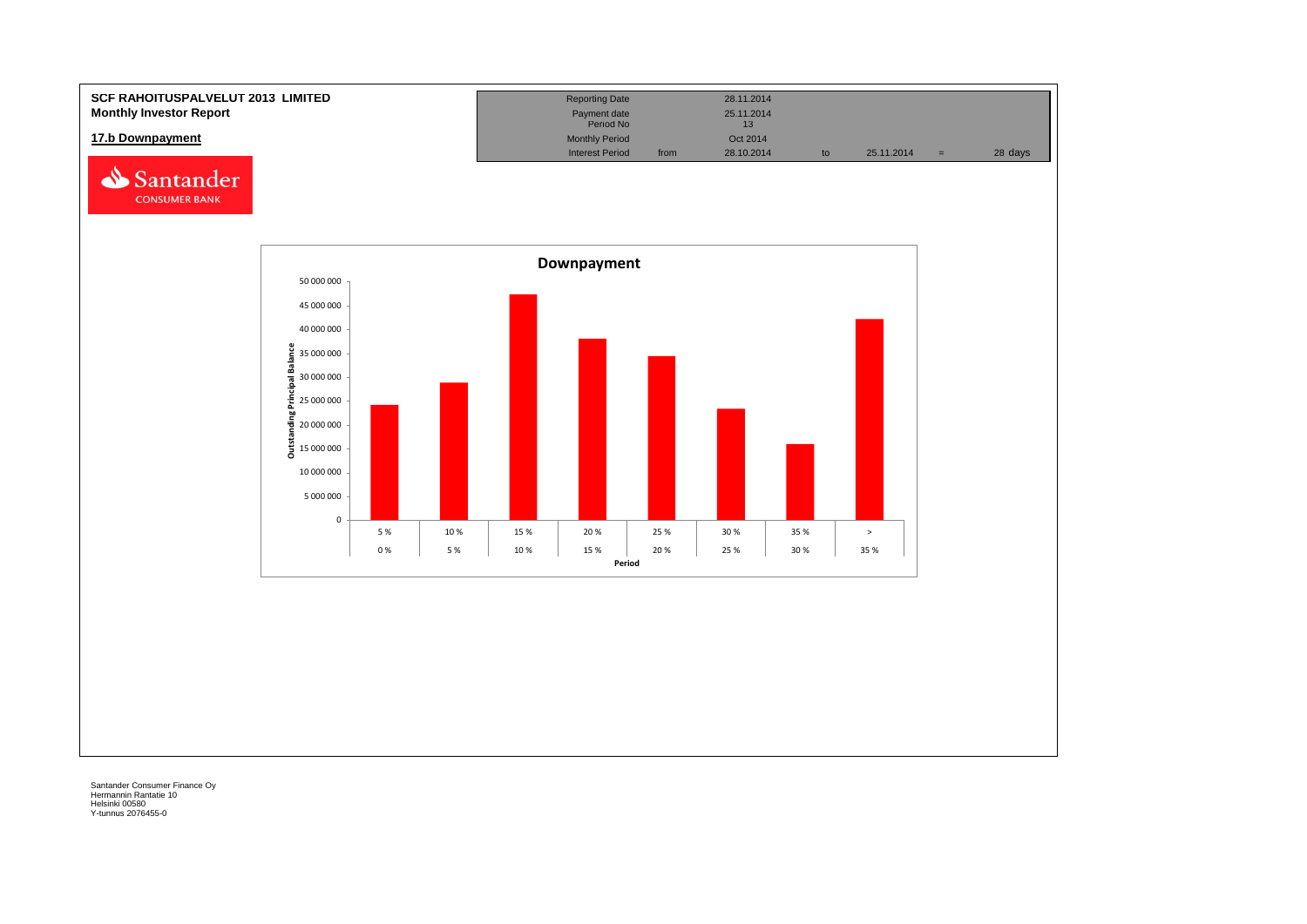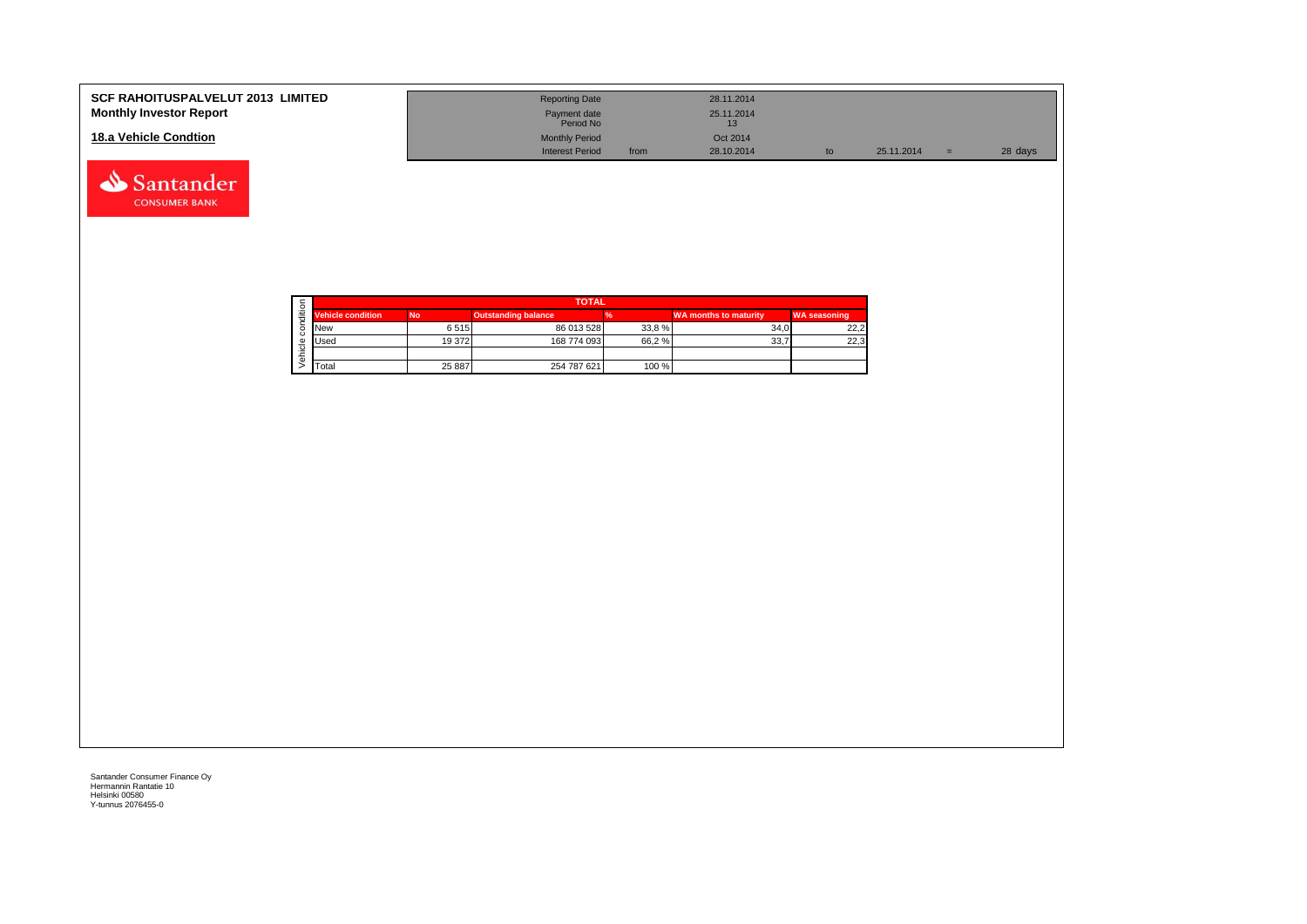| <b>SCF RAHOITUSPALVELUT 2013 LIMITED</b><br><b>Monthly Investor Report</b> | <b>Reporting Date</b><br>Payment date |      | 28.11.2014<br>25.11.2014 |            |     |         |
|----------------------------------------------------------------------------|---------------------------------------|------|--------------------------|------------|-----|---------|
|                                                                            | Period No                             |      |                          |            |     |         |
| 18.a Vehicle Condtion                                                      | <b>Monthly Period</b>                 |      | Oct 2014                 |            |     |         |
|                                                                            | <b>Interest Period</b>                | from | 28.10.2014               | 25.11.2014 | $=$ | 28 days |

|  |                          | <b>TOTAL</b> |                            |       |                              |                     |  |  |  |  |
|--|--------------------------|--------------|----------------------------|-------|------------------------------|---------------------|--|--|--|--|
|  | <b>Vehicle condition</b> | <b>No</b>    | <b>Outstanding balance</b> |       | <b>WA months to maturity</b> | <b>WA seasoning</b> |  |  |  |  |
|  | <b>INew</b>              | 6515         | 86 013 528                 | 33,8% | 34.0                         | 22,2                |  |  |  |  |
|  | <b>I</b> Used            | 19 372       | 168 774 093                | 66,2% | 33,7                         | 22,3                |  |  |  |  |
|  |                          |              |                            |       |                              |                     |  |  |  |  |
|  | <b>T</b> otal            | 25 887       | 254 787 621                | 100 % |                              |                     |  |  |  |  |

Santander **CONSUMER BANK**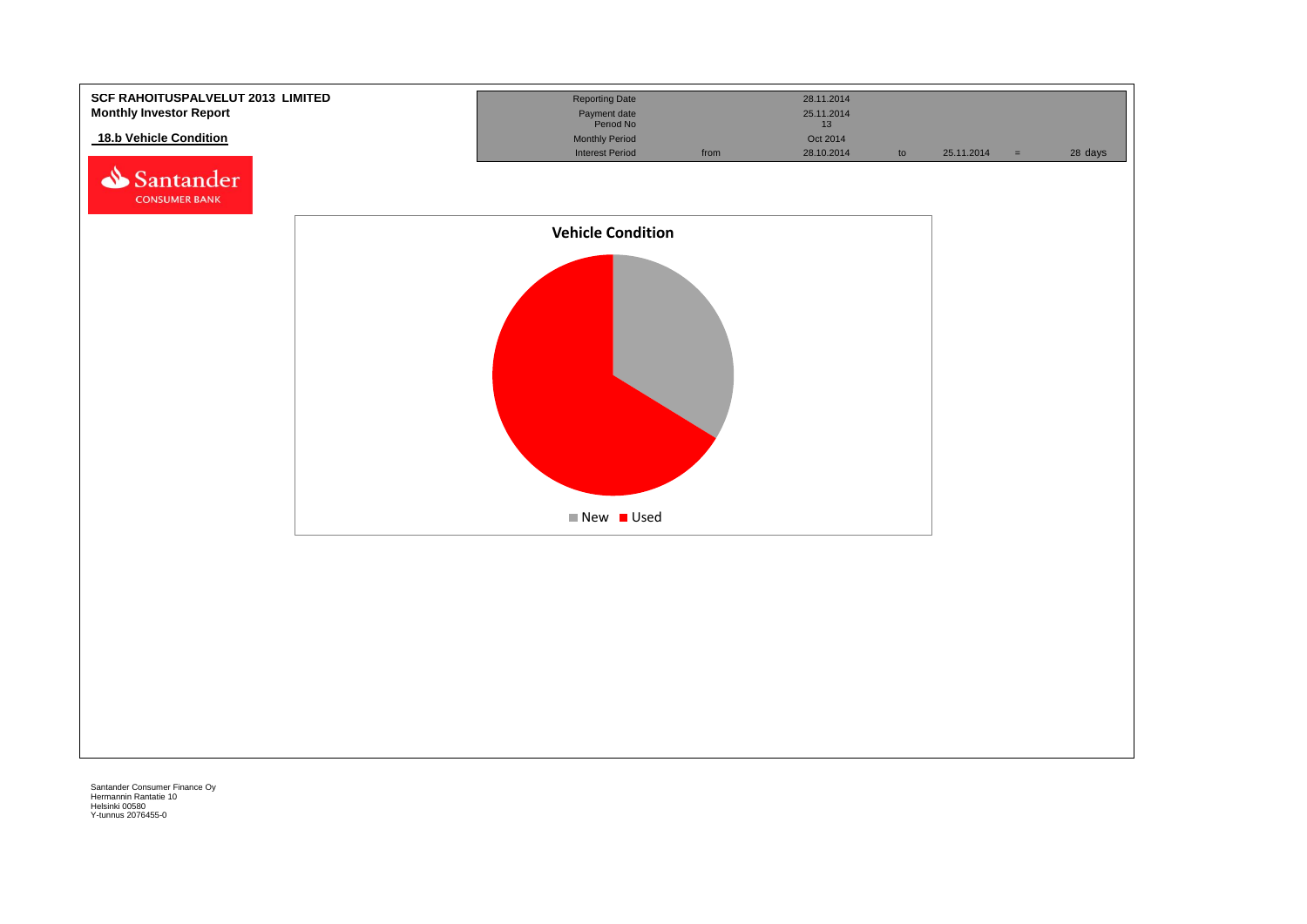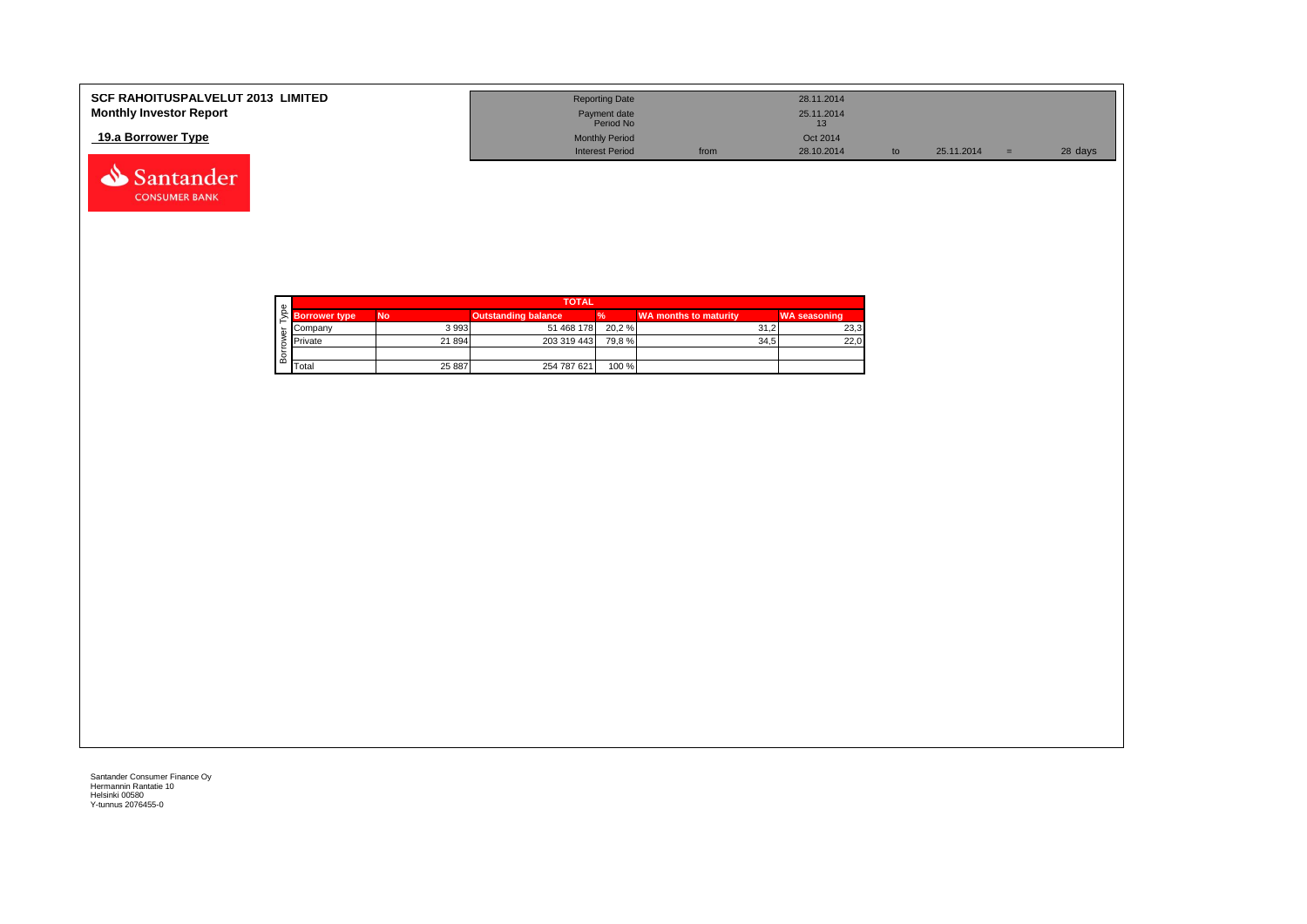| <b>SCF RAHOITUSPALVELUT 2013 LIMITED</b> | <b>Reporting Date</b>     |      | 28.11.2014 |            |         |
|------------------------------------------|---------------------------|------|------------|------------|---------|
| <b>Monthly Investor Report</b>           | Payment date<br>Period No |      | 25.11.2014 |            |         |
| 19.a Borrower Type                       | <b>Monthly Period</b>     |      | Oct 2014   |            |         |
|                                          | <b>Interest Period</b>    | from | 28.10.2014 | 25.11.2014 | 28 days |



Santander **CONSUMER BANK**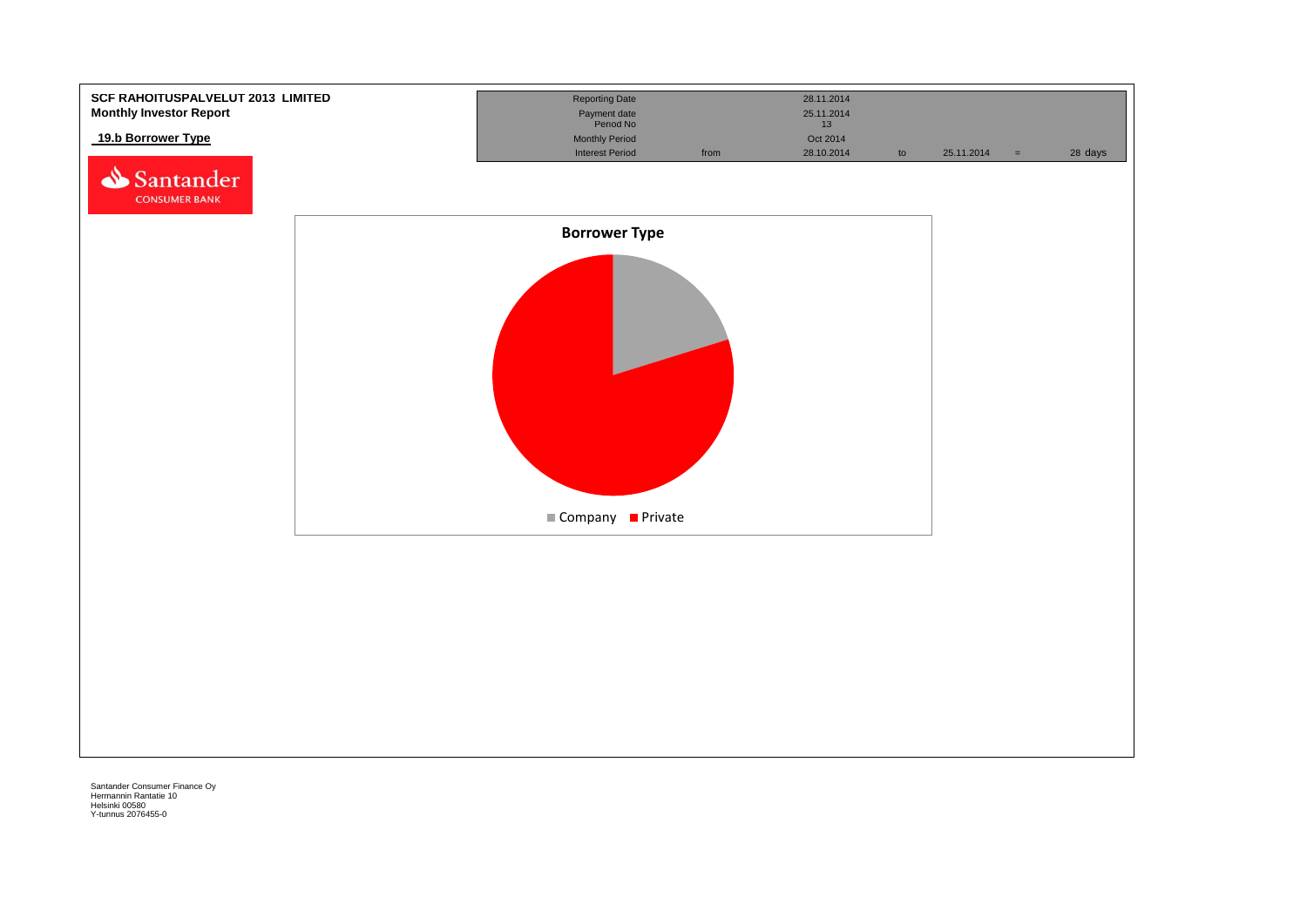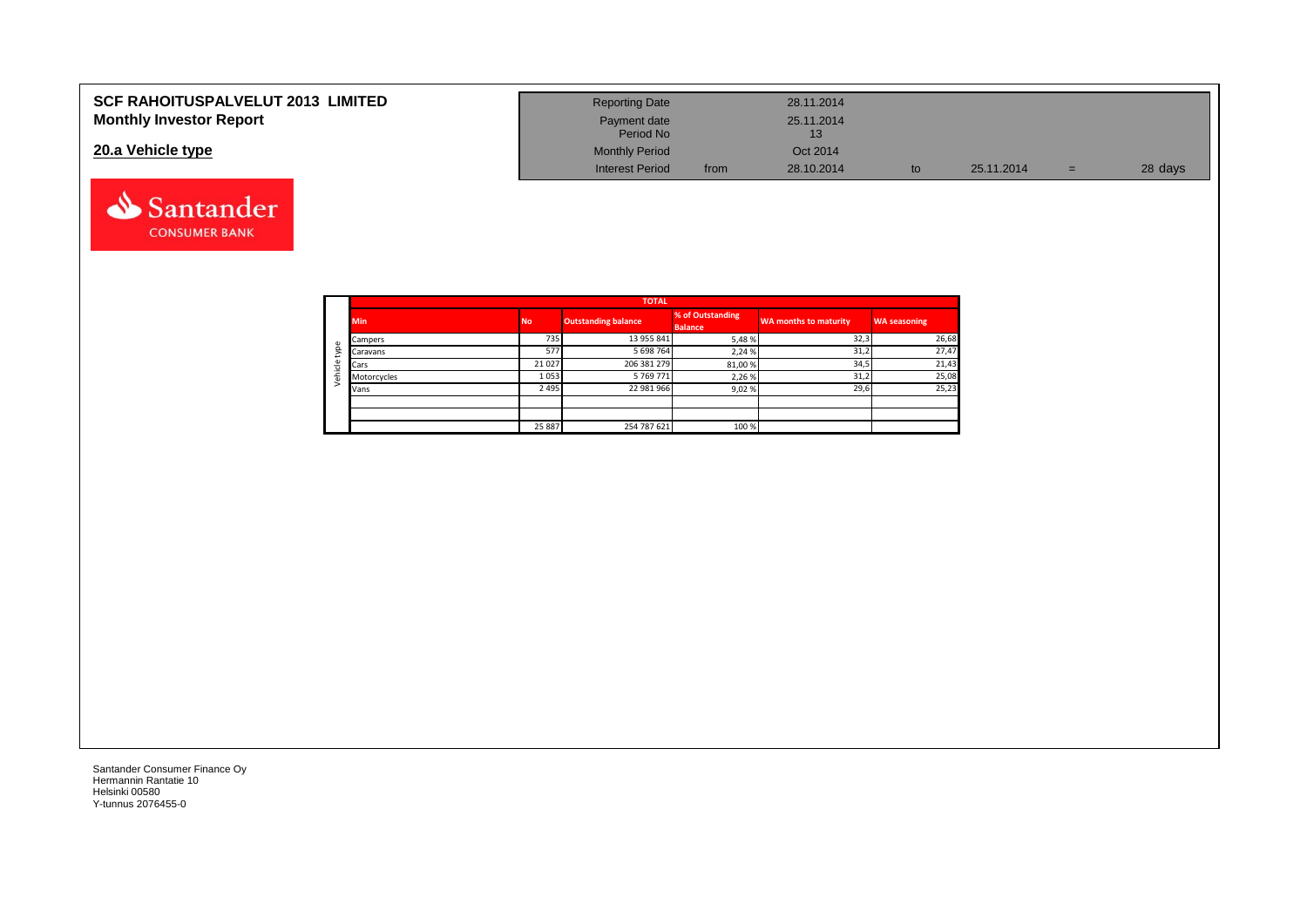| <b>SCF RAHOITUSPALVELUT 2013 LIMITED</b> | <b>Reporting Date</b>     |      | 28.11.2014       |    |            |     |         |
|------------------------------------------|---------------------------|------|------------------|----|------------|-----|---------|
| <b>Monthly Investor Report</b>           | Payment date<br>Period No |      | 25.11.2014<br>13 |    |            |     |         |
| 20.a Vehicle type                        | <b>Monthly Period</b>     |      | Oct 2014         |    |            |     |         |
|                                          | <b>Interest Period</b>    | from | 28.10.2014       | to | 25.11.2014 | $=$ | 28 days |

ᄀ

 $\overline{\phantom{0}}$ 

|         |             | <b>TOTAL</b> |                            |                                    |                              |                     |  |  |  |  |  |  |  |
|---------|-------------|--------------|----------------------------|------------------------------------|------------------------------|---------------------|--|--|--|--|--|--|--|
|         | <b>Min</b>  | <b>No</b>    | <b>Outstanding balance</b> | % of Outstanding<br><b>Balance</b> | <b>WA months to maturity</b> | <b>WA seasoning</b> |  |  |  |  |  |  |  |
|         | Campers     | 735          | 13 955 841                 | 5,48%                              | 32,3                         | 26,68               |  |  |  |  |  |  |  |
| type    | Caravans    | 577          | 5 698 764                  | 2,24 %                             | 31,2                         | 27,47               |  |  |  |  |  |  |  |
|         | Cars        | 21 0 27      | 206 381 279                | 81,00%                             | 34,5                         | 21,43               |  |  |  |  |  |  |  |
| Vehicle | Motorcycles | 1053         | 5 769 771                  | 2,26%                              | 31,2                         | 25,08               |  |  |  |  |  |  |  |
|         | Vans        | 2 4 9 5      | 22 981 966                 | 9,02%                              | 29,6                         | 25,23               |  |  |  |  |  |  |  |
|         |             |              |                            |                                    |                              |                     |  |  |  |  |  |  |  |
|         |             |              |                            |                                    |                              |                     |  |  |  |  |  |  |  |
|         |             | 25 887       | 254 787 621                | 100 %                              |                              |                     |  |  |  |  |  |  |  |

Santander Consumer Finance Oy Hermannin Rantatie 10 Helsinki 00580 Y-tunnus 2076455-0

Santander **CONSUMER BANK**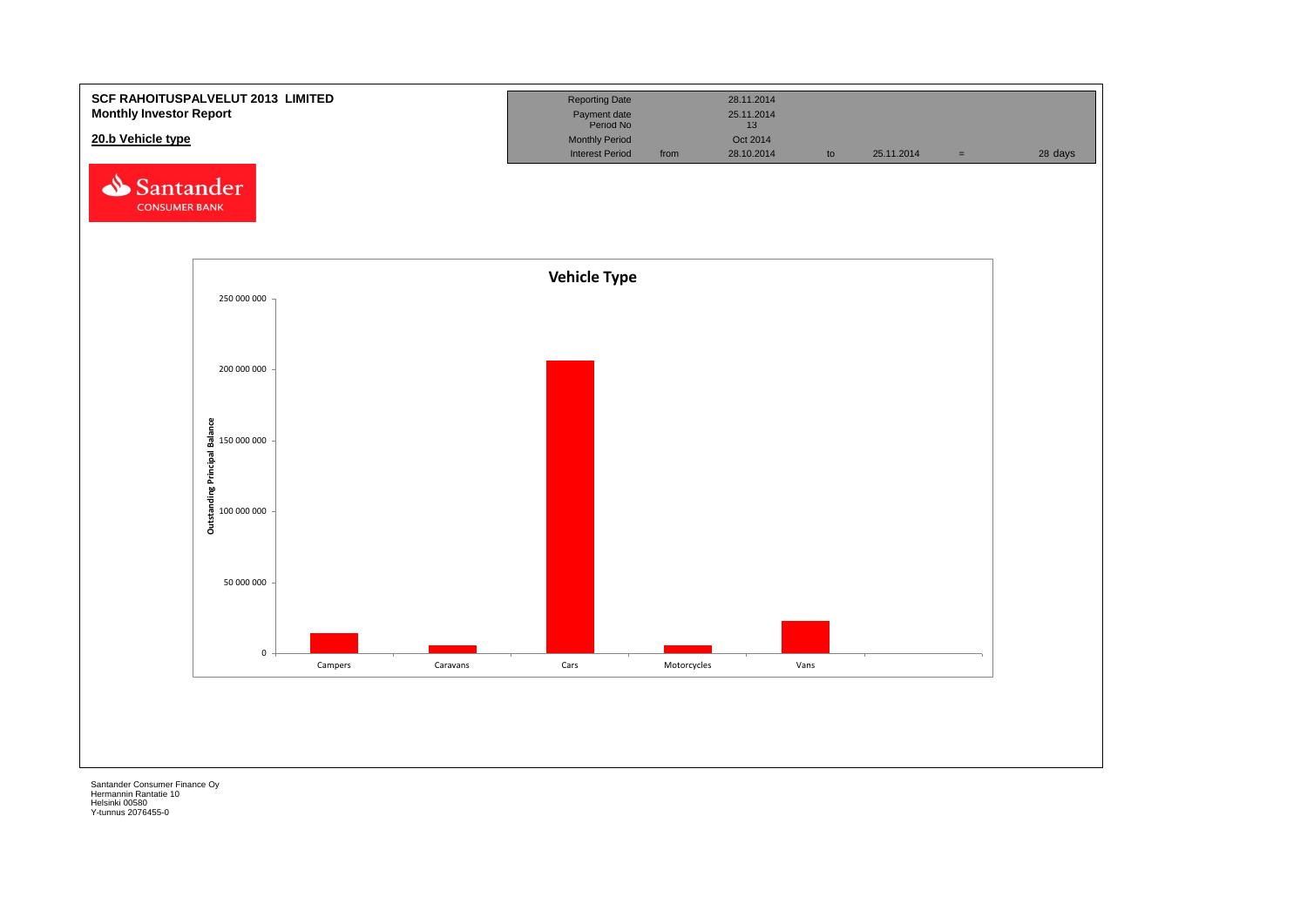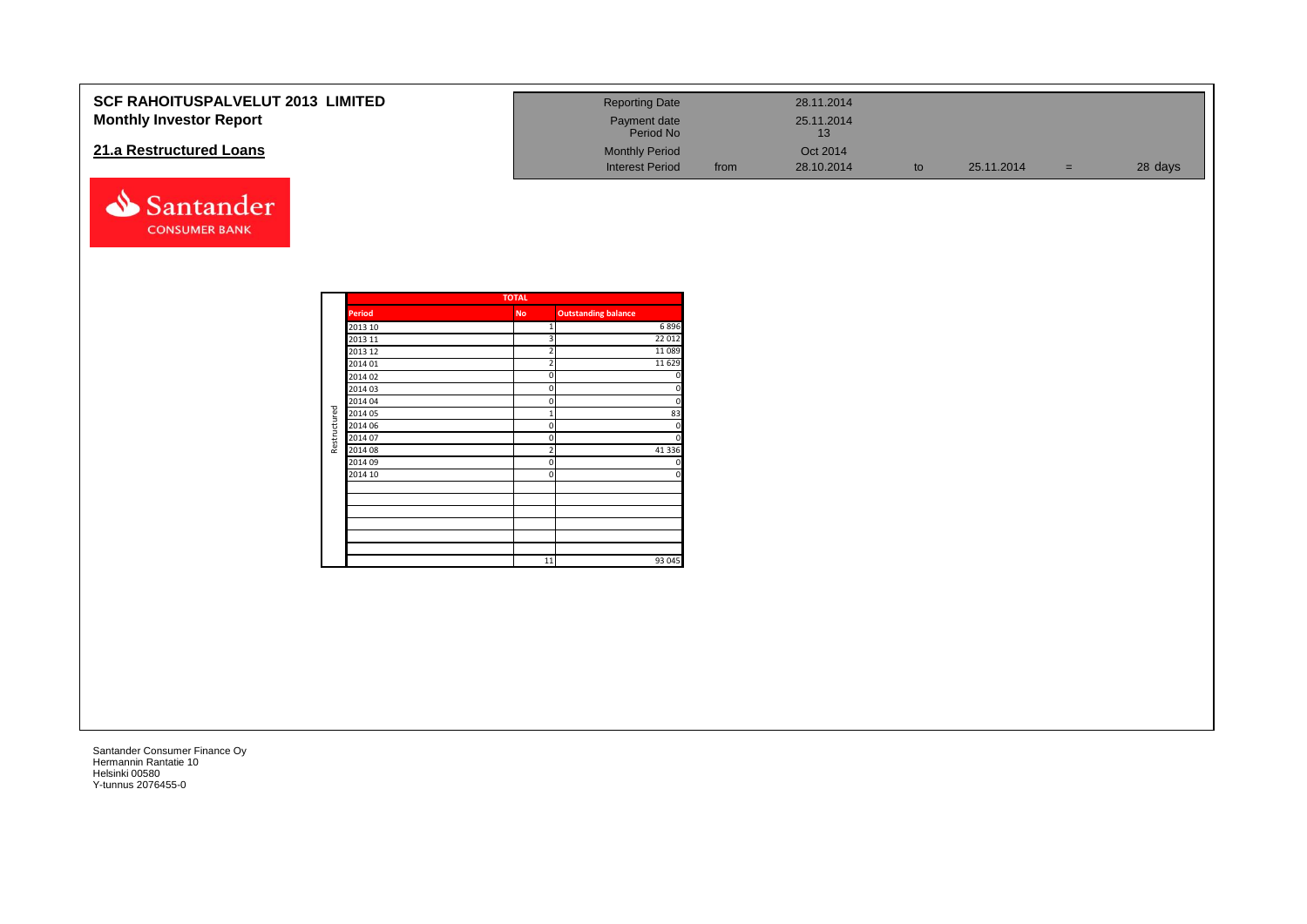| <b>SCF RAHOITUSPALVELUT 2013 LIMITED</b> | <b>Reporting Date</b>     |      | 28.11.2014       |            |     |         |
|------------------------------------------|---------------------------|------|------------------|------------|-----|---------|
| <b>Monthly Investor Report</b>           | Payment date<br>Period No |      | 25.11.2014<br>13 |            |     |         |
| 21.a Restructured Loans                  | <b>Monthly Period</b>     |      | Oct 2014         |            |     |         |
|                                          | <b>Interest Period</b>    | from | 28.10.2014       | 25.11.2014 | $=$ | 28 days |

|              |               | <b>TOTAL</b>   |                            |
|--------------|---------------|----------------|----------------------------|
|              | <b>Period</b> | <b>No</b>      | <b>Outstanding balance</b> |
|              | 2013 10       | 1              | 6896                       |
|              | 2013 11       | 3              | 22 012                     |
|              | 2013 12       | $\overline{2}$ | 11 0 89                    |
|              | 2014 01       | $\overline{2}$ | 11 6 29                    |
|              | 2014 02       | 0              | $\mathbf 0$                |
|              | 2014 03       | 0              | 0                          |
|              | 2014 04       | 0              | $\mathbf 0$                |
| Restructured | 2014 05       | $\mathbf{1}$   | 83                         |
|              | 2014 06       | 0              | $\mathbf 0$                |
|              | 2014 07       | 0              | $\mathbf 0$                |
|              | 2014 08       | $\overline{2}$ | 41 3 3 6                   |
|              | 2014 09       | 0              | $\mathbf 0$                |
|              | 2014 10       | $\Omega$       | $\mathbf 0$                |
|              |               |                |                            |
|              |               |                |                            |
|              |               |                |                            |
|              |               |                |                            |
|              |               |                |                            |
|              |               |                |                            |
|              |               | 11             | 93 045                     |

Santander **CONSUMER BANK**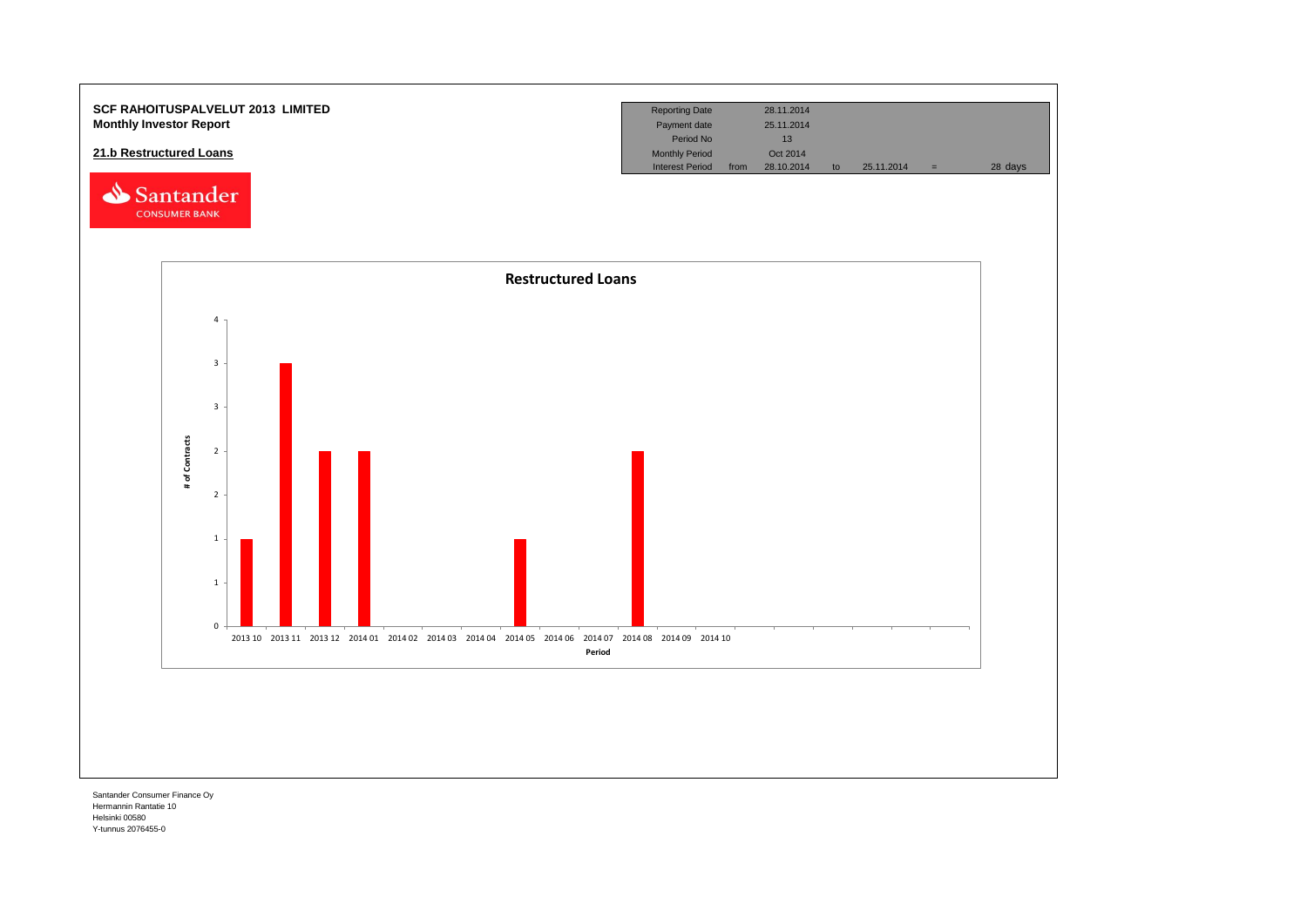

Hermannin Rantatie 10 Helsinki 00580 Y-tunnus 2076455-0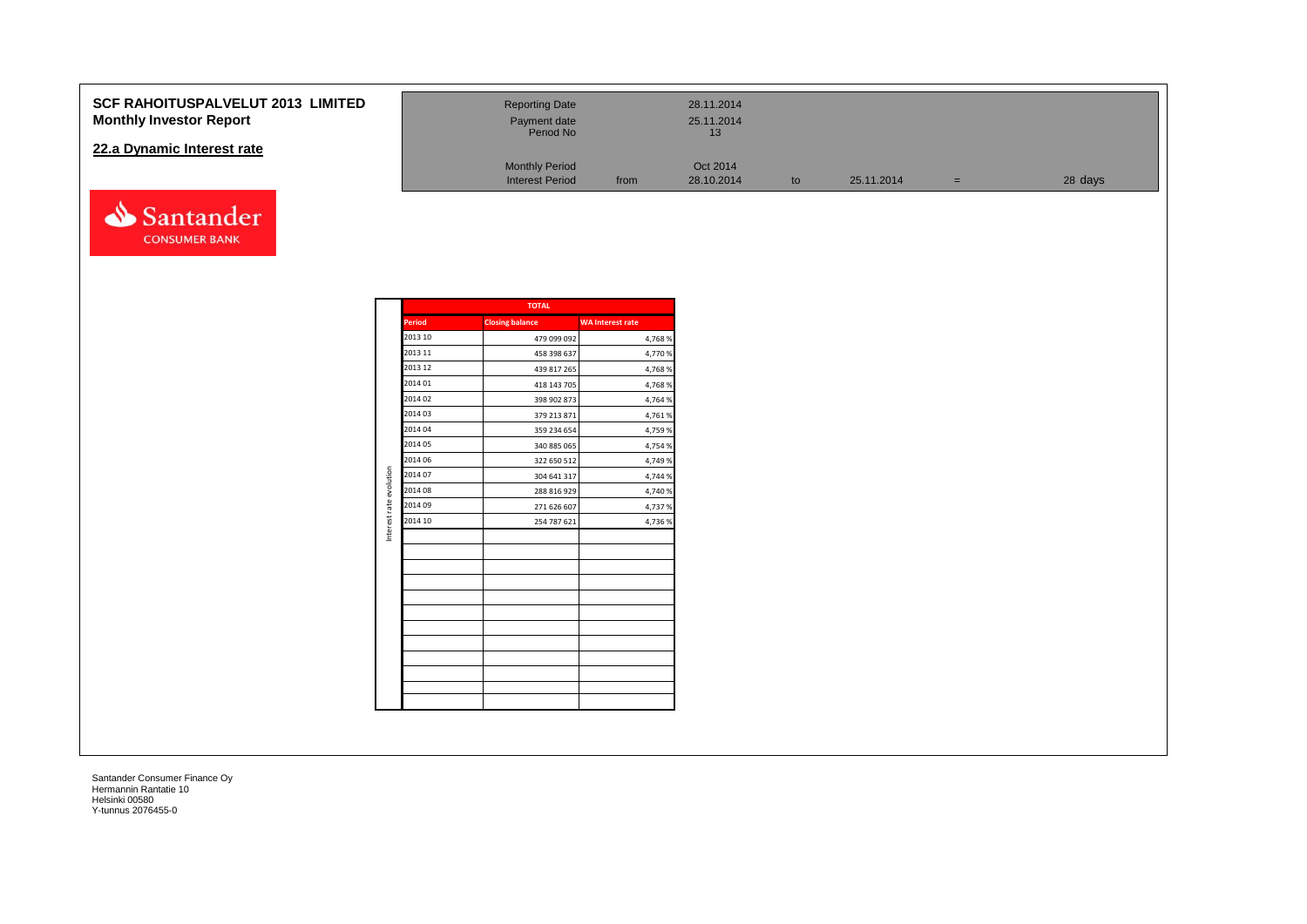#### **SCF RAHOITUSPALVELUT 2013 Monthly Investor Report**

#### **22.a Dynamic Interest rate**



| <b>LIMITED</b> | <b>Reporting Date</b><br>Payment date<br>Period No |      | 28.11.2014<br>25.11.2014<br>13 |    |            |     |         |
|----------------|----------------------------------------------------|------|--------------------------------|----|------------|-----|---------|
|                | <b>Monthly Period</b><br><b>Interest Period</b>    | from | Oct 2014<br>28.10.2014         | to | 25.11.2014 | $=$ | 28 days |

|                         |               | <b>TOTAL</b>           |                         |
|-------------------------|---------------|------------------------|-------------------------|
|                         | <b>Period</b> | <b>Closing balance</b> | <b>WA Interest rate</b> |
|                         | 2013 10       | 479 099 092            | 4,768 %                 |
|                         | 2013 11       | 458 398 637            | 4,770 %                 |
|                         | 2013 12       | 439 817 265            | 4,768%                  |
|                         | 2014 01       | 418 143 705            | 4,768%                  |
|                         | 2014 02       | 398 902 873            | 4,764 %                 |
|                         | 2014 03       | 379 213 871            | 4,761 %                 |
|                         | 2014 04       | 359 234 654            | 4,759 %                 |
|                         | 2014 05       | 340 885 065            | 4,754 %                 |
|                         | 2014 06       | 322 650 512            | 4,749 %                 |
|                         | 2014 07       | 304 641 317            | 4,744 %                 |
|                         | 2014 08       | 288 816 929            | 4,740 %                 |
|                         | 2014 09       | 271 626 607            | 4,737 %                 |
| Interest rate evolution | 2014 10       | 254 787 621            | 4,736 %                 |
|                         |               |                        |                         |
|                         |               |                        |                         |
|                         |               |                        |                         |
|                         |               |                        |                         |
|                         |               |                        |                         |
|                         |               |                        |                         |
|                         |               |                        |                         |
|                         |               |                        |                         |
|                         |               |                        |                         |
|                         |               |                        |                         |
|                         |               |                        |                         |
|                         |               |                        |                         |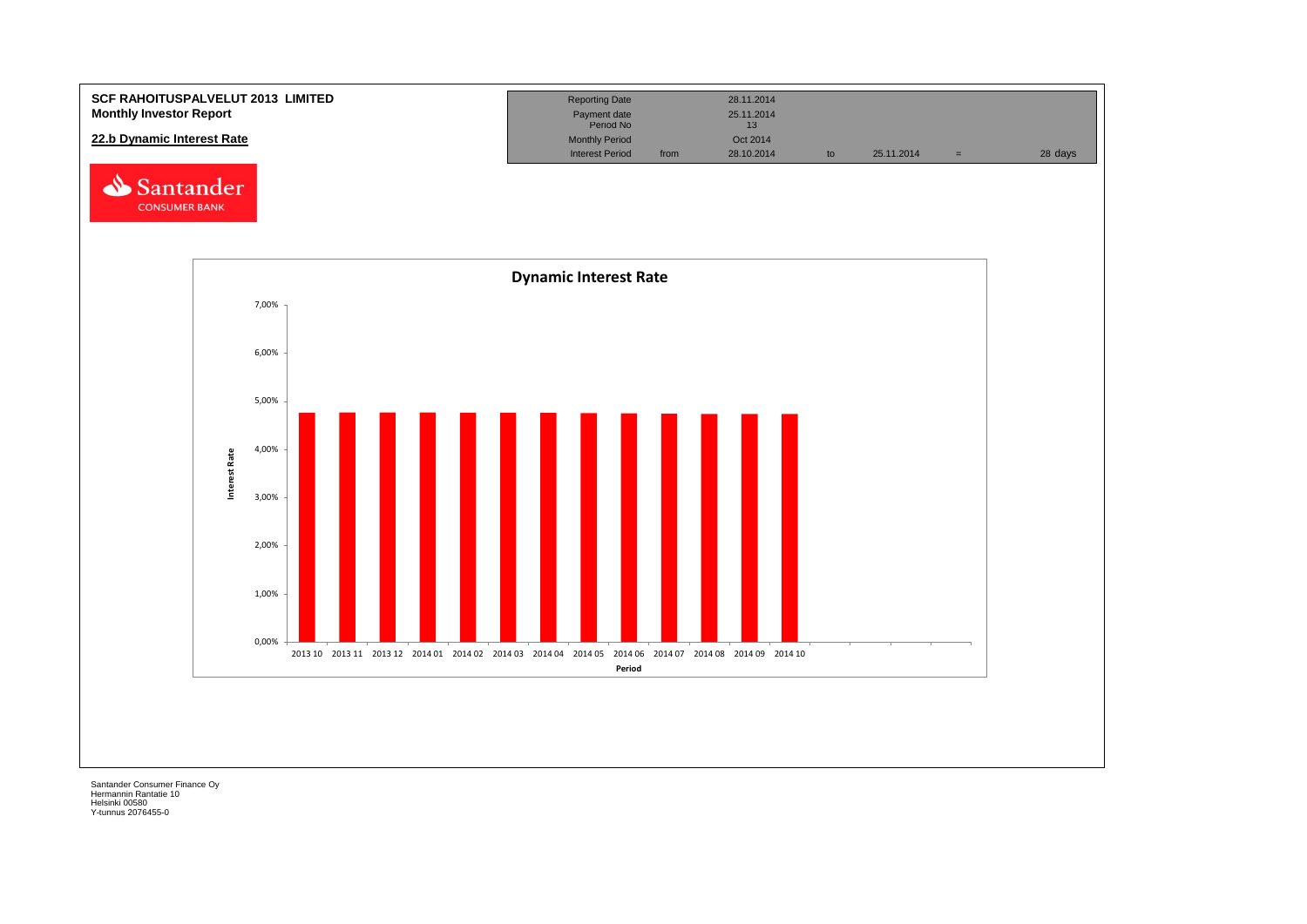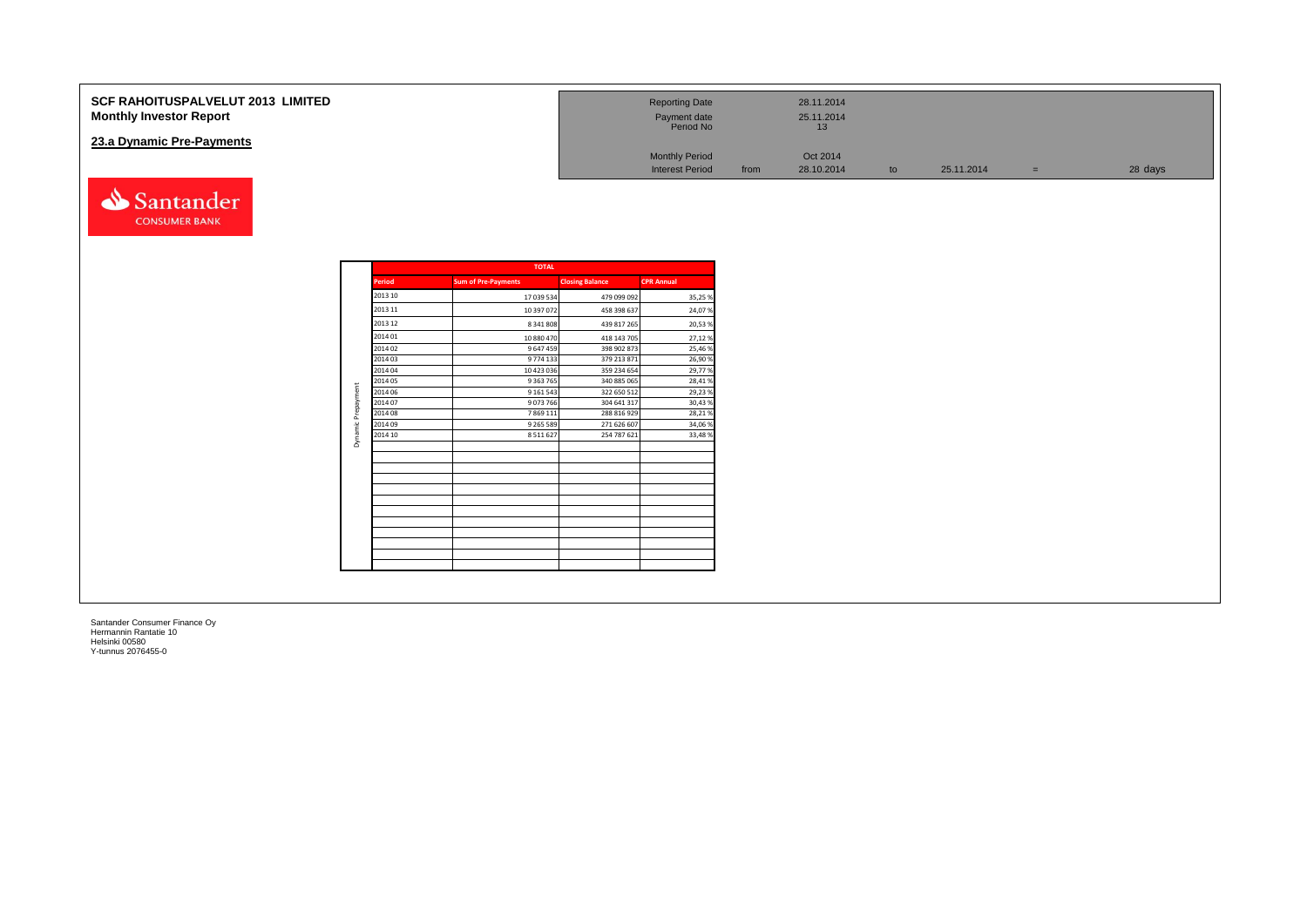| <b>SCF RAHOITUSPALVELUT 2013 LIMITED</b><br><b>Monthly Investor Report</b> | <b>Reporting Date</b><br>Payment date<br>Period No |      | 28.11.2014<br>25.11.2014<br>16 |    |            |     |         |
|----------------------------------------------------------------------------|----------------------------------------------------|------|--------------------------------|----|------------|-----|---------|
| 23.a Dynamic Pre-Payments                                                  | <b>Monthly Period</b><br><b>Interest Period</b>    | from | Oct 2014<br>28.10.2014         | to | 25.11.2014 | $=$ | 28 days |
| Santander                                                                  |                                                    |      |                                |    |            |     |         |

|               | <b>TOTAL</b>               |                        |                   |  |  |  |  |  |  |  |
|---------------|----------------------------|------------------------|-------------------|--|--|--|--|--|--|--|
| <b>Period</b> | <b>Sum of Pre-Payments</b> | <b>Closing Balance</b> | <b>CPR Annual</b> |  |  |  |  |  |  |  |
| 2013 10       | 17 039 534                 | 479 099 092            | 35,25%            |  |  |  |  |  |  |  |
| 2013 11       | 10 397 072                 | 458 398 637            | 24,07%            |  |  |  |  |  |  |  |
| 2013 12       | 8 341 808                  | 439 817 265            | 20,53%            |  |  |  |  |  |  |  |
| 2014 01       | 10 880 470                 | 418 143 705            | 27,12%            |  |  |  |  |  |  |  |
| 2014 02       | 9 647 459                  | 398 902 873            | 25,46%            |  |  |  |  |  |  |  |
| 2014 03       | 9774 133                   | 379 213 871            | 26,90%            |  |  |  |  |  |  |  |
| 2014 04       | 10 423 036                 | 359 234 654            | 29,77%            |  |  |  |  |  |  |  |
| 2014 05       | 9 3 63 7 65                | 340 885 065            | 28,41%            |  |  |  |  |  |  |  |
| 2014 06       | 9 1 6 1 5 4 3              | 322 650 512            | 29,23%            |  |  |  |  |  |  |  |
| 2014 07       | 9073766                    | 304 641 317            | 30,43%            |  |  |  |  |  |  |  |
| 2014 08       | 7 8 6 9 1 1 1              | 288 816 929            | 28,21%            |  |  |  |  |  |  |  |
| 2014 09       | 9 2 6 5 5 8 9              | 271 626 607            | 34,06%            |  |  |  |  |  |  |  |
| 2014 10       | 8 5 1 1 6 2 7              | 254 787 621            | 33,48%            |  |  |  |  |  |  |  |
|               |                            |                        |                   |  |  |  |  |  |  |  |
|               |                            |                        |                   |  |  |  |  |  |  |  |
|               |                            |                        |                   |  |  |  |  |  |  |  |
|               |                            |                        |                   |  |  |  |  |  |  |  |
|               |                            |                        |                   |  |  |  |  |  |  |  |
|               |                            |                        |                   |  |  |  |  |  |  |  |
|               |                            |                        |                   |  |  |  |  |  |  |  |

**CONSUMER BANK**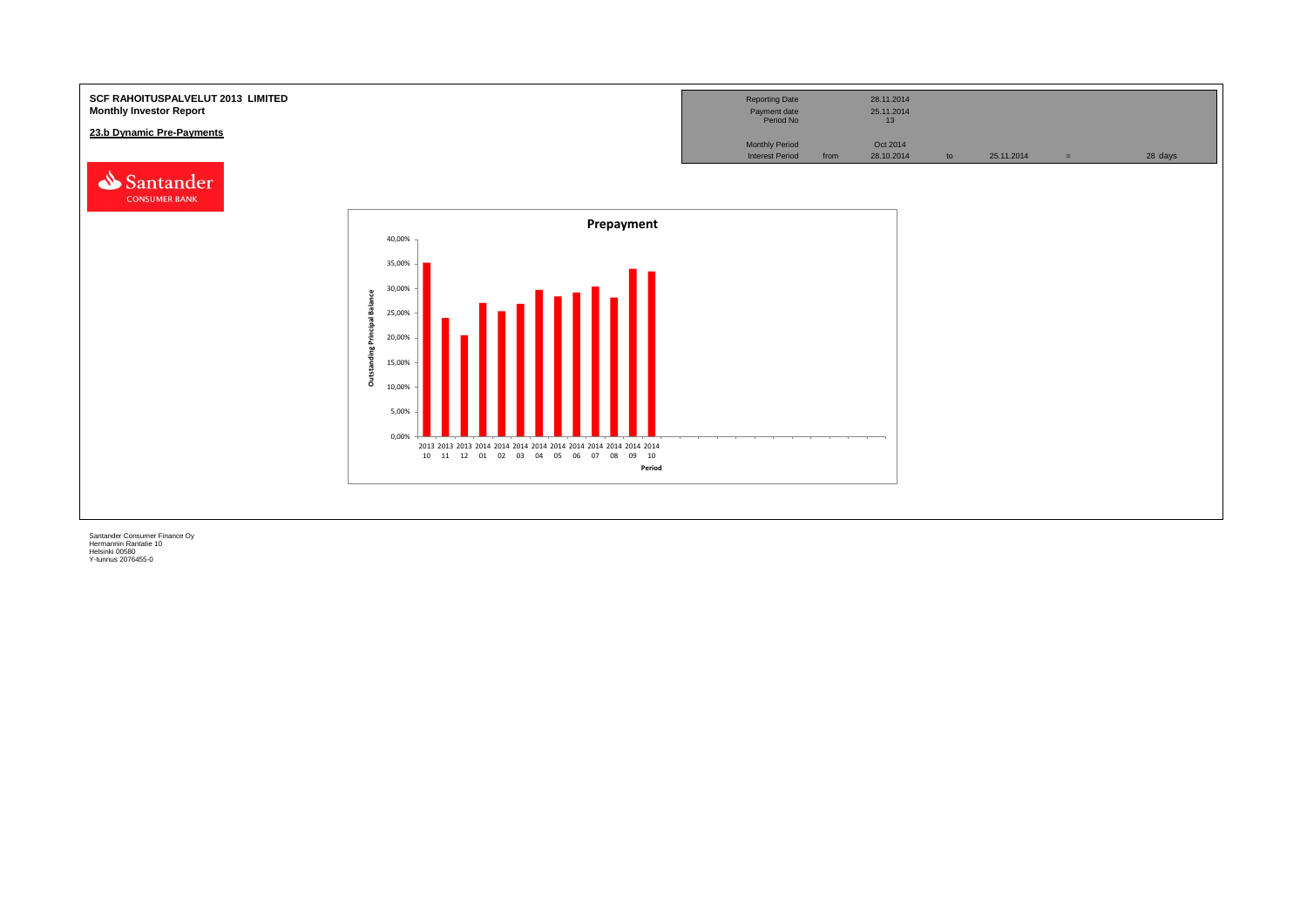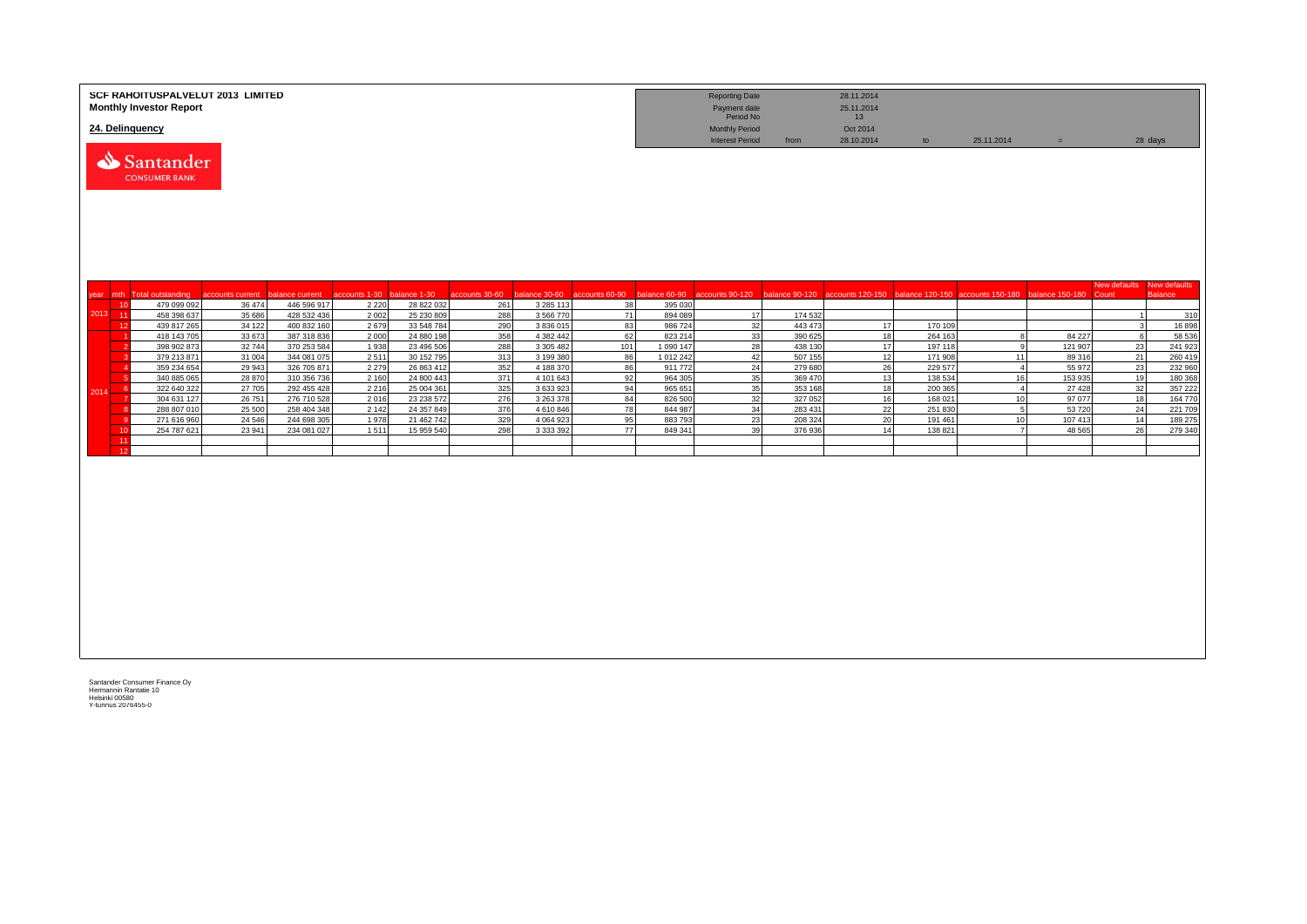|         |    | SCF RAHOITUSPALVELUT 2013 LIMITED<br><b>Monthly Investor Report</b><br>24. Delinquency |                   |                            |                            |                          |                |                          |                |                      | <b>Reporting Date</b><br>Payment date<br>Period No<br><b>Monthly Period</b> |                    | 28.11.2014<br>25.11.2014<br>13<br>Oct 2014 |                    |                                                                                  |                    |                       |                                |
|---------|----|----------------------------------------------------------------------------------------|-------------------|----------------------------|----------------------------|--------------------------|----------------|--------------------------|----------------|----------------------|-----------------------------------------------------------------------------|--------------------|--------------------------------------------|--------------------|----------------------------------------------------------------------------------|--------------------|-----------------------|--------------------------------|
|         |    | Santander<br><b>CONSUMER BANK</b>                                                      |                   |                            |                            |                          |                |                          |                |                      | <b>Interest Period</b>                                                      | from               | 28.10.2014                                 | to                 | 25.11.2014                                                                       | $\equiv$           |                       | 28 days                        |
|         |    | vear mth Total outstanding                                                             | accounts current  | balance current            | accounts 1-30 balance 1-30 |                          | accounts 30-60 | alance 30-60             | accounts 60-90 |                      | balance 60-90 accounts 90-120                                               |                    |                                            |                    | balance 90-120 accounts 120-150 balance 120-150 accounts 150-180 balance 150-180 |                    | New defaults<br>Count | New defaults<br><b>Balance</b> |
|         | 10 | 479 099 092                                                                            | 36 474            | 446 596 917                | 2 2 2 0                    | 28 822 032               | 261            | 3 285 113                | 38             | 395 030              |                                                                             |                    |                                            |                    |                                                                                  |                    |                       |                                |
| 2013 11 |    | 458 398 637                                                                            | 35 686            | 428 532 436                | 2 0 0 2                    | 25 230 809               | 288            | 3 566 770                | 71             | 894 089              | 17                                                                          | 174 532            |                                            |                    |                                                                                  |                    | $\overline{1}$        | 310                            |
|         | 12 | 439 817 265                                                                            | 34 122            | 400 832 160                | 2679                       | 33 548 784               | 290            | 3 836 015                | 83             | 986 724              | 32                                                                          | 443 473            | 17                                         | 170 109            |                                                                                  |                    | 3                     | 16898                          |
|         |    | 418 143 705                                                                            | 33 673<br>32744   | 387 318 836<br>370 253 584 | 2000<br>1938               | 24 880 198<br>23 496 506 | 358<br>288     | 4 382 442<br>3 305 482   | 62<br>101      | 823 214<br>1 090 147 | 33<br>28                                                                    | 390 625<br>438 130 | 18<br>17                                   | 264 163<br>197 118 | $\mathbf{R}$<br>9 <sup>1</sup>                                                   | 84 227<br>121 907  | $\epsilon$<br>23      | 58 536<br>241 923              |
|         |    | 398 902 873<br>379 213 871                                                             | 31 004            | 344 081 075                | 2511                       | 30 152 795               | 313            | 3 199 380                | 86             | 1 012 242            | 42                                                                          | 507 155            | 12                                         | 171 908            | 11                                                                               | 89 316             | 21                    | 260 419                        |
|         |    | 359 234 654                                                                            | 29 943            | 326 705 871                | 2 2 7 9                    | 26 863 412               | 352            | 4 188 370                | 86             | 911 772              | 24                                                                          | 279 680            | 26                                         | 229 577            | $\overline{4}$                                                                   | 55 972             | 23                    | 232 960                        |
|         |    | 340 885 065                                                                            | 28 870            | 310 356 736                | 2 1 6 0                    | 24 800 443               | 371            | 4 101 643                | 92             | 964 305              | 35                                                                          | 369 470            | 13                                         | 138 534            | 16                                                                               | 153 935            | 19                    | 180 368                        |
| 2014    | -6 | 322 640 322                                                                            | 27 705            | 292 455 428                | 2 2 1 6                    | 25 004 361               | 325            | 3 633 923                | 94             | 965 651              | 35                                                                          | 353 168            | 18                                         | 200 365            | $\overline{4}$                                                                   | 27 4 28            | 32                    | 357 222                        |
|         |    | 304 631 127                                                                            | 26 751            | 276 710 528                | 2016                       | 23 238 572               | 276            | 3 263 378                | 84             | 826 500              | 32                                                                          | 327 052            | 16                                         | 168 021            | 10                                                                               | 97 077             | 18                    | 164 770                        |
|         |    | 288 807 010                                                                            | 25 500            | 258 404 348                | 2 1 4 2                    | 24 357 849               | 376            | 4 610 846                | 78             | 844 987              | 34                                                                          | 283 431            | 22                                         | 251 830            | 5                                                                                | 53 720             | 24                    | 221 709                        |
|         | 10 | 271 616 960<br>254 787 621                                                             | 24 5 46<br>23 941 | 244 698 305<br>234 081 027 | 1978<br>1511               | 21 462 742<br>15 959 540 | 329<br>298     | 4 0 64 9 23<br>3 333 392 | 95<br>77       | 883793<br>849 341    | 23<br>39                                                                    | 208 324<br>376 936 | 20<br>14                                   | 191 461<br>138 821 | 10                                                                               | 107 413<br>48 5 65 | 14<br>26              | 189 275<br>279 340             |
|         | 11 |                                                                                        |                   |                            |                            |                          |                |                          |                |                      |                                                                             |                    |                                            |                    |                                                                                  |                    |                       |                                |
|         | 12 |                                                                                        |                   |                            |                            |                          |                |                          |                |                      |                                                                             |                    |                                            |                    |                                                                                  |                    |                       |                                |
|         |    |                                                                                        |                   |                            |                            |                          |                |                          |                |                      |                                                                             |                    |                                            |                    |                                                                                  |                    |                       |                                |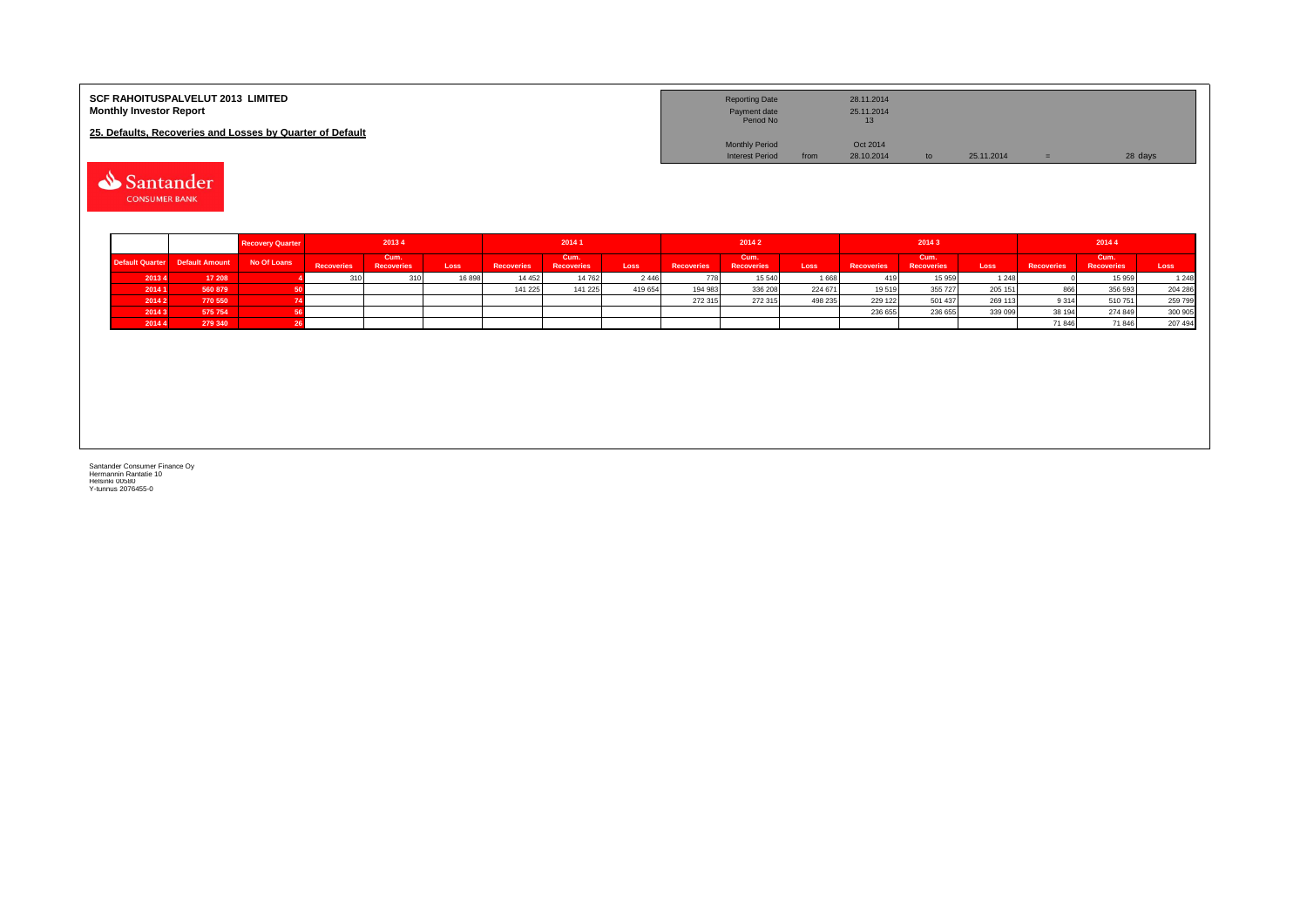| <b>SCF RAHOITUSPALVELUT 2013 LIMITED</b><br><b>Monthly Investor Report</b> | <b>Reporting Date</b><br>Payment date<br>Period No |      | 28.11.2014<br>25.11.2014<br>13 <sup>°</sup> |    |            |         |
|----------------------------------------------------------------------------|----------------------------------------------------|------|---------------------------------------------|----|------------|---------|
| 25. Defaults, Recoveries and Losses by Quarter of Default                  |                                                    |      |                                             |    |            |         |
|                                                                            | <b>Monthly Period</b>                              |      | Oct 2014                                    |    |            |         |
|                                                                            | <b>Interest Period</b>                             | from | 28.10.2014                                  | to | 25.11.2014 | 28 days |

Santander

|        |                                 | <b>Recovery Quarter</b> |            | 20134              |       |                   | 2014 1                    |         |                   | 2014 2                    |         |                   | 20143                     |         |                   | 20144                     |                   |
|--------|---------------------------------|-------------------------|------------|--------------------|-------|-------------------|---------------------------|---------|-------------------|---------------------------|---------|-------------------|---------------------------|---------|-------------------|---------------------------|-------------------|
|        | Default Quarter  Default Amount | No Of Loans             | Recoveries | Cum.<br>Recoveries | Loss  | <b>Recoveries</b> | Cum.<br><b>Recoveries</b> | Loss    | <b>Recoveries</b> | Cum.<br><b>Recoveries</b> | Loss    | <b>Recoveries</b> | Cum.<br><b>Recoveries</b> | Loss    | <b>Recoveries</b> | Cum.<br><b>Recoveries</b> | Loss <sup>1</sup> |
| 20134  | 17 208                          |                         |            |                    | 16898 | 14 4 5 2          | 14 762                    | 2446    |                   | 15 540                    | 1668    |                   | 15 959                    | 1 2 4 8 |                   | 15 959                    | 1 2 4 8           |
| 2014 1 | 560 879                         |                         |            |                    |       | 141 225           | 141 225                   | 419 654 | 194 983           | 336 208                   | 224 671 | 19519             | 355 727                   | 205 151 | 866               | 356 593                   | 204 286           |
| 2014 2 | 770 550                         |                         |            |                    |       |                   |                           |         | 272 315           | 272 315                   | 498 235 | 229 122           | 501 437                   | 269 113 | 9 3 1 4           | 510751                    | 259 799           |
| 20143  | 575 754                         |                         |            |                    |       |                   |                           |         |                   |                           |         | 236 655           | 236 655                   | 339 099 | 38 194            | 274 849                   | 300 905           |
| 2014 4 | 279 340                         |                         |            |                    |       |                   |                           |         |                   |                           |         |                   |                           |         | 71 846            | 71 846                    | 207 494           |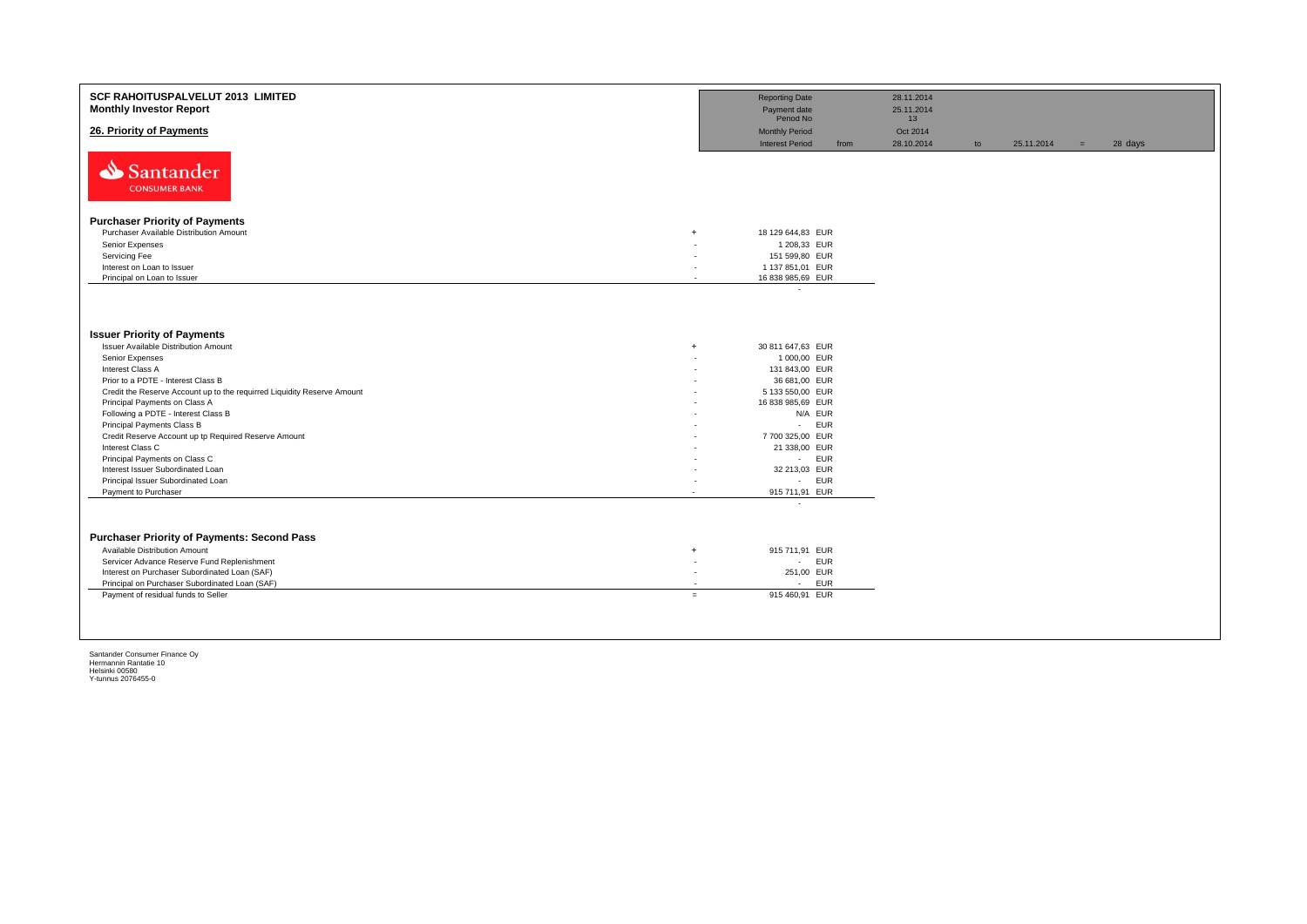| <b>SCF RAHOITUSPALVELUT 2013 LIMITED</b><br><b>Monthly Investor Report</b> |                          | <b>Reporting Date</b><br>Payment date<br>Period No |      | 28.11.2014<br>25.11.2014<br>13 |    |            |     |         |
|----------------------------------------------------------------------------|--------------------------|----------------------------------------------------|------|--------------------------------|----|------------|-----|---------|
| 26. Priority of Payments                                                   |                          | <b>Monthly Period</b><br><b>Interest Period</b>    | from | Oct 2014<br>28.10.2014         | to | 25.11.2014 | $=$ | 28 days |
| Santander<br><b>CONSUMER BANK</b>                                          |                          |                                                    |      |                                |    |            |     |         |
| <b>Purchaser Priority of Payments</b>                                      |                          |                                                    |      |                                |    |            |     |         |
| Purchaser Available Distribution Amount                                    | $+$                      | 18 129 644,83 EUR                                  |      |                                |    |            |     |         |
| Senior Expenses                                                            |                          | 1 208,33 EUR                                       |      |                                |    |            |     |         |
| Servicing Fee                                                              |                          | 151 599,80 EUR                                     |      |                                |    |            |     |         |
| Interest on Loan to Issuer                                                 |                          | 1 137 851,01 EUR                                   |      |                                |    |            |     |         |
| Principal on Loan to Issuer                                                | $\overline{\phantom{a}}$ | 16 838 985,69 EUR                                  |      |                                |    |            |     |         |
|                                                                            |                          | $\sim$                                             |      |                                |    |            |     |         |
| <b>Issuer Priority of Payments</b>                                         |                          |                                                    |      |                                |    |            |     |         |
| Issuer Available Distribution Amount                                       | $\ddot{}$                | 30 811 647,63 EUR                                  |      |                                |    |            |     |         |
| Senior Expenses                                                            |                          | 1 000,00 EUR                                       |      |                                |    |            |     |         |
| Interest Class A                                                           |                          | 131 843,00 EUR                                     |      |                                |    |            |     |         |
| Prior to a PDTE - Interest Class B                                         |                          | 36 681,00 EUR                                      |      |                                |    |            |     |         |
| Credit the Reserve Account up to the requirred Liquidity Reserve Amount    |                          | 5 133 550,00 EUR                                   |      |                                |    |            |     |         |
| Principal Payments on Class A                                              |                          | 16 838 985,69 EUR                                  |      |                                |    |            |     |         |
| Following a PDTE - Interest Class B                                        |                          | N/A EUR                                            |      |                                |    |            |     |         |
| Principal Payments Class B                                                 |                          | <b>EUR</b><br>$\mathcal{L}^{\text{max}}$           |      |                                |    |            |     |         |
| Credit Reserve Account up tp Required Reserve Amount                       |                          | 7 700 325,00 EUR                                   |      |                                |    |            |     |         |
| Interest Class C                                                           |                          | 21 338,00 EUR                                      |      |                                |    |            |     |         |
| Principal Payments on Class C                                              |                          | - EUR                                              |      |                                |    |            |     |         |
| Interest Issuer Subordinated Loan                                          |                          | 32 213,03 EUR                                      |      |                                |    |            |     |         |
| Principal Issuer Subordinated Loan<br>Payment to Purchaser                 |                          | - EUR<br>915 711,91 EUR                            |      |                                |    |            |     |         |
|                                                                            | $\overline{\phantom{a}}$ | ٠                                                  |      |                                |    |            |     |         |
|                                                                            |                          |                                                    |      |                                |    |            |     |         |
| <b>Purchaser Priority of Payments: Second Pass</b>                         |                          |                                                    |      |                                |    |            |     |         |
| Available Distribution Amount                                              | $\ddot{}$                | 915 711,91 EUR                                     |      |                                |    |            |     |         |
| Servicer Advance Reserve Fund Replenishment                                | ٠                        | - EUR                                              |      |                                |    |            |     |         |
| Interest on Purchaser Subordinated Loan (SAF)                              | $\sim$                   | 251,00 EUR                                         |      |                                |    |            |     |         |
| Principal on Purchaser Subordinated Loan (SAF)                             |                          | <b>EUR</b><br>$\sim$                               |      |                                |    |            |     |         |
| Payment of residual funds to Seller                                        | $=$                      | 915 460,91 EUR                                     |      |                                |    |            |     |         |
|                                                                            |                          |                                                    |      |                                |    |            |     |         |
|                                                                            |                          |                                                    |      |                                |    |            |     |         |
|                                                                            |                          |                                                    |      |                                |    |            |     |         |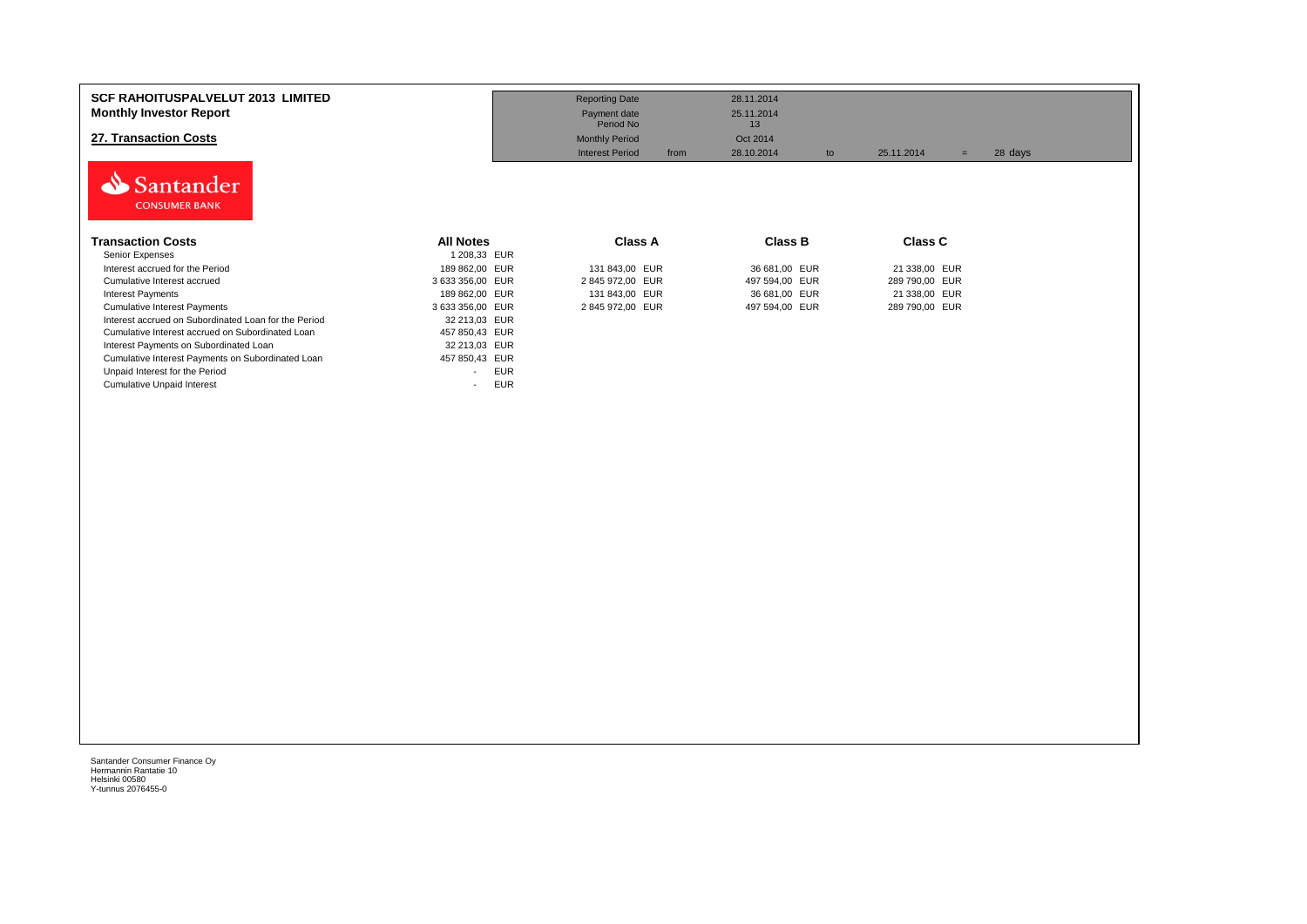| <b>SCF RAHOITUSPALVELUT 2013 LIMITED</b><br><b>Monthly Investor Report</b><br>27. Transaction Costs<br>Santander<br><b>CONSUMER BANK</b> |                                        | <b>Reporting Date</b><br>Payment date<br>Period No<br><b>Monthly Period</b><br><b>Interest Period</b><br>from | 28.11.2014<br>25.11.2014<br>13<br>Oct 2014<br>28.10.2014<br>to | 25.11.2014<br>$=$ | 28 days |
|------------------------------------------------------------------------------------------------------------------------------------------|----------------------------------------|---------------------------------------------------------------------------------------------------------------|----------------------------------------------------------------|-------------------|---------|
| <b>Transaction Costs</b>                                                                                                                 | <b>All Notes</b>                       | <b>Class A</b>                                                                                                | <b>Class B</b>                                                 | <b>Class C</b>    |         |
| Senior Expenses                                                                                                                          | 1 208,33 EUR                           |                                                                                                               |                                                                |                   |         |
| Interest accrued for the Period                                                                                                          | 189 862,00 EUR                         | 131 843,00 EUR                                                                                                | 36 681,00 EUR                                                  | 21 338,00 EUR     |         |
| Cumulative Interest accrued                                                                                                              | 3 633 356,00 EUR                       | 2 845 972,00 EUR                                                                                              | 497 594,00 EUR                                                 | 289 790,00 EUR    |         |
| <b>Interest Payments</b>                                                                                                                 | 189 862,00 EUR                         | 131 843,00 EUR                                                                                                | 36 681,00 EUR                                                  | 21 338,00 EUR     |         |
| <b>Cumulative Interest Payments</b>                                                                                                      | 3 633 356,00 EUR                       | 2845972,00 EUR                                                                                                | 497 594,00 EUR                                                 | 289 790,00 EUR    |         |
| Interest accrued on Subordinated Loan for the Period                                                                                     | 32 213,03 EUR                          |                                                                                                               |                                                                |                   |         |
| Cumulative Interest accrued on Subordinated Loan                                                                                         | 457 850,43 EUR                         |                                                                                                               |                                                                |                   |         |
| Interest Payments on Subordinated Loan                                                                                                   | 32 213,03 EUR                          |                                                                                                               |                                                                |                   |         |
| Cumulative Interest Payments on Subordinated Loan                                                                                        | 457 850,43 EUR                         |                                                                                                               |                                                                |                   |         |
| Unpaid Interest for the Period                                                                                                           | <b>EUR</b><br>$\overline{\phantom{0}}$ |                                                                                                               |                                                                |                   |         |
| <b>Cumulative Unpaid Interest</b>                                                                                                        | <b>EUR</b><br>$\overline{\phantom{a}}$ |                                                                                                               |                                                                |                   |         |